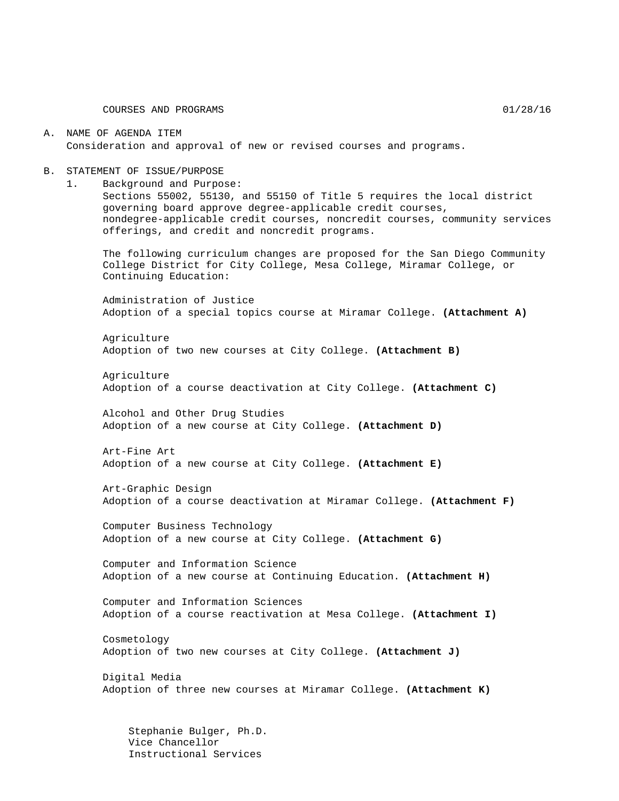#### A. NAME OF AGENDA ITEM Consideration and approval of new or revised courses and programs.

#### B. STATEMENT OF ISSUE/PURPOSE

1. Background and Purpose:

Sections 55002, 55130, and 55150 of Title 5 requires the local district governing board approve degree-applicable credit courses, nondegree-applicable credit courses, noncredit courses, community services offerings, and credit and noncredit programs.

The following curriculum changes are proposed for the San Diego Community College District for City College, Mesa College, Miramar College, or Continuing Education:

Administration of Justice Adoption of a special topics course at Miramar College. **(Attachment A)**

Agriculture Adoption of two new courses at City College. **(Attachment B)**

Agriculture Adoption of a course deactivation at City College. **(Attachment C)**

Alcohol and Other Drug Studies Adoption of a new course at City College. **(Attachment D)**

Art-Fine Art Adoption of a new course at City College. **(Attachment E)**

Art-Graphic Design Adoption of a course deactivation at Miramar College. **(Attachment F)**

Computer Business Technology Adoption of a new course at City College. **(Attachment G)**

Computer and Information Science Adoption of a new course at Continuing Education. **(Attachment H)**

Computer and Information Sciences Adoption of a course reactivation at Mesa College. **(Attachment I)**

Cosmetology Adoption of two new courses at City College. **(Attachment J)**

Digital Media Adoption of three new courses at Miramar College. **(Attachment K)**

Stephanie Bulger, Ph.D. Vice Chancellor Instructional Services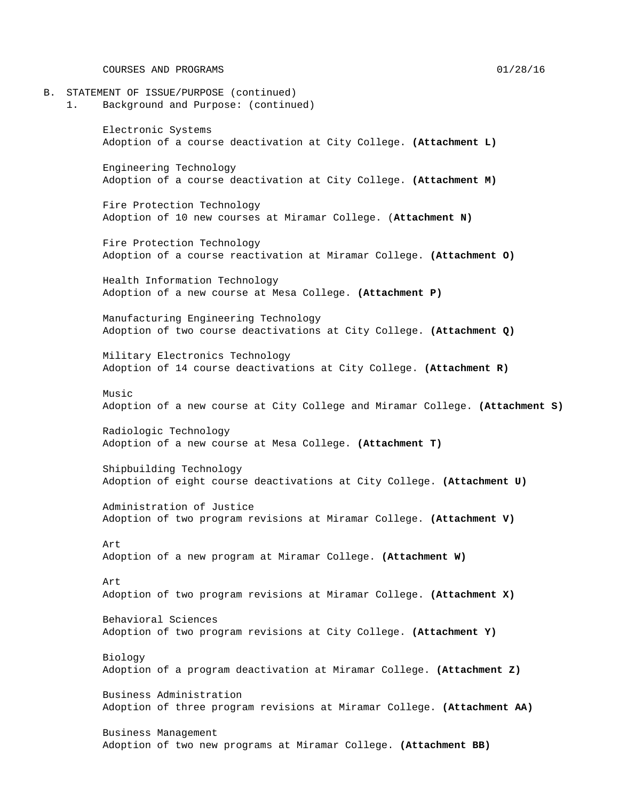COURSES AND PROGRAMS 01/28/16

- B. STATEMENT OF ISSUE/PURPOSE (continued)
	- 1. Background and Purpose: (continued)

Electronic Systems Adoption of a course deactivation at City College. **(Attachment L)**

Engineering Technology Adoption of a course deactivation at City College. **(Attachment M)**

Fire Protection Technology Adoption of 10 new courses at Miramar College. (**Attachment N)**

Fire Protection Technology Adoption of a course reactivation at Miramar College. **(Attachment O)**

Health Information Technology Adoption of a new course at Mesa College. **(Attachment P)**

Manufacturing Engineering Technology Adoption of two course deactivations at City College. **(Attachment Q)**

Military Electronics Technology Adoption of 14 course deactivations at City College. **(Attachment R)**

Music Adoption of a new course at City College and Miramar College. **(Attachment S)**

Radiologic Technology Adoption of a new course at Mesa College. **(Attachment T)**

Shipbuilding Technology Adoption of eight course deactivations at City College. **(Attachment U)**

Administration of Justice Adoption of two program revisions at Miramar College. **(Attachment V)**

Art Adoption of a new program at Miramar College. **(Attachment W)**

Art Adoption of two program revisions at Miramar College. **(Attachment X)**

Behavioral Sciences Adoption of two program revisions at City College. **(Attachment Y)**

Biology Adoption of a program deactivation at Miramar College. **(Attachment Z)**

Business Administration Adoption of three program revisions at Miramar College. **(Attachment AA)**

Business Management Adoption of two new programs at Miramar College. **(Attachment BB)**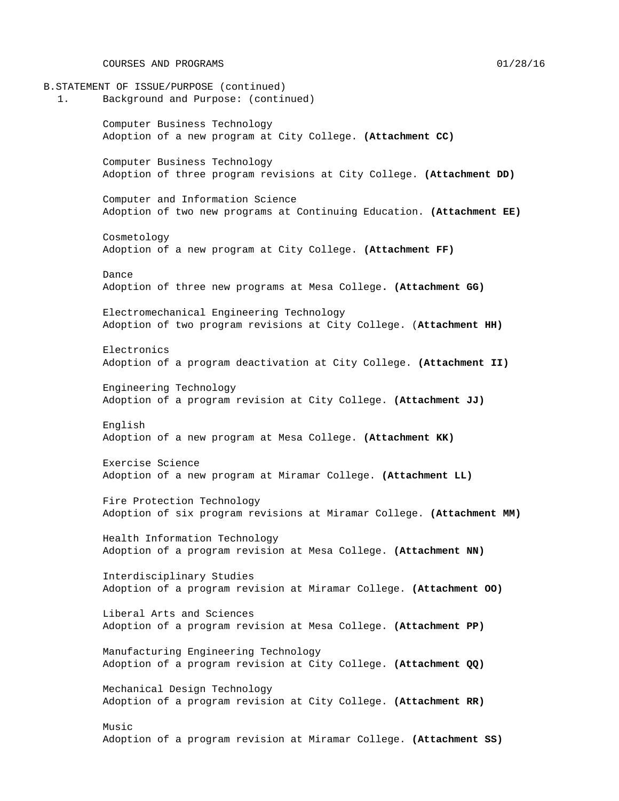COURSES AND PROGRAMS 01/28/16

- B.STATEMENT OF ISSUE/PURPOSE (continued)
	- 1. Background and Purpose: (continued)

Computer Business Technology Adoption of a new program at City College. **(Attachment CC)**

Computer Business Technology Adoption of three program revisions at City College. **(Attachment DD)**

Computer and Information Science Adoption of two new programs at Continuing Education. **(Attachment EE)**

Cosmetology Adoption of a new program at City College. **(Attachment FF)**

Dance Adoption of three new programs at Mesa College**. (Attachment GG)**

Electromechanical Engineering Technology Adoption of two program revisions at City College. (**Attachment HH)**

Electronics Adoption of a program deactivation at City College. **(Attachment II)**

Engineering Technology Adoption of a program revision at City College. **(Attachment JJ)**

English Adoption of a new program at Mesa College. **(Attachment KK)**

Exercise Science Adoption of a new program at Miramar College. **(Attachment LL)**

Fire Protection Technology Adoption of six program revisions at Miramar College. **(Attachment MM)**

Health Information Technology Adoption of a program revision at Mesa College. **(Attachment NN)**

Interdisciplinary Studies Adoption of a program revision at Miramar College. **(Attachment OO)**

Liberal Arts and Sciences Adoption of a program revision at Mesa College. **(Attachment PP)**

Manufacturing Engineering Technology Adoption of a program revision at City College. **(Attachment QQ)**

Mechanical Design Technology Adoption of a program revision at City College. **(Attachment RR)**

Music Adoption of a program revision at Miramar College. **(Attachment SS)**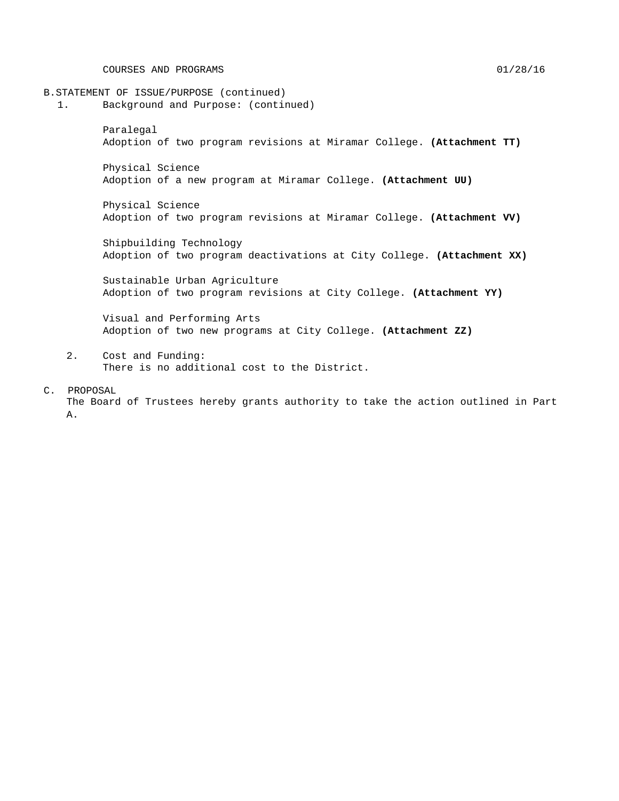COURSES AND PROGRAMS 01/28/16

- B.STATEMENT OF ISSUE/PURPOSE (continued)
	- 1. Background and Purpose: (continued)

Paralegal Adoption of two program revisions at Miramar College. **(Attachment TT)**

Physical Science Adoption of a new program at Miramar College. **(Attachment UU)**

Physical Science Adoption of two program revisions at Miramar College. **(Attachment VV)**

Shipbuilding Technology Adoption of two program deactivations at City College. **(Attachment XX)**

Sustainable Urban Agriculture Adoption of two program revisions at City College. **(Attachment YY)**

Visual and Performing Arts Adoption of two new programs at City College. **(Attachment ZZ)**

- 2. Cost and Funding: There is no additional cost to the District.
- C. PROPOSAL

The Board of Trustees hereby grants authority to take the action outlined in Part A.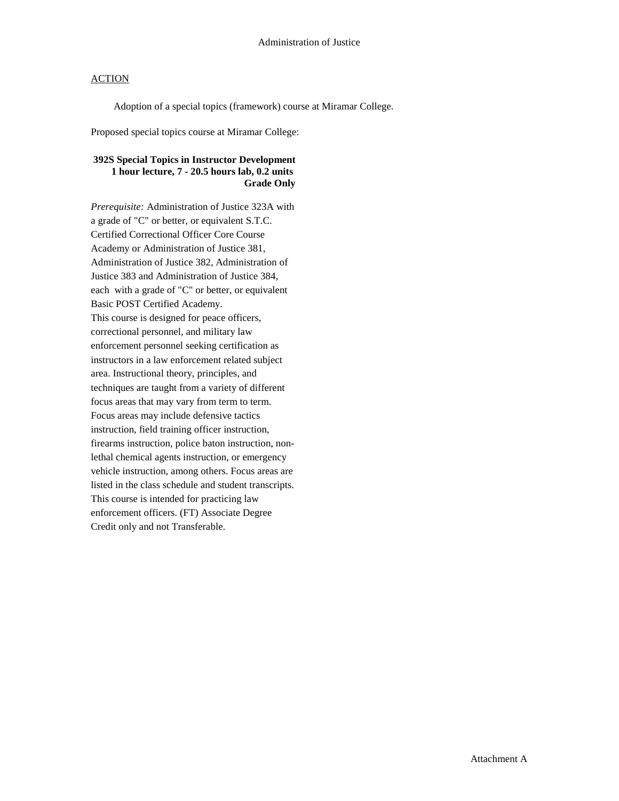Adoption of a special topics (framework) course at Miramar College.

Proposed special topics course at Miramar College:

# **392S Special Topics in Instructor Development 1 hour lecture, 7 - 20.5 hours lab, 0.2 units Grade Only**

*Prerequisite:* Administration of Justice 323A with a grade of "C" or better, or equivalent S.T.C. Certified Correctional Officer Core Course Academy or Administration of Justice 381, Administration of Justice 382, Administration of Justice 383 and Administration of Justice 384, each with a grade of "C" or better, or equivalent Basic POST Certified Academy. This course is designed for peace officers, correctional personnel, and military law enforcement personnel seeking certification as instructors in a law enforcement related subject area. Instructional theory, principles, and techniques are taught from a variety of different focus areas that may vary from term to term. Focus areas may include defensive tactics instruction, field training officer instruction, firearms instruction, police baton instruction, nonlethal chemical agents instruction, or emergency vehicle instruction, among others. Focus areas are listed in the class schedule and student transcripts. This course is intended for practicing law enforcement officers. (FT) Associate Degree Credit only and not Transferable.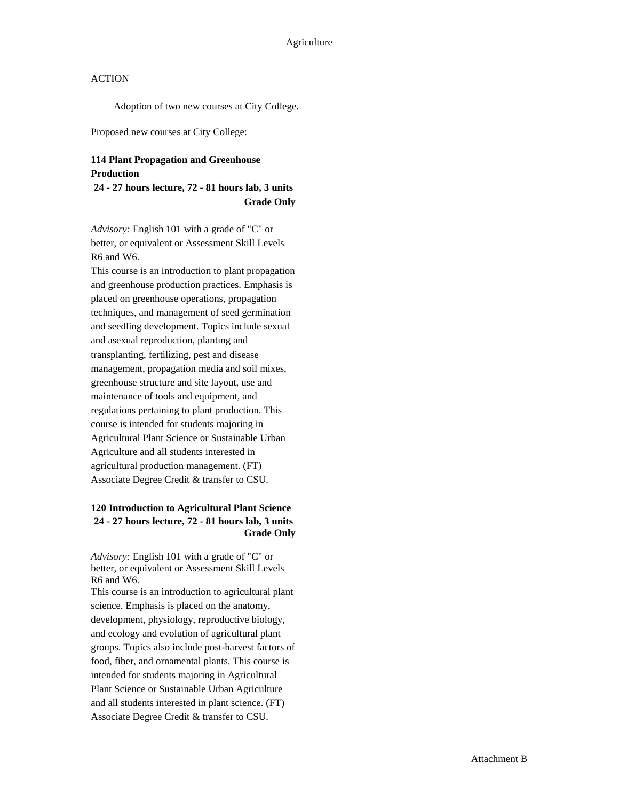Adoption of two new courses at City College.

Proposed new courses at City College:

#### **114 Plant Propagation and Greenhouse Production**

#### **24 - 27 hours lecture, 72 - 81 hours lab, 3 units Grade Only**

*Advisory:* English 101 with a grade of "C" or better, or equivalent or Assessment Skill Levels R6 and W6.

This course is an introduction to plant propagation and greenhouse production practices. Emphasis is placed on greenhouse operations, propagation techniques, and management of seed germination and seedling development. Topics include sexual and asexual reproduction, planting and transplanting, fertilizing, pest and disease management, propagation media and soil mixes, greenhouse structure and site layout, use and maintenance of tools and equipment, and regulations pertaining to plant production. This course is intended for students majoring in Agricultural Plant Science or Sustainable Urban Agriculture and all students interested in agricultural production management. (FT) Associate Degree Credit & transfer to CSU.

# **120 Introduction to Agricultural Plant Science 24 - 27 hours lecture, 72 - 81 hours lab, 3 units Grade Only**

*Advisory:* English 101 with a grade of "C" or better, or equivalent or Assessment Skill Levels R6 and W6.

This course is an introduction to agricultural plant science. Emphasis is placed on the anatomy, development, physiology, reproductive biology, and ecology and evolution of agricultural plant groups. Topics also include post-harvest factors of food, fiber, and ornamental plants. This course is intended for students majoring in Agricultural Plant Science or Sustainable Urban Agriculture and all students interested in plant science. (FT) Associate Degree Credit & transfer to CSU.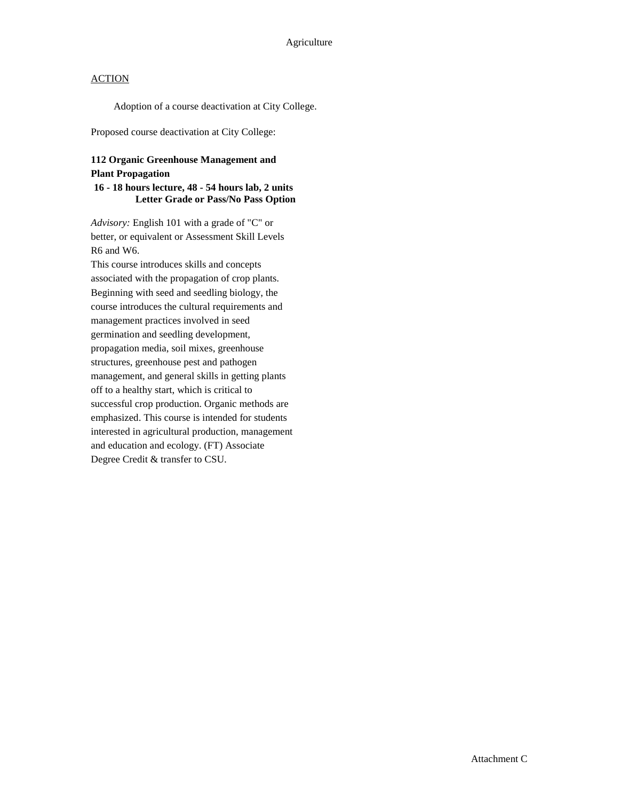Adoption of a course deactivation at City College.

Proposed course deactivation at City College:

# **112 Organic Greenhouse Management and Plant Propagation**

#### **16 - 18 hours lecture, 48 - 54 hours lab, 2 units Letter Grade or Pass/No Pass Option**

*Advisory:* English 101 with a grade of "C" or better, or equivalent or Assessment Skill Levels R6 and W6.

This course introduces skills and concepts associated with the propagation of crop plants. Beginning with seed and seedling biology, the course introduces the cultural requirements and management practices involved in seed germination and seedling development, propagation media, soil mixes, greenhouse structures, greenhouse pest and pathogen management, and general skills in getting plants off to a healthy start, which is critical to successful crop production. Organic methods are emphasized. This course is intended for students interested in agricultural production, management and education and ecology. (FT) Associate Degree Credit & transfer to CSU.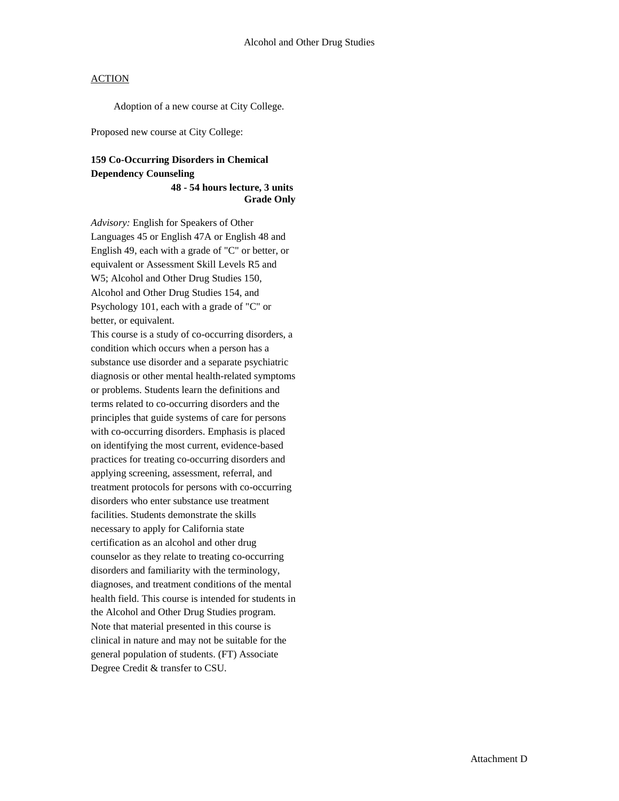Adoption of a new course at City College.

Proposed new course at City College:

# **159 Co-Occurring Disorders in Chemical Dependency Counseling**

**48 - 54 hours lecture, 3 units Grade Only**

*Advisory:* English for Speakers of Other Languages 45 or English 47A or English 48 and English 49, each with a grade of "C" or better, or equivalent or Assessment Skill Levels R5 and W5; Alcohol and Other Drug Studies 150, Alcohol and Other Drug Studies 154, and Psychology 101, each with a grade of "C" or better, or equivalent.

This course is a study of co-occurring disorders, a condition which occurs when a person has a substance use disorder and a separate psychiatric diagnosis or other mental health-related symptoms or problems. Students learn the definitions and terms related to co-occurring disorders and the principles that guide systems of care for persons with co-occurring disorders. Emphasis is placed on identifying the most current, evidence-based practices for treating co-occurring disorders and applying screening, assessment, referral, and treatment protocols for persons with co-occurring disorders who enter substance use treatment facilities. Students demonstrate the skills necessary to apply for California state certification as an alcohol and other drug counselor as they relate to treating co-occurring disorders and familiarity with the terminology, diagnoses, and treatment conditions of the mental health field. This course is intended for students in the Alcohol and Other Drug Studies program. Note that material presented in this course is clinical in nature and may not be suitable for the general population of students. (FT) Associate Degree Credit & transfer to CSU.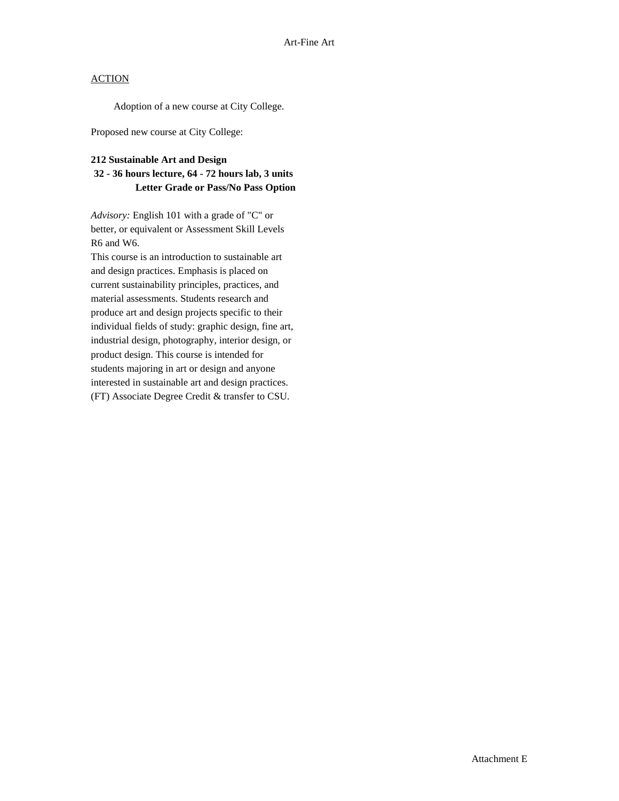Adoption of a new course at City College.

Proposed new course at City College:

#### **212 Sustainable Art and Design**

# **32 - 36 hours lecture, 64 - 72 hours lab, 3 units Letter Grade or Pass/No Pass Option**

*Advisory:* English 101 with a grade of "C" or better, or equivalent or Assessment Skill Levels R6 and W6.

This course is an introduction to sustainable art and design practices. Emphasis is placed on current sustainability principles, practices, and material assessments. Students research and produce art and design projects specific to their individual fields of study: graphic design, fine art, industrial design, photography, interior design, or product design. This course is intended for students majoring in art or design and anyone interested in sustainable art and design practices. (FT) Associate Degree Credit & transfer to CSU.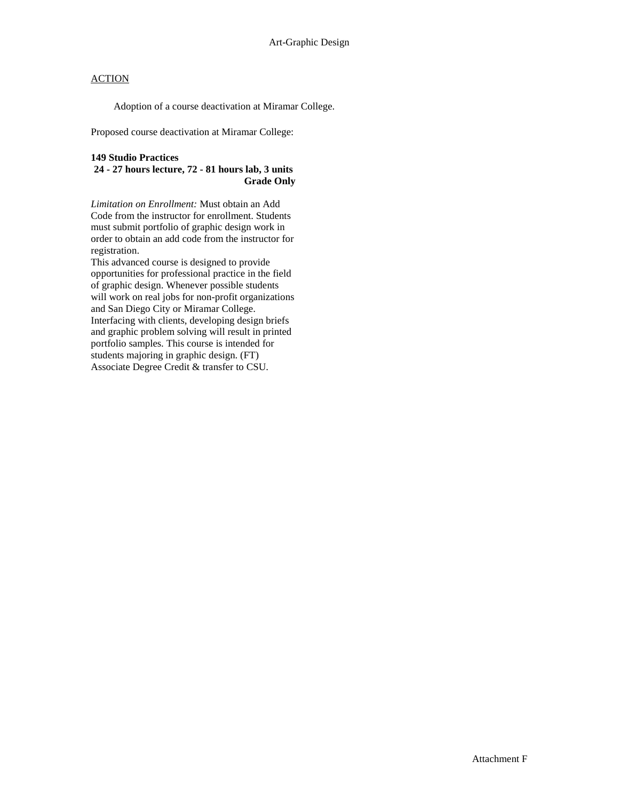Adoption of a course deactivation at Miramar College.

Proposed course deactivation at Miramar College:

#### **149 Studio Practices**

## **24 - 27 hours lecture, 72 - 81 hours lab, 3 units Grade Only**

*Limitation on Enrollment:* Must obtain an Add Code from the instructor for enrollment. Students must submit portfolio of graphic design work in order to obtain an add code from the instructor for registration.

This advanced course is designed to provide opportunities for professional practice in the field of graphic design. Whenever possible students will work on real jobs for non-profit organizations and San Diego City or Miramar College. Interfacing with clients, developing design briefs and graphic problem solving will result in printed portfolio samples. This course is intended for students majoring in graphic design. (FT) Associate Degree Credit & transfer to CSU.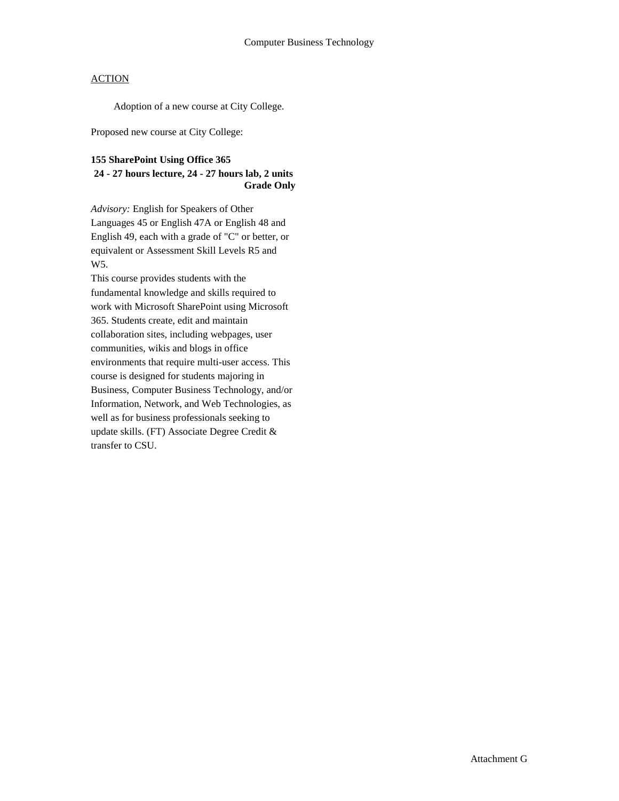Adoption of a new course at City College.

Proposed new course at City College:

#### **155 SharePoint Using Office 365**

# **24 - 27 hours lecture, 24 - 27 hours lab, 2 units Grade Only**

*Advisory:* English for Speakers of Other Languages 45 or English 47A or English 48 and English 49, each with a grade of "C" or better, or equivalent or Assessment Skill Levels R5 and W5.

This course provides students with the fundamental knowledge and skills required to work with Microsoft SharePoint using Microsoft 365. Students create, edit and maintain collaboration sites, including webpages, user communities, wikis and blogs in office environments that require multi-user access. This course is designed for students majoring in Business, Computer Business Technology, and/or Information, Network, and Web Technologies, as well as for business professionals seeking to update skills. (FT) Associate Degree Credit & transfer to CSU.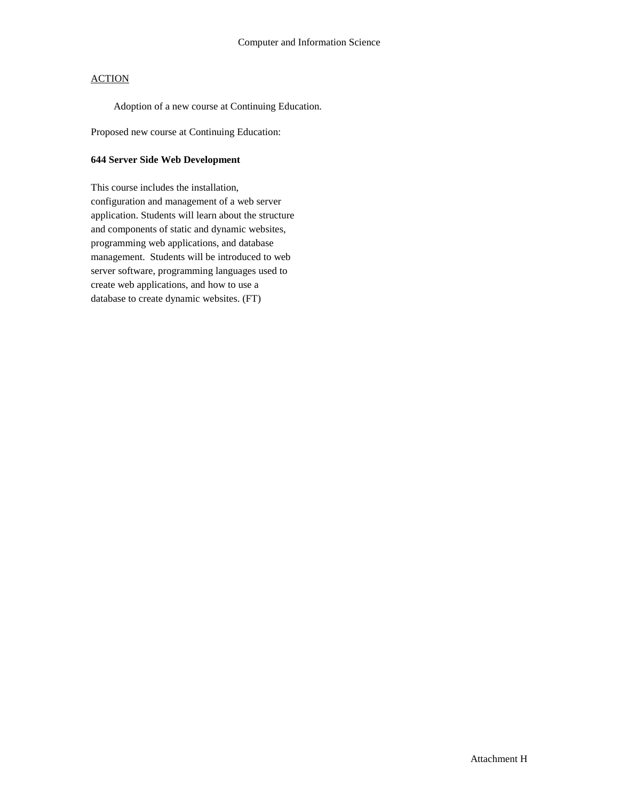Adoption of a new course at Continuing Education.

Proposed new course at Continuing Education:

#### **644 Server Side Web Development**

This course includes the installation, configuration and management of a web server application. Students will learn about the structure and components of static and dynamic websites, programming web applications, and database management. Students will be introduced to web server software, programming languages used to create web applications, and how to use a database to create dynamic websites. (FT)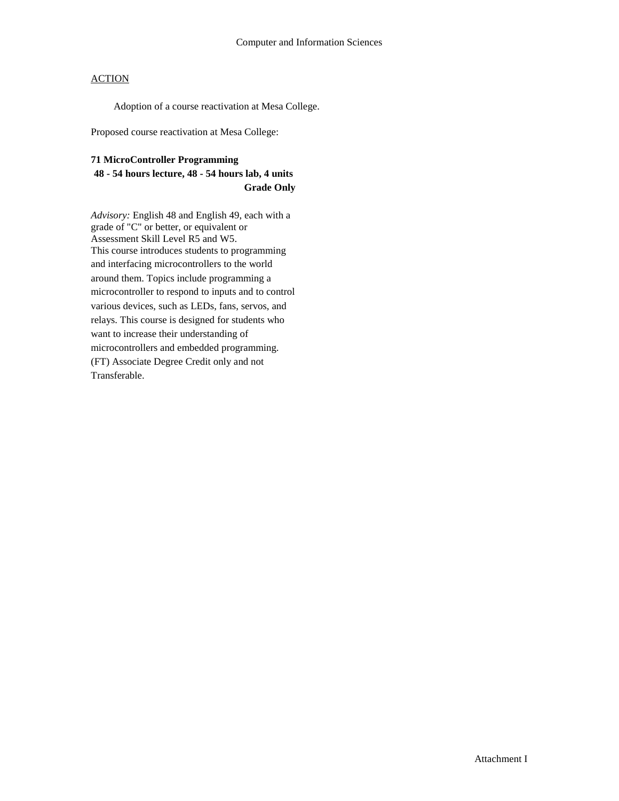Adoption of a course reactivation at Mesa College.

Proposed course reactivation at Mesa College:

## **71 MicroController Programming**

# **48 - 54 hours lecture, 48 - 54 hours lab, 4 units Grade Only**

*Advisory:* English 48 and English 49, each with a grade of "C" or better, or equivalent or Assessment Skill Level R5 and W5. This course introduces students to programming and interfacing microcontrollers to the world around them. Topics include programming a microcontroller to respond to inputs and to control various devices, such as LEDs, fans, servos, and relays. This course is designed for students who want to increase their understanding of microcontrollers and embedded programming. (FT) Associate Degree Credit only and not Transferable.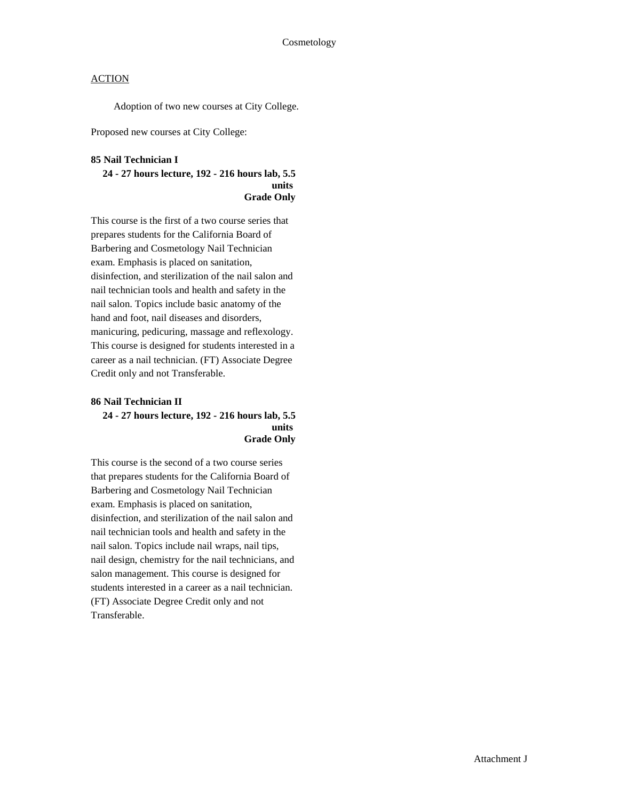Adoption of two new courses at City College.

Proposed new courses at City College:

#### **85 Nail Technician I**

#### **24 - 27 hours lecture, 192 - 216 hours lab, 5.5 units Grade Only**

This course is the first of a two course series that prepares students for the California Board of Barbering and Cosmetology Nail Technician exam. Emphasis is placed on sanitation, disinfection, and sterilization of the nail salon and nail technician tools and health and safety in the nail salon. Topics include basic anatomy of the hand and foot, nail diseases and disorders, manicuring, pedicuring, massage and reflexology. This course is designed for students interested in a career as a nail technician. (FT) Associate Degree Credit only and not Transferable.

#### **86 Nail Technician II 24 - 27 hours lecture, 192 - 216 hours lab, 5.5 units Grade Only**

This course is the second of a two course series that prepares students for the California Board of Barbering and Cosmetology Nail Technician exam. Emphasis is placed on sanitation, disinfection, and sterilization of the nail salon and nail technician tools and health and safety in the nail salon. Topics include nail wraps, nail tips, nail design, chemistry for the nail technicians, and salon management. This course is designed for students interested in a career as a nail technician. (FT) Associate Degree Credit only and not Transferable.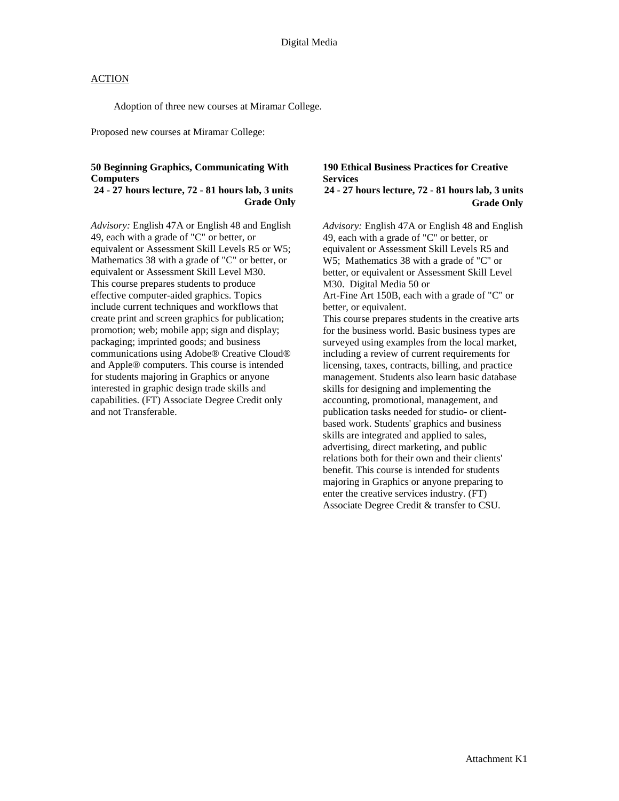Adoption of three new courses at Miramar College.

Proposed new courses at Miramar College:

#### **50 Beginning Graphics, Communicating With Computers**

#### **24 - 27 hours lecture, 72 - 81 hours lab, 3 units Grade Only**

*Advisory:* English 47A or English 48 and English 49, each with a grade of "C" or better, or equivalent or Assessment Skill Levels R5 or W5; Mathematics 38 with a grade of "C" or better, or equivalent or Assessment Skill Level M30. This course prepares students to produce effective computer-aided graphics. Topics include current techniques and workflows that create print and screen graphics for publication; promotion; web; mobile app; sign and display; packaging; imprinted goods; and business communications using Adobe® Creative Cloud® and Apple® computers. This course is intended for students majoring in Graphics or anyone interested in graphic design trade skills and capabilities. (FT) Associate Degree Credit only and not Transferable.

## **190 Ethical Business Practices for Creative Services**

# **24 - 27 hours lecture, 72 - 81 hours lab, 3 units Grade Only**

*Advisory:* English 47A or English 48 and English 49, each with a grade of "C" or better, or equivalent or Assessment Skill Levels R5 and W5; Mathematics 38 with a grade of "C" or better, or equivalent or Assessment Skill Level M30.Digital Media 50 or Art-Fine Art 150B, each with a grade of "C" or better, or equivalent. This course prepares students in the creative arts for the business world. Basic business types are surveyed using examples from the local market, including a review of current requirements for licensing, taxes, contracts, billing, and practice management. Students also learn basic database skills for designing and implementing the accounting, promotional, management, and publication tasks needed for studio- or clientbased work. Students' graphics and business skills are integrated and applied to sales, advertising, direct marketing, and public relations both for their own and their clients' benefit. This course is intended for students majoring in Graphics or anyone preparing to enter the creative services industry. (FT) Associate Degree Credit & transfer to CSU.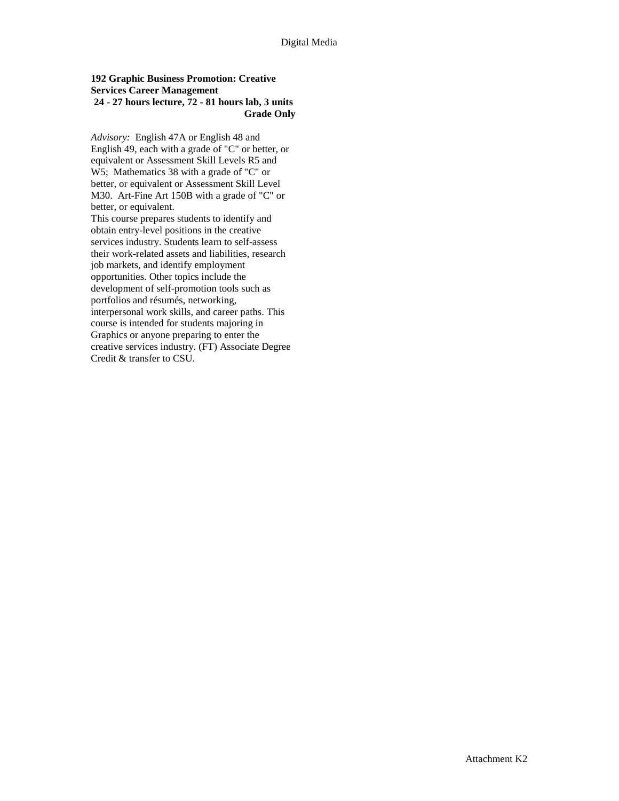#### **192 Graphic Business Promotion: Creative Services Career Management 24 - 27 hours lecture, 72 - 81 hours lab, 3 units Grade Only**

*Advisory:* English 47A or English 48 and English 49, each with a grade of "C" or better, or equivalent or Assessment Skill Levels R5 and W5; Mathematics 38 with a grade of "C" or better, or equivalent or Assessment Skill Level M30.Art-Fine Art 150B with a grade of "C" or better, or equivalent.

This course prepares students to identify and obtain entry-level positions in the creative services industry. Students learn to self-assess their work-related assets and liabilities, research job markets, and identify employment opportunities. Other topics include the development of self-promotion tools such as portfolios and résumés, networking, interpersonal work skills, and career paths. This course is intended for students majoring in Graphics or anyone preparing to enter the creative services industry. (FT) Associate Degree Credit & transfer to CSU.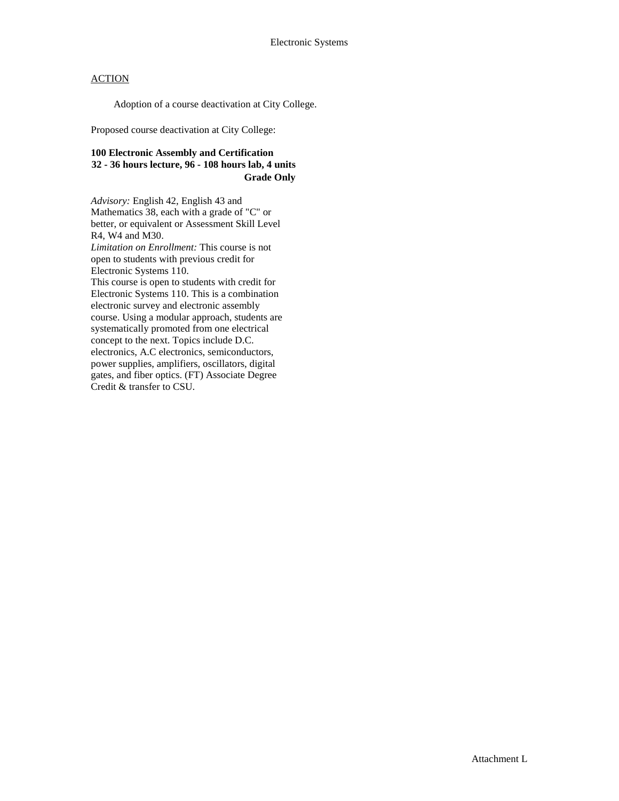Adoption of a course deactivation at City College.

Proposed course deactivation at City College:

## **100 Electronic Assembly and Certification 32 - 36 hours lecture, 96 - 108 hours lab, 4 units Grade Only**

*Advisory:* English 42, English 43 and Mathematics 38, each with a grade of "C" or better, or equivalent or Assessment Skill Level R4, W4 and M30. *Limitation on Enrollment:* This course is not open to students with previous credit for Electronic Systems 110. This course is open to students with credit for Electronic Systems 110. This is a combination electronic survey and electronic assembly course. Using a modular approach, students are systematically promoted from one electrical concept to the next. Topics include D.C. electronics, A.C electronics, semiconductors, power supplies, amplifiers, oscillators, digital gates, and fiber optics. (FT) Associate Degree Credit & transfer to CSU.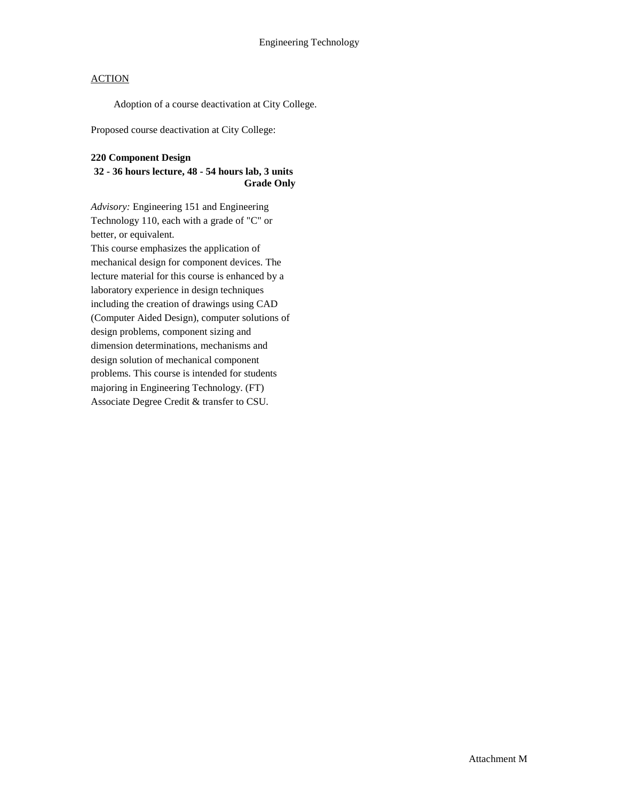Adoption of a course deactivation at City College.

Proposed course deactivation at City College:

#### **220 Component Design**

## **32 - 36 hours lecture, 48 - 54 hours lab, 3 units Grade Only**

*Advisory:* Engineering 151 and Engineering Technology 110, each with a grade of "C" or better, or equivalent. This course emphasizes the application of mechanical design for component devices. The lecture material for this course is enhanced by a laboratory experience in design techniques including the creation of drawings using CAD (Computer Aided Design), computer solutions of design problems, component sizing and dimension determinations, mechanisms and design solution of mechanical component problems. This course is intended for students majoring in Engineering Technology. (FT) Associate Degree Credit & transfer to CSU.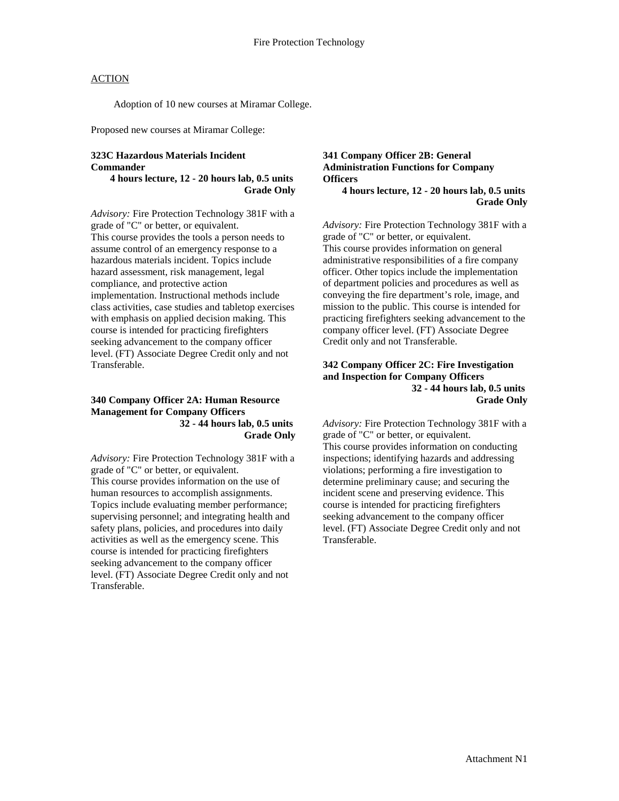Adoption of 10 new courses at Miramar College.

Proposed new courses at Miramar College:

# **323C Hazardous Materials Incident Commander**

**4 hours lecture, 12 - 20 hours lab, 0.5 units Grade Only**

*Advisory:* Fire Protection Technology 381F with a grade of "C" or better, or equivalent. This course provides the tools a person needs to assume control of an emergency response to a hazardous materials incident. Topics include hazard assessment, risk management, legal compliance, and protective action implementation. Instructional methods include class activities, case studies and tabletop exercises with emphasis on applied decision making. This course is intended for practicing firefighters seeking advancement to the company officer level. (FT) Associate Degree Credit only and not Transferable.

#### **340 Company Officer 2A: Human Resource Management for Company Officers 32 - 44 hours lab, 0.5 units Grade Only**

*Advisory:* Fire Protection Technology 381F with a grade of "C" or better, or equivalent. This course provides information on the use of human resources to accomplish assignments. Topics include evaluating member performance; supervising personnel; and integrating health and safety plans, policies, and procedures into daily activities as well as the emergency scene. This course is intended for practicing firefighters seeking advancement to the company officer level. (FT) Associate Degree Credit only and not Transferable.

# **341 Company Officer 2B: General Administration Functions for Company Officers**

**4 hours lecture, 12 - 20 hours lab, 0.5 units Grade Only**

*Advisory:* Fire Protection Technology 381F with a grade of "C" or better, or equivalent. This course provides information on general administrative responsibilities of a fire company officer. Other topics include the implementation of department policies and procedures as well as conveying the fire department's role, image, and mission to the public. This course is intended for practicing firefighters seeking advancement to the company officer level. (FT) Associate Degree Credit only and not Transferable.

#### **342 Company Officer 2C: Fire Investigation and Inspection for Company Officers 32 - 44 hours lab, 0.5 units Grade Only**

*Advisory:* Fire Protection Technology 381F with a grade of "C" or better, or equivalent. This course provides information on conducting inspections; identifying hazards and addressing violations; performing a fire investigation to determine preliminary cause; and securing the incident scene and preserving evidence. This course is intended for practicing firefighters seeking advancement to the company officer level. (FT) Associate Degree Credit only and not Transferable.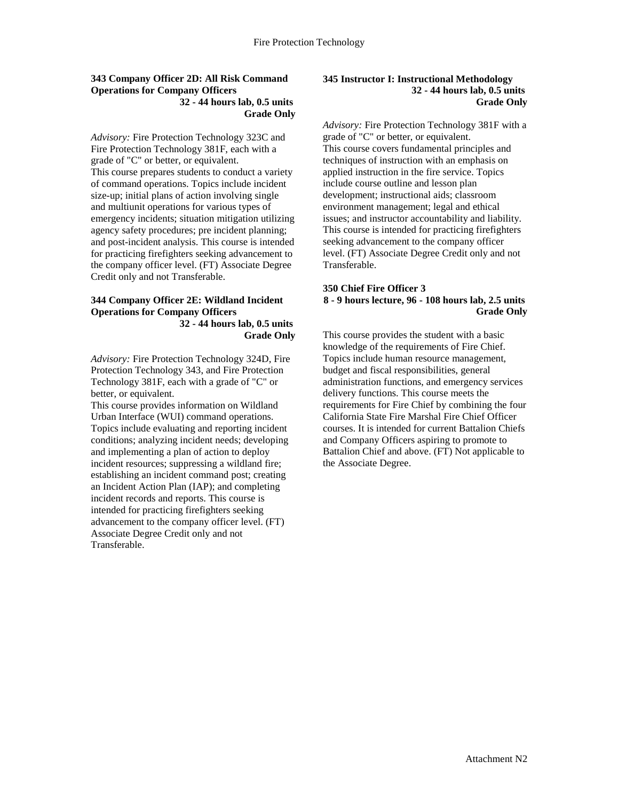#### **343 Company Officer 2D: All Risk Command Operations for Company Officers 32 - 44 hours lab, 0.5 units Grade Only**

*Advisory:* Fire Protection Technology 323C and Fire Protection Technology 381F, each with a grade of "C" or better, or equivalent. This course prepares students to conduct a variety of command operations. Topics include incident size-up; initial plans of action involving single and multiunit operations for various types of emergency incidents; situation mitigation utilizing agency safety procedures; pre incident planning; and post-incident analysis. This course is intended for practicing firefighters seeking advancement to the company officer level. (FT) Associate Degree Credit only and not Transferable.

#### **344 Company Officer 2E: Wildland Incident Operations for Company Officers 32 - 44 hours lab, 0.5 units Grade Only**

*Advisory:* Fire Protection Technology 324D, Fire Protection Technology 343, and Fire Protection Technology 381F, each with a grade of "C" or better, or equivalent.

This course provides information on Wildland Urban Interface (WUI) command operations. Topics include evaluating and reporting incident conditions; analyzing incident needs; developing and implementing a plan of action to deploy incident resources; suppressing a wildland fire; establishing an incident command post; creating an Incident Action Plan (IAP); and completing incident records and reports. This course is intended for practicing firefighters seeking advancement to the company officer level. (FT) Associate Degree Credit only and not Transferable.

#### **345 Instructor I: Instructional Methodology 32 - 44 hours lab, 0.5 units Grade Only**

*Advisory:* Fire Protection Technology 381F with a grade of "C" or better, or equivalent. This course covers fundamental principles and techniques of instruction with an emphasis on applied instruction in the fire service. Topics include course outline and lesson plan development; instructional aids; classroom environment management; legal and ethical issues; and instructor accountability and liability. This course is intended for practicing firefighters seeking advancement to the company officer level. (FT) Associate Degree Credit only and not Transferable.

#### **350 Chief Fire Officer 3 8 - 9 hours lecture, 96 - 108 hours lab, 2.5 units Grade Only**

This course provides the student with a basic knowledge of the requirements of Fire Chief. Topics include human resource management, budget and fiscal responsibilities, general administration functions, and emergency services delivery functions. This course meets the requirements for Fire Chief by combining the four California State Fire Marshal Fire Chief Officer courses. It is intended for current Battalion Chiefs and Company Officers aspiring to promote to Battalion Chief and above. (FT) Not applicable to the Associate Degree.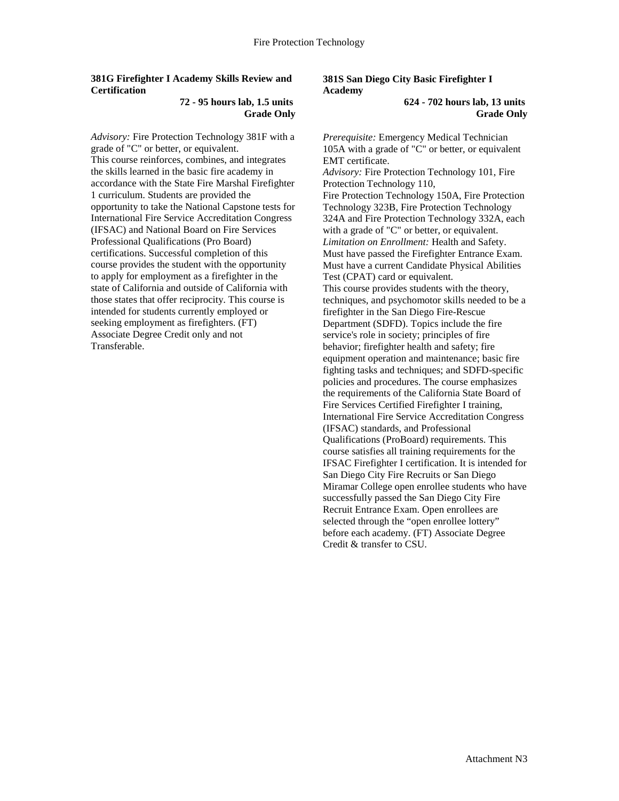## **381G Firefighter I Academy Skills Review and Certification**

#### **72 - 95 hours lab, 1.5 units Grade Only**

*Advisory:* Fire Protection Technology 381F with a grade of "C" or better, or equivalent. This course reinforces, combines, and integrates the skills learned in the basic fire academy in accordance with the State Fire Marshal Firefighter 1 curriculum. Students are provided the opportunity to take the National Capstone tests for International Fire Service Accreditation Congress (IFSAC) and National Board on Fire Services Professional Qualifications (Pro Board) certifications. Successful completion of this course provides the student with the opportunity to apply for employment as a firefighter in the state of California and outside of California with those states that offer reciprocity. This course is intended for students currently employed or seeking employment as firefighters. (FT) Associate Degree Credit only and not Transferable.

# **381S San Diego City Basic Firefighter I Academy**

#### **624 - 702 hours lab, 13 units Grade Only**

*Prerequisite:* Emergency Medical Technician 105A with a grade of "C" or better, or equivalent EMT certificate. *Advisory:* Fire Protection Technology 101, Fire Protection Technology 110, Fire Protection Technology 150A, Fire Protection Technology 323B, Fire Protection Technology 324A and Fire Protection Technology 332A, each with a grade of "C" or better, or equivalent. *Limitation on Enrollment:* Health and Safety. Must have passed the Firefighter Entrance Exam. Must have a current Candidate Physical Abilities Test (CPAT) card or equivalent. This course provides students with the theory, techniques, and psychomotor skills needed to be a firefighter in the San Diego Fire-Rescue Department (SDFD). Topics include the fire service's role in society; principles of fire behavior; firefighter health and safety; fire equipment operation and maintenance; basic fire fighting tasks and techniques; and SDFD-specific policies and procedures. The course emphasizes the requirements of the California State Board of Fire Services Certified Firefighter I training, International Fire Service Accreditation Congress (IFSAC) standards, and Professional Qualifications (ProBoard) requirements. This course satisfies all training requirements for the IFSAC Firefighter I certification. It is intended for San Diego City Fire Recruits or San Diego Miramar College open enrollee students who have successfully passed the San Diego City Fire Recruit Entrance Exam. Open enrollees are selected through the "open enrollee lottery" before each academy. (FT) Associate Degree Credit & transfer to CSU.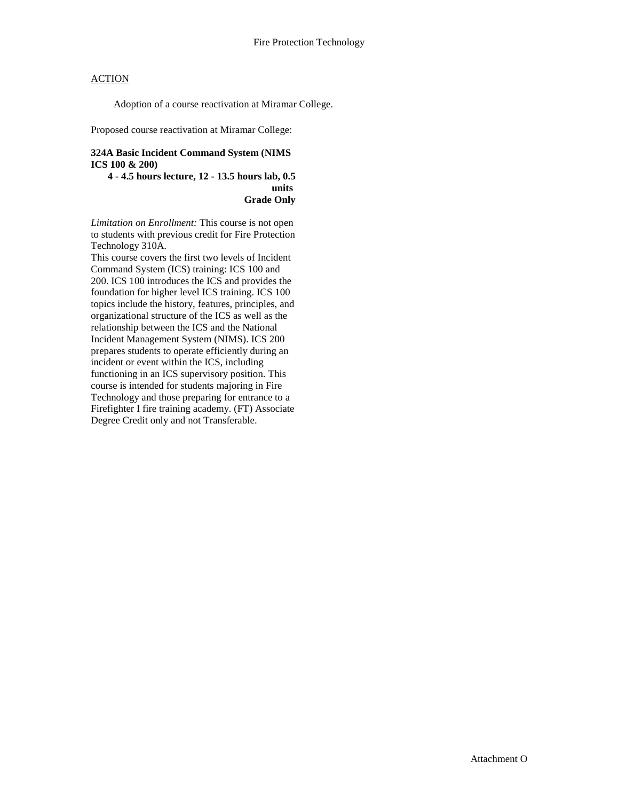Adoption of a course reactivation at Miramar College.

Proposed course reactivation at Miramar College:

#### **324A Basic Incident Command System (NIMS ICS 100 & 200)**

**4 - 4.5 hours lecture, 12 - 13.5 hours lab, 0.5 units Grade Only**

*Limitation on Enrollment:* This course is not open to students with previous credit for Fire Protection Technology 310A.

This course covers the first two levels of Incident Command System (ICS) training: ICS 100 and 200. ICS 100 introduces the ICS and provides the foundation for higher level ICS training. ICS 100 topics include the history, features, principles, and organizational structure of the ICS as well as the relationship between the ICS and the National Incident Management System (NIMS). ICS 200 prepares students to operate efficiently during an incident or event within the ICS, including functioning in an ICS supervisory position. This course is intended for students majoring in Fire Technology and those preparing for entrance to a Firefighter I fire training academy. (FT) Associate Degree Credit only and not Transferable.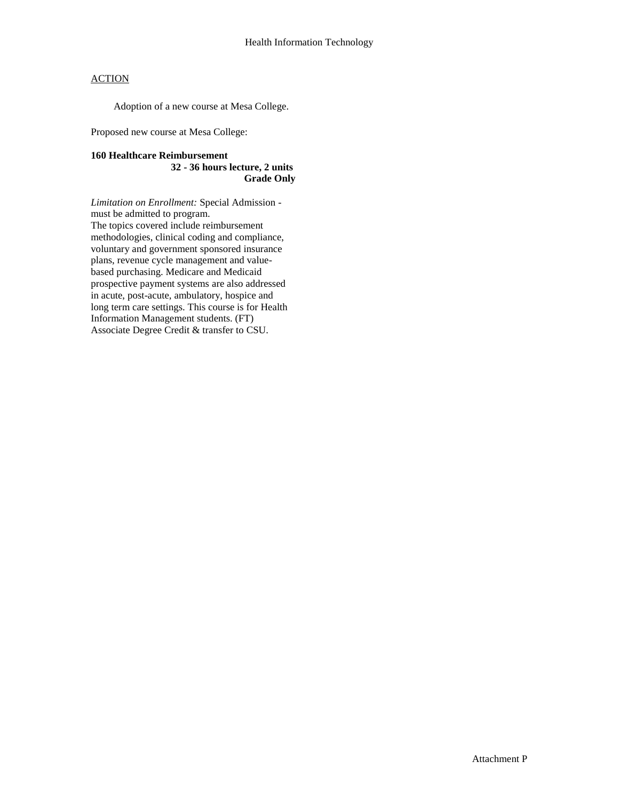Adoption of a new course at Mesa College.

Proposed new course at Mesa College:

#### **160 Healthcare Reimbursement**

**32 - 36 hours lecture, 2 units Grade Only**

*Limitation on Enrollment:* Special Admission must be admitted to program. The topics covered include reimbursement methodologies, clinical coding and compliance, voluntary and government sponsored insurance plans, revenue cycle management and valuebased purchasing. Medicare and Medicaid prospective payment systems are also addressed in acute, post-acute, ambulatory, hospice and long term care settings. This course is for Health Information Management students. (FT) Associate Degree Credit & transfer to CSU.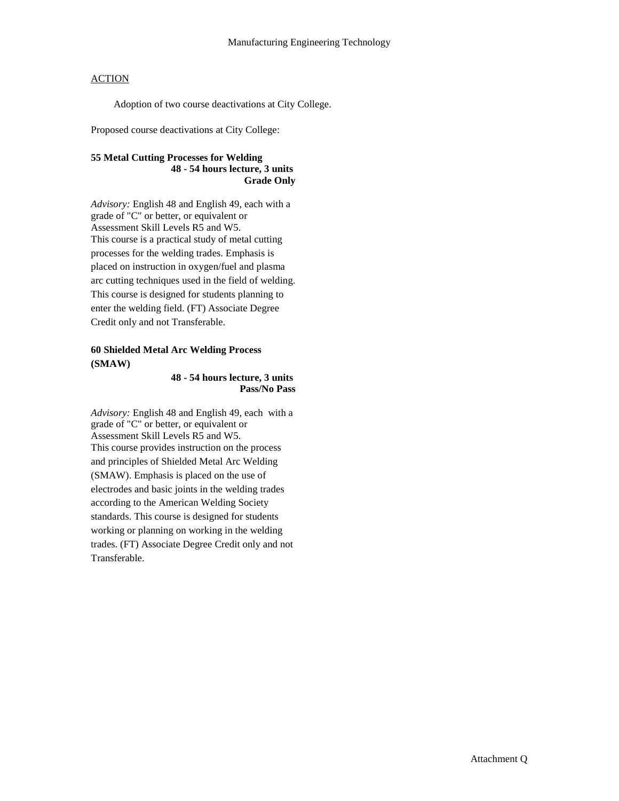Adoption of two course deactivations at City College.

Proposed course deactivations at City College:

## **55 Metal Cutting Processes for Welding 48 - 54 hours lecture, 3 units Grade Only**

*Advisory:* English 48 and English 49, each with a grade of "C" or better, or equivalent or Assessment Skill Levels R5 and W5. This course is a practical study of metal cutting processes for the welding trades. Emphasis is placed on instruction in oxygen/fuel and plasma arc cutting techniques used in the field of welding. This course is designed for students planning to enter the welding field. (FT) Associate Degree Credit only and not Transferable.

# **60 Shielded Metal Arc Welding Process (SMAW)**

#### **48 - 54 hours lecture, 3 units Pass/No Pass**

*Advisory:* English 48 and English 49, each with a grade of "C" or better, or equivalent or Assessment Skill Levels R5 and W5. This course provides instruction on the process and principles of Shielded Metal Arc Welding (SMAW). Emphasis is placed on the use of electrodes and basic joints in the welding trades according to the American Welding Society standards. This course is designed for students working or planning on working in the welding trades. (FT) Associate Degree Credit only and not Transferable.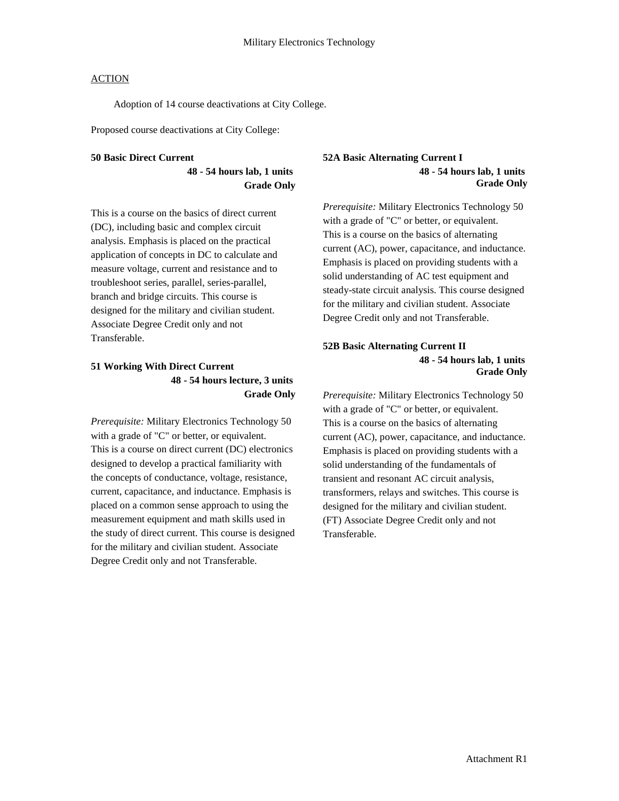Adoption of 14 course deactivations at City College.

Proposed course deactivations at City College:

#### **50 Basic Direct Current**

**48 - 54 hours lab, 1 units Grade Only**

This is a course on the basics of direct current (DC), including basic and complex circuit analysis. Emphasis is placed on the practical application of concepts in DC to calculate and measure voltage, current and resistance and to troubleshoot series, parallel, series-parallel, branch and bridge circuits. This course is designed for the military and civilian student. Associate Degree Credit only and not Transferable.

# **51 Working With Direct Current 48 - 54 hours lecture, 3 units Grade Only**

*Prerequisite:* Military Electronics Technology 50 with a grade of "C" or better, or equivalent. This is a course on direct current (DC) electronics designed to develop a practical familiarity with the concepts of conductance, voltage, resistance, current, capacitance, and inductance. Emphasis is placed on a common sense approach to using the measurement equipment and math skills used in the study of direct current. This course is designed for the military and civilian student. Associate Degree Credit only and not Transferable.

## **52A Basic Alternating Current I 48 - 54 hours lab, 1 units Grade Only**

*Prerequisite:* Military Electronics Technology 50 with a grade of "C" or better, or equivalent. This is a course on the basics of alternating current (AC), power, capacitance, and inductance. Emphasis is placed on providing students with a solid understanding of AC test equipment and steady-state circuit analysis. This course designed for the military and civilian student. Associate Degree Credit only and not Transferable.

#### **52B Basic Alternating Current II 48 - 54 hours lab, 1 units Grade Only**

*Prerequisite:* Military Electronics Technology 50 with a grade of "C" or better, or equivalent. This is a course on the basics of alternating current (AC), power, capacitance, and inductance. Emphasis is placed on providing students with a solid understanding of the fundamentals of transient and resonant AC circuit analysis, transformers, relays and switches. This course is designed for the military and civilian student. (FT) Associate Degree Credit only and not Transferable.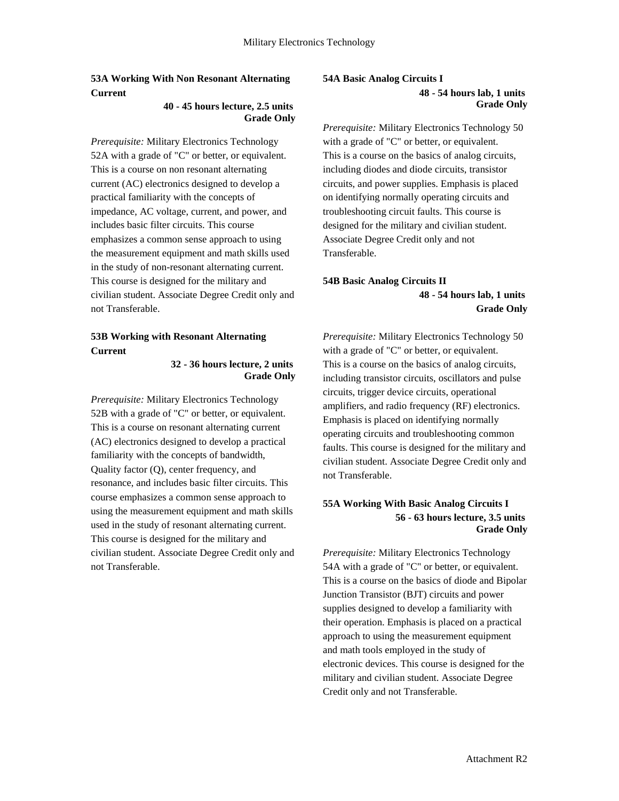# **53A Working With Non Resonant Alternating Current**

#### **40 - 45 hours lecture, 2.5 units Grade Only**

*Prerequisite:* Military Electronics Technology 52A with a grade of "C" or better, or equivalent. This is a course on non resonant alternating current (AC) electronics designed to develop a practical familiarity with the concepts of impedance, AC voltage, current, and power, and includes basic filter circuits. This course emphasizes a common sense approach to using the measurement equipment and math skills used in the study of non-resonant alternating current. This course is designed for the military and civilian student. Associate Degree Credit only and not Transferable.

# **53B Working with Resonant Alternating Current**

#### **32 - 36 hours lecture, 2 units Grade Only**

*Prerequisite:* Military Electronics Technology 52B with a grade of "C" or better, or equivalent. This is a course on resonant alternating current (AC) electronics designed to develop a practical familiarity with the concepts of bandwidth, Quality factor (Q), center frequency, and resonance, and includes basic filter circuits. This course emphasizes a common sense approach to using the measurement equipment and math skills used in the study of resonant alternating current. This course is designed for the military and civilian student. Associate Degree Credit only and not Transferable.

#### **54A Basic Analog Circuits I 48 - 54 hours lab, 1 units Grade Only**

*Prerequisite:* Military Electronics Technology 50 with a grade of "C" or better, or equivalent. This is a course on the basics of analog circuits, including diodes and diode circuits, transistor circuits, and power supplies. Emphasis is placed on identifying normally operating circuits and troubleshooting circuit faults. This course is designed for the military and civilian student. Associate Degree Credit only and not Transferable.

# **54B Basic Analog Circuits II 48 - 54 hours lab, 1 units Grade Only**

*Prerequisite:* Military Electronics Technology 50 with a grade of "C" or better, or equivalent. This is a course on the basics of analog circuits, including transistor circuits, oscillators and pulse circuits, trigger device circuits, operational amplifiers, and radio frequency (RF) electronics. Emphasis is placed on identifying normally operating circuits and troubleshooting common faults. This course is designed for the military and civilian student. Associate Degree Credit only and not Transferable.

# **55A Working With Basic Analog Circuits I 56 - 63 hours lecture, 3.5 units Grade Only**

*Prerequisite:* Military Electronics Technology 54A with a grade of "C" or better, or equivalent. This is a course on the basics of diode and Bipolar Junction Transistor (BJT) circuits and power supplies designed to develop a familiarity with their operation. Emphasis is placed on a practical approach to using the measurement equipment and math tools employed in the study of electronic devices. This course is designed for the military and civilian student. Associate Degree Credit only and not Transferable.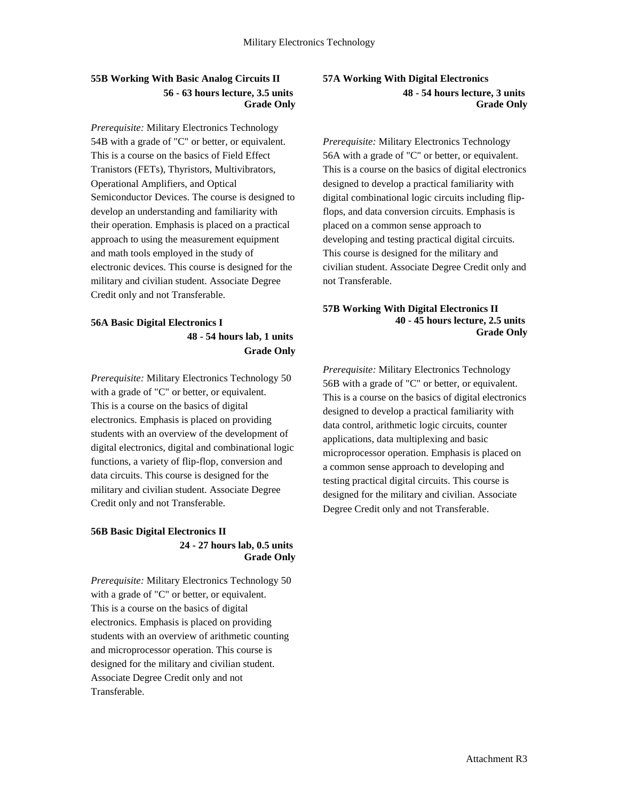# **55B Working With Basic Analog Circuits II 56 - 63 hours lecture, 3.5 units Grade Only**

*Prerequisite:* Military Electronics Technology 54B with a grade of "C" or better, or equivalent. This is a course on the basics of Field Effect Tranistors (FETs), Thyristors, Multivibrators, Operational Amplifiers, and Optical Semiconductor Devices. The course is designed to develop an understanding and familiarity with their operation. Emphasis is placed on a practical approach to using the measurement equipment and math tools employed in the study of electronic devices. This course is designed for the military and civilian student. Associate Degree Credit only and not Transferable.

# **56A Basic Digital Electronics I 48 - 54 hours lab, 1 units Grade Only**

*Prerequisite:* Military Electronics Technology 50 with a grade of "C" or better, or equivalent. This is a course on the basics of digital electronics. Emphasis is placed on providing students with an overview of the development of digital electronics, digital and combinational logic functions, a variety of flip-flop, conversion and data circuits. This course is designed for the military and civilian student. Associate Degree Credit only and not Transferable.

#### **56B Basic Digital Electronics II 24 - 27 hours lab, 0.5 units Grade Only**

*Prerequisite:* Military Electronics Technology 50 with a grade of "C" or better, or equivalent. This is a course on the basics of digital electronics. Emphasis is placed on providing students with an overview of arithmetic counting and microprocessor operation. This course is designed for the military and civilian student. Associate Degree Credit only and not Transferable.

## **57A Working With Digital Electronics 48 - 54 hours lecture, 3 units Grade Only**

*Prerequisite:* Military Electronics Technology 56A with a grade of "C" or better, or equivalent. This is a course on the basics of digital electronics designed to develop a practical familiarity with digital combinational logic circuits including flipflops, and data conversion circuits. Emphasis is placed on a common sense approach to developing and testing practical digital circuits. This course is designed for the military and civilian student. Associate Degree Credit only and not Transferable.

## **57B Working With Digital Electronics II 40 - 45 hours lecture, 2.5 units Grade Only**

*Prerequisite:* Military Electronics Technology 56B with a grade of "C" or better, or equivalent. This is a course on the basics of digital electronics designed to develop a practical familiarity with data control, arithmetic logic circuits, counter applications, data multiplexing and basic microprocessor operation. Emphasis is placed on a common sense approach to developing and testing practical digital circuits. This course is designed for the military and civilian. Associate Degree Credit only and not Transferable.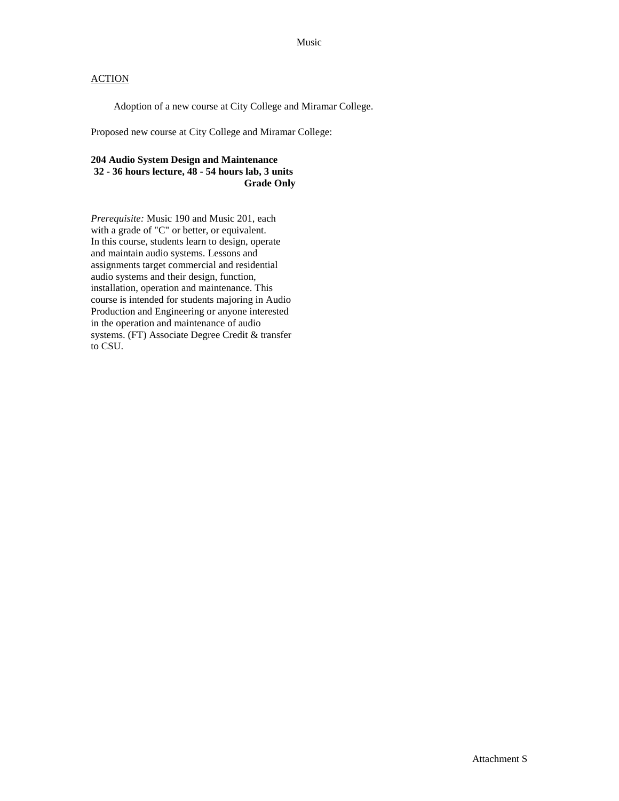Adoption of a new course at City College and Miramar College.

Proposed new course at City College and Miramar College:

# **204 Audio System Design and Maintenance 32 - 36 hours lecture, 48 - 54 hours lab, 3 units Grade Only**

*Prerequisite:* Music 190 and Music 201, each with a grade of "C" or better, or equivalent. In this course, students learn to design, operate and maintain audio systems. Lessons and assignments target commercial and residential audio systems and their design, function, installation, operation and maintenance. This course is intended for students majoring in Audio Production and Engineering or anyone interested in the operation and maintenance of audio systems. (FT) Associate Degree Credit & transfer to CSU.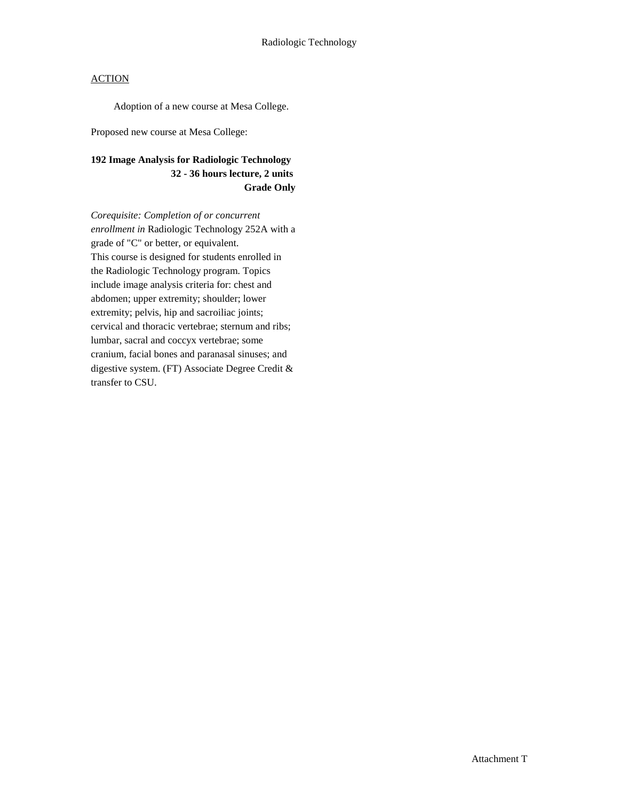Adoption of a new course at Mesa College.

Proposed new course at Mesa College:

# **192 Image Analysis for Radiologic Technology 32 - 36 hours lecture, 2 units Grade Only**

*Corequisite: Completion of or concurrent enrollment in* Radiologic Technology 252A with a grade of "C" or better, or equivalent. This course is designed for students enrolled in the Radiologic Technology program. Topics include image analysis criteria for: chest and abdomen; upper extremity; shoulder; lower extremity; pelvis, hip and sacroiliac joints; cervical and thoracic vertebrae; sternum and ribs; lumbar, sacral and coccyx vertebrae; some cranium, facial bones and paranasal sinuses; and digestive system. (FT) Associate Degree Credit & transfer to CSU.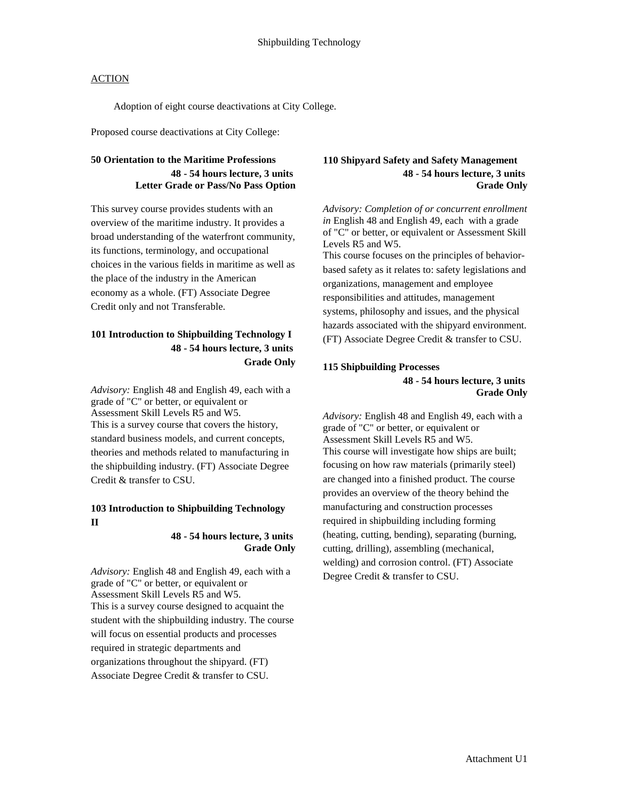Adoption of eight course deactivations at City College.

Proposed course deactivations at City College:

# **50 Orientation to the Maritime Professions 48 - 54 hours lecture, 3 units Letter Grade or Pass/No Pass Option**

This survey course provides students with an overview of the maritime industry. It provides a broad understanding of the waterfront community, its functions, terminology, and occupational choices in the various fields in maritime as well as the place of the industry in the American economy as a whole. (FT) Associate Degree Credit only and not Transferable.

# **101 Introduction to Shipbuilding Technology I 48 - 54 hours lecture, 3 units Grade Only**

*Advisory:* English 48 and English 49, each with a grade of "C" or better, or equivalent or Assessment Skill Levels R5 and W5. This is a survey course that covers the history, standard business models, and current concepts, theories and methods related to manufacturing in the shipbuilding industry. (FT) Associate Degree Credit & transfer to CSU.

#### **103 Introduction to Shipbuilding Technology II**

#### **48 - 54 hours lecture, 3 units Grade Only**

*Advisory:* English 48 and English 49, each with a grade of "C" or better, or equivalent or Assessment Skill Levels R5 and W5. This is a survey course designed to acquaint the student with the shipbuilding industry. The course will focus on essential products and processes required in strategic departments and organizations throughout the shipyard. (FT) Associate Degree Credit & transfer to CSU.

#### **110 Shipyard Safety and Safety Management 48 - 54 hours lecture, 3 units Grade Only**

*Advisory: Completion of or concurrent enrollment in* English 48 and English 49, each with a grade of "C" or better, or equivalent or Assessment Skill Levels R5 and W5. This course focuses on the principles of behavior-

based safety as it relates to: safety legislations and organizations, management and employee responsibilities and attitudes, management systems, philosophy and issues, and the physical hazards associated with the shipyard environment. (FT) Associate Degree Credit & transfer to CSU.

#### **115 Shipbuilding Processes 48 - 54 hours lecture, 3 units Grade Only**

*Advisory:* English 48 and English 49, each with a grade of "C" or better, or equivalent or Assessment Skill Levels R5 and W5. This course will investigate how ships are built; focusing on how raw materials (primarily steel) are changed into a finished product. The course provides an overview of the theory behind the manufacturing and construction processes required in shipbuilding including forming (heating, cutting, bending), separating (burning, cutting, drilling), assembling (mechanical, welding) and corrosion control. (FT) Associate Degree Credit & transfer to CSU.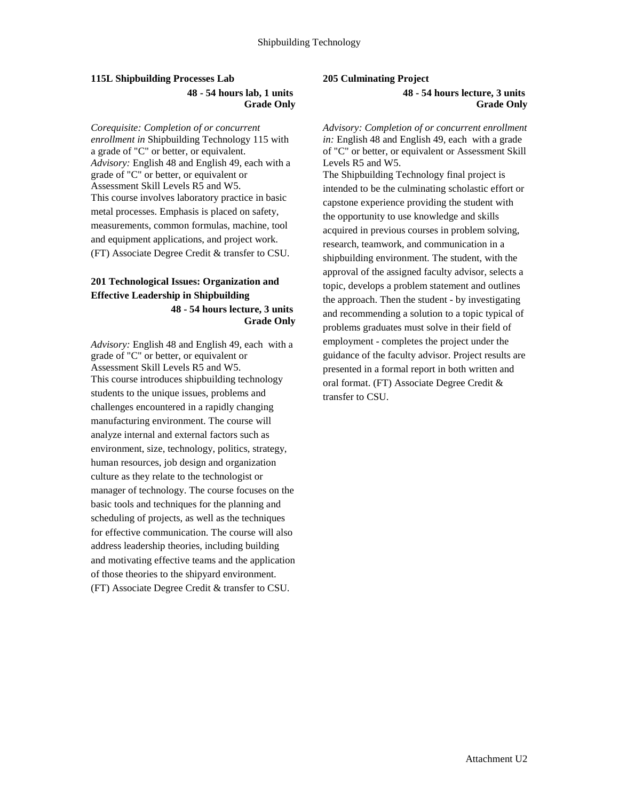# **115L Shipbuilding Processes Lab 48 - 54 hours lab, 1 units Grade Only**

*Corequisite: Completion of or concurrent enrollment in* Shipbuilding Technology 115 with a grade of "C" or better, or equivalent. *Advisory:* English 48 and English 49, each with a grade of "C" or better, or equivalent or Assessment Skill Levels R5 and W5. This course involves laboratory practice in basic metal processes. Emphasis is placed on safety, measurements, common formulas, machine, tool and equipment applications, and project work. (FT) Associate Degree Credit & transfer to CSU.

# **201 Technological Issues: Organization and Effective Leadership in Shipbuilding 48 - 54 hours lecture, 3 units Grade Only**

*Advisory:* English 48 and English 49, each with a grade of "C" or better, or equivalent or Assessment Skill Levels R5 and W5. This course introduces shipbuilding technology students to the unique issues, problems and challenges encountered in a rapidly changing manufacturing environment. The course will analyze internal and external factors such as environment, size, technology, politics, strategy, human resources, job design and organization culture as they relate to the technologist or manager of technology. The course focuses on the basic tools and techniques for the planning and scheduling of projects, as well as the techniques for effective communication. The course will also address leadership theories, including building and motivating effective teams and the application of those theories to the shipyard environment. (FT) Associate Degree Credit & transfer to CSU.

#### **205 Culminating Project**

**48 - 54 hours lecture, 3 units Grade Only**

*Advisory: Completion of or concurrent enrollment in:* English 48 and English 49, each with a grade of "C" or better, or equivalent or Assessment Skill Levels R5 and W5. The Shipbuilding Technology final project is intended to be the culminating scholastic effort or capstone experience providing the student with the opportunity to use knowledge and skills acquired in previous courses in problem solving, research, teamwork, and communication in a shipbuilding environment. The student, with the approval of the assigned faculty advisor, selects a topic, develops a problem statement and outlines the approach. Then the student - by investigating and recommending a solution to a topic typical of problems graduates must solve in their field of employment - completes the project under the guidance of the faculty advisor. Project results are presented in a formal report in both written and oral format. (FT) Associate Degree Credit & transfer to CSU.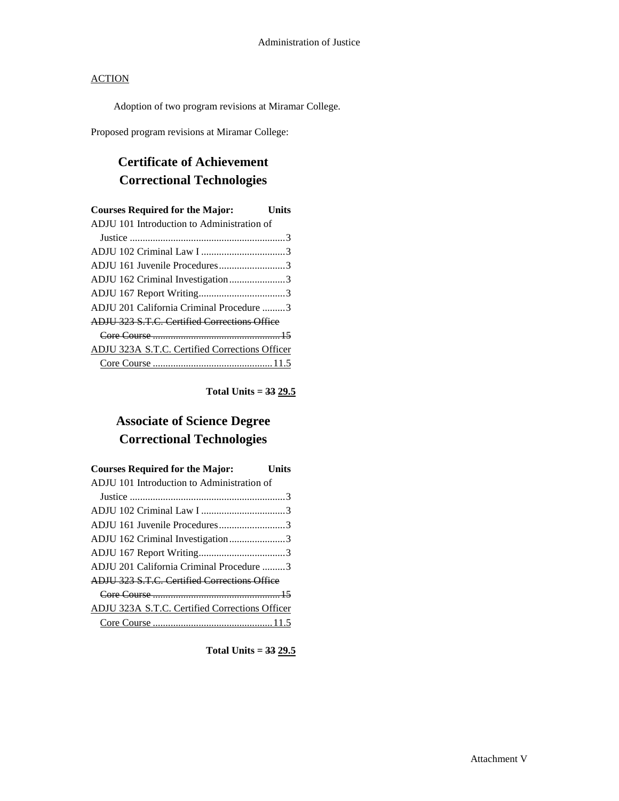Adoption of two program revisions at Miramar College.

Proposed program revisions at Miramar College:

# **Certificate of Achievement Correctional Technologies**

| <b>Courses Required for the Major:</b>              | Units |
|-----------------------------------------------------|-------|
| ADJU 101 Introduction to Administration of          |       |
|                                                     |       |
|                                                     |       |
| ADJU 161 Juvenile Procedures3                       |       |
| ADJU 162 Criminal Investigation3                    |       |
|                                                     |       |
| ADJU 201 California Criminal Procedure 3            |       |
| <b>ADIU 323 S.T.C. Certified Corrections Office</b> |       |
|                                                     |       |
| ADJU 323A S.T.C. Certified Corrections Officer      |       |
|                                                     |       |

**Total Units = 33 29.5**

# **Associate of Science Degree Correctional Technologies**

| <b>Courses Required for the Major:</b>              | Units |
|-----------------------------------------------------|-------|
| ADJU 101 Introduction to Administration of          |       |
|                                                     |       |
|                                                     |       |
| ADJU 161 Juvenile Procedures3                       |       |
| ADJU 162 Criminal Investigation3                    |       |
|                                                     |       |
| ADJU 201 California Criminal Procedure 3            |       |
| <b>ADJU 323 S.T.C. Certified Corrections Office</b> |       |
|                                                     |       |
| ADJU 323A S.T.C. Certified Corrections Officer      |       |
|                                                     |       |

**Total Units = 33 29.5**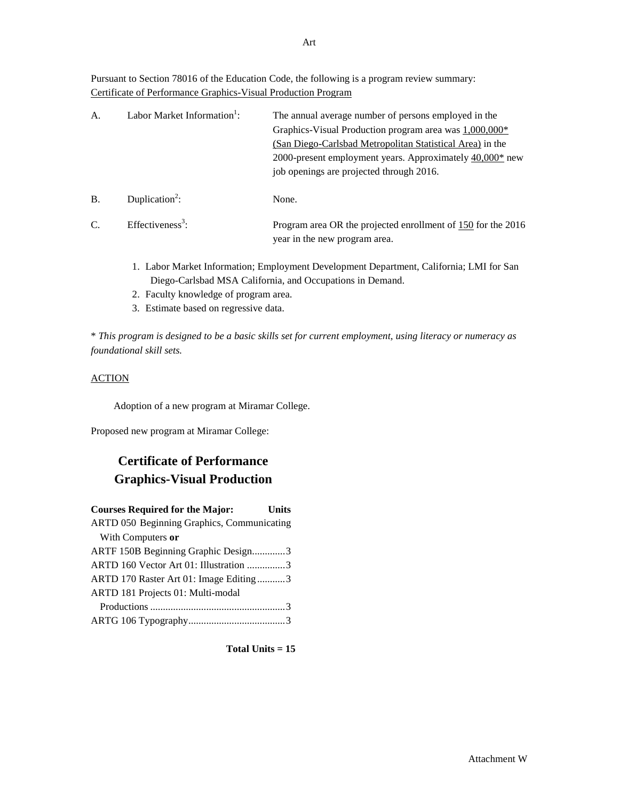Pursuant to Section 78016 of the Education Code, the following is a program review summary: Certificate of Performance Graphics-Visual Production Program

| А.             | Labor Market Information <sup>1</sup> : | The annual average number of persons employed in the<br>Graphics-Visual Production program area was 1,000,000*<br>(San Diego-Carlsbad Metropolitan Statistical Area) in the<br>2000-present employment years. Approximately 40,000* new<br>job openings are projected through 2016. |
|----------------|-----------------------------------------|-------------------------------------------------------------------------------------------------------------------------------------------------------------------------------------------------------------------------------------------------------------------------------------|
| В.             | Duplication <sup>2</sup> :              | None.                                                                                                                                                                                                                                                                               |
| $\overline{C}$ | Effectiveness <sup>3</sup> :            | Program area OR the projected enrollment of 150 for the 2016<br>year in the new program area.                                                                                                                                                                                       |

- 1. Labor Market Information; Employment Development Department, California; LMI for San Diego-Carlsbad MSA California, and Occupations in Demand.
- 2. Faculty knowledge of program area.
- 3. Estimate based on regressive data.

\* *This program is designed to be a basic skills set for current employment, using literacy or numeracy as foundational skill sets.*

# **ACTION**

Adoption of a new program at Miramar College.

Proposed new program at Miramar College:

# **Certificate of Performance Graphics-Visual Production**

| <b>Courses Required for the Major:</b>     | <b>Units</b> |
|--------------------------------------------|--------------|
| ARTD 050 Beginning Graphics, Communicating |              |
| With Computers or                          |              |
| ARTF 150B Beginning Graphic Design3        |              |
| ARTD 160 Vector Art 01: Illustration 3     |              |
| ARTD 170 Raster Art 01: Image Editing3     |              |
| ARTD 181 Projects 01: Multi-modal          |              |
|                                            |              |
|                                            |              |

**Total Units = 15**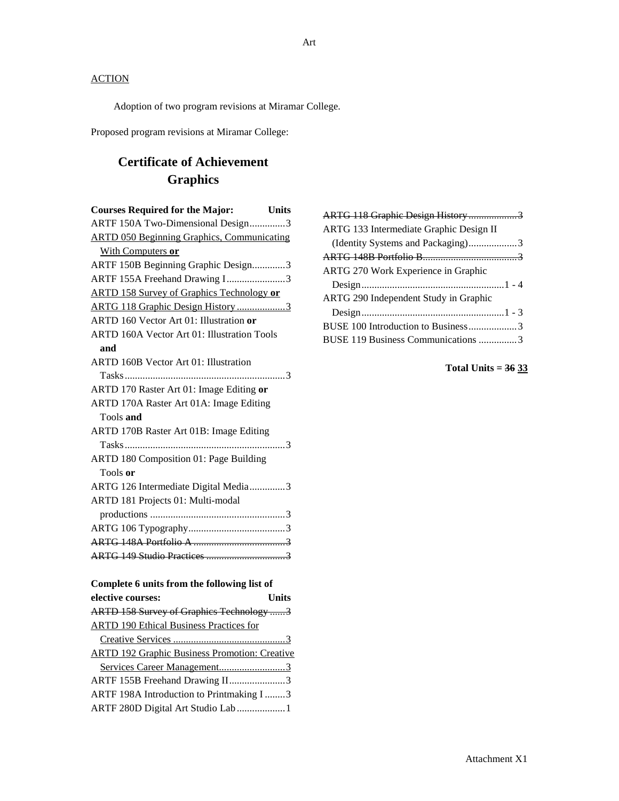Adoption of two program revisions at Miramar College.

Proposed program revisions at Miramar College:

# **Certificate of Achievement Graphics**

| <b>Courses Required for the Major:</b><br><b>Units</b> |
|--------------------------------------------------------|
| ARTF 150A Two-Dimensional Design3                      |
| <b>ARTD 050 Beginning Graphics, Communicating</b>      |
| With Computers or                                      |
| ARTF 150B Beginning Graphic Design3                    |
| ARTF 155A Freehand Drawing I3                          |
| <b>ARTD 158 Survey of Graphics Technology or</b>       |
| ARTG 118 Graphic Design History3                       |
| ARTD 160 Vector Art 01: Illustration or                |
| ARTD 160A Vector Art 01: Illustration Tools            |
| and                                                    |
| ARTD 160B Vector Art 01: Illustration                  |
|                                                        |
| ARTD 170 Raster Art 01: Image Editing or               |
| ARTD 170A Raster Art 01A: Image Editing                |
| Tools and                                              |
| ARTD 170B Raster Art 01B: Image Editing                |
|                                                        |
| ARTD 180 Composition 01: Page Building                 |
| Tools or                                               |
| ARTG 126 Intermediate Digital Media3                   |
| ARTD 181 Projects 01: Multi-modal                      |
|                                                        |
|                                                        |
|                                                        |
|                                                        |
|                                                        |
| Complete 6 units from the following list of            |
| elective courses:<br><b>Units</b>                      |
| ARTD 158 Survey of Graphics Technology 3               |
| <b>ARTD 190 Ethical Business Practices for</b>         |
|                                                        |
| <b>ARTD 192 Graphic Business Promotion: Creative</b>   |

| ARTF 155B Freehand Drawing II3           |  |
|------------------------------------------|--|
| ARTF 198A Introduction to Printmaking I3 |  |
| ARTF 280D Digital Art Studio Lab  1      |  |

| ARTG 118 Graphic Design History3             |  |
|----------------------------------------------|--|
| ARTG 133 Intermediate Graphic Design II      |  |
| (Identity Systems and Packaging)3            |  |
|                                              |  |
| <b>ARTG 270 Work Experience in Graphic</b>   |  |
|                                              |  |
| <b>ARTG 290 Independent Study in Graphic</b> |  |
|                                              |  |
| BUSE 100 Introduction to Business3           |  |
| BUSE 119 Business Communications 3           |  |
|                                              |  |

**Total Units = 36 33**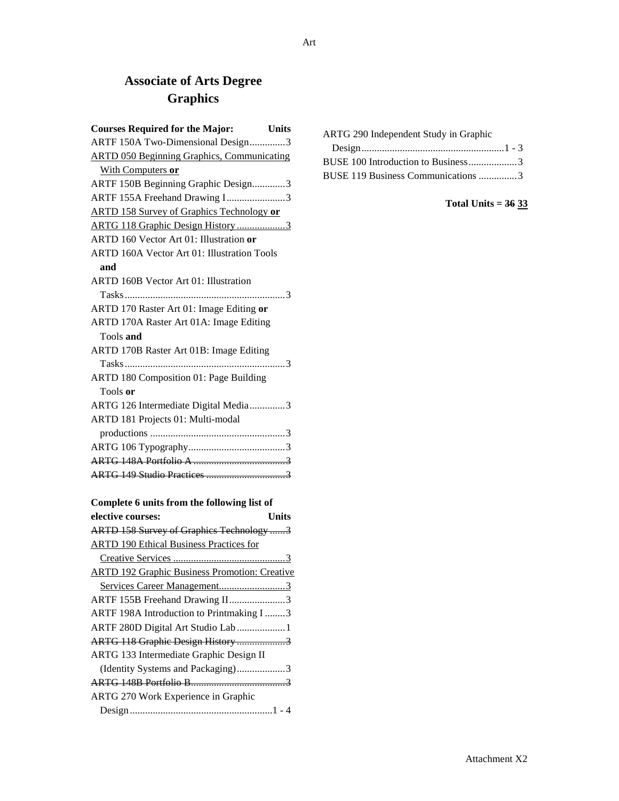# **Associate of Arts Degree Graphics**

| <b>Courses Required for the Major:</b><br><b>Units</b> |
|--------------------------------------------------------|
| ARTF 150A Two-Dimensional Design3                      |
| <b>ARTD 050 Beginning Graphics, Communicating</b>      |
| With Computers or                                      |
| ARTF 150B Beginning Graphic Design3                    |
| ARTF 155A Freehand Drawing I3                          |
| <b>ARTD 158 Survey of Graphics Technology or</b>       |
| ARTG 118 Graphic Design History3                       |
| ARTD 160 Vector Art 01: Illustration or                |
| <b>ARTD 160A Vector Art 01: Illustration Tools</b>     |
| and                                                    |
| ARTD 160B Vector Art 01: Illustration                  |
|                                                        |
| ARTD 170 Raster Art 01: Image Editing or               |
| ARTD 170A Raster Art 01A: Image Editing                |
| Tools and                                              |
| ARTD 170B Raster Art 01B: Image Editing                |
|                                                        |
| ARTD 180 Composition 01: Page Building                 |
| Tools or                                               |
| ARTG 126 Intermediate Digital Media3                   |
| ARTD 181 Projects 01: Multi-modal                      |
|                                                        |
|                                                        |
|                                                        |
|                                                        |

| elective courses:                                    | Units |
|------------------------------------------------------|-------|
| ARTD 158 Survey of Graphics Technology 3             |       |
| <b>ARTD</b> 190 Ethical Business Practices for       |       |
|                                                      |       |
| <b>ARTD 192 Graphic Business Promotion: Creative</b> |       |
| Services Career Management3                          |       |
| ARTF 155B Freehand Drawing II3                       |       |
| ARTF 198A Introduction to Printmaking I 3            |       |
| ARTF 280D Digital Art Studio Lab 1                   |       |
| ARTG 118 Graphic Design History 3                    |       |
| ARTG 133 Intermediate Graphic Design II              |       |
| (Identity Systems and Packaging)3                    |       |
|                                                      |       |
| ARTG 270 Work Experience in Graphic                  |       |
|                                                      |       |

| ARTG 290 Independent Study in Graphic |  |
|---------------------------------------|--|
|                                       |  |
| BUSE 100 Introduction to Business3    |  |
| BUSE 119 Business Communications 3    |  |

# **Total Units = 36 33**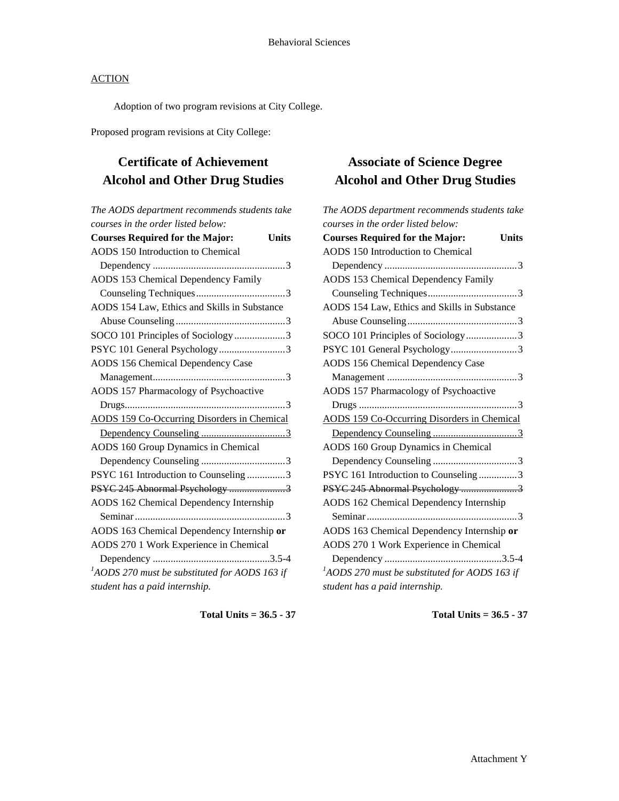Adoption of two program revisions at City College.

Proposed program revisions at City College:

# **Certificate of Achievement Alcohol and Other Drug Studies**

| The AODS department recommends students take           |
|--------------------------------------------------------|
| courses in the order listed below:                     |
| <b>Courses Required for the Major:</b><br><b>Units</b> |
| <b>AODS 150 Introduction to Chemical</b>               |
|                                                        |
| <b>AODS 153 Chemical Dependency Family</b>             |
|                                                        |
| AODS 154 Law, Ethics and Skills in Substance           |
|                                                        |
| SOCO 101 Principles of Sociology3                      |
| PSYC 101 General Psychology3                           |
| <b>AODS 156 Chemical Dependency Case</b>               |
|                                                        |
| AODS 157 Pharmacology of Psychoactive                  |
|                                                        |
| <b>AODS 159 Co-Occurring Disorders in Chemical</b>     |
|                                                        |
| AODS 160 Group Dynamics in Chemical                    |
|                                                        |
| PSYC 161 Introduction to Counseling 3                  |
| PSYC 245 Abnormal Psychology 3                         |
| AODS 162 Chemical Dependency Internship                |
|                                                        |
| AODS 163 Chemical Dependency Internship or             |
| AODS 270 1 Work Experience in Chemical                 |
|                                                        |
| $A$ ODS 270 must be substituted for AODS 163 if        |
| student has a paid internship.                         |
|                                                        |

**Total Units = 36.5 - 37**

# **Associate of Science Degree Alcohol and Other Drug Studies**

*The AODS department recommends students take courses in the order listed below:* **Courses Required for the Major: Units** AODS 150 Introduction to Chemical Dependency ....................................................3 AODS 153 Chemical Dependency Family Counseling Techniques...................................3 AODS 154 Law, Ethics and Skills in Substance Abuse Counseling...........................................3 SOCO 101 Principles of Sociology....................3 PSYC 101 General Psychology..........................3 AODS 156 Chemical Dependency Case Management ...................................................3 AODS 157 Pharmacology of Psychoactive Drugs ..............................................................3 AODS 159 Co-Occurring Disorders in Chemical Dependency Counseling .................................3 AODS 160 Group Dynamics in Chemical Dependency Counseling .................................3

PSYC 161 Introduction to Counseling ...............3 PSYC 245 Abnormal Psychology ............................3 AODS 162 Chemical Dependency Internship Seminar...........................................................3 AODS 163 Chemical Dependency Internship **or** AODS 270 1 Work Experience in Chemical Dependency ..............................................3.5-4 *1 AODS 270 must be substituted for AODS 163 if student has a paid internship.*

**Total Units = 36.5 - 37**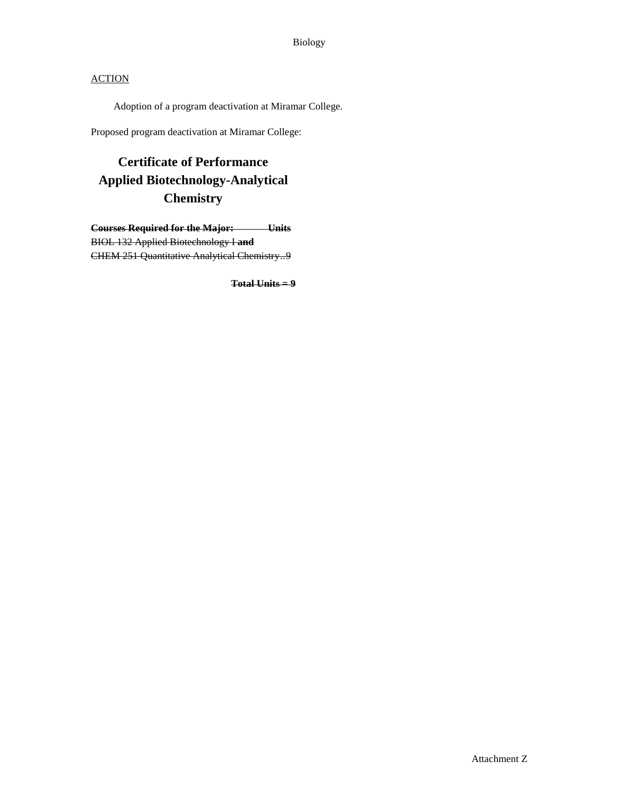Adoption of a program deactivation at Miramar College.

Proposed program deactivation at Miramar College:

# **Certificate of Performance Applied Biotechnology-Analytical Chemistry**

**Courses Required for the Major: Units** BIOL 132 Applied Biotechnology I **and** CHEM 251 Quantitative Analytical Chemistry..9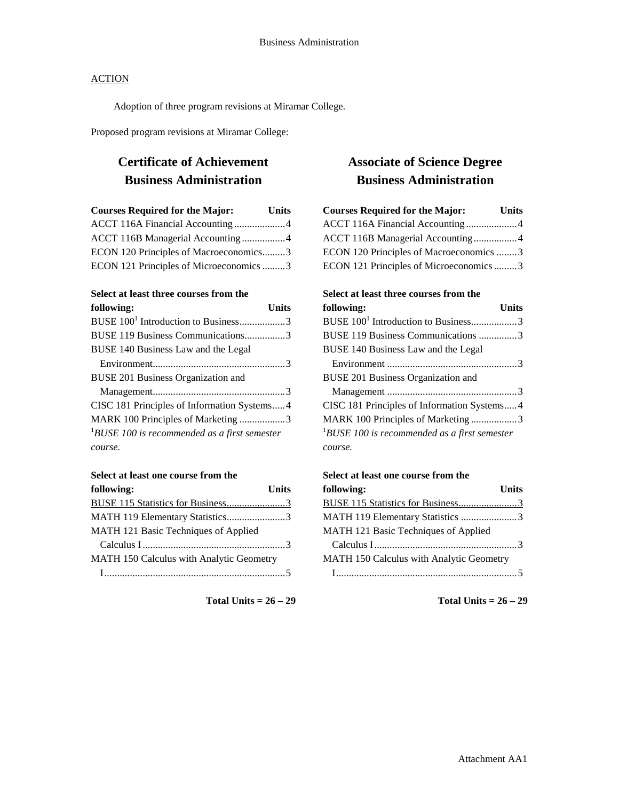Adoption of three program revisions at Miramar College.

Proposed program revisions at Miramar College:

## **Certificate of Achievement Business Administration**

| <b>Courses Required for the Major:</b>  |  |
|-----------------------------------------|--|
| ACCT 116A Financial Accounting 4        |  |
| ACCT 116B Managerial Accounting 4       |  |
| ECON 120 Principles of Macroeconomics3  |  |
| ECON 121 Principles of Microeconomics 3 |  |

#### **Select at least three courses from the**

| following:                                      | Units |
|-------------------------------------------------|-------|
| BUSE 100 <sup>1</sup> Introduction to Business3 |       |
| BUSE 119 Business Communications3               |       |
| BUSE 140 Business Law and the Legal             |       |
|                                                 |       |
| BUSE 201 Business Organization and              |       |
|                                                 |       |
| CISC 181 Principles of Information Systems4     |       |
| MARK 100 Principles of Marketing 3              |       |
| $1$ BUSE 100 is recommended as a first semester |       |
| course.                                         |       |

#### **Select at least one course from the**

| following:                               | <b>Units</b> |
|------------------------------------------|--------------|
|                                          |              |
| MATH 119 Elementary Statistics3          |              |
| MATH 121 Basic Techniques of Applied     |              |
|                                          |              |
| MATH 150 Calculus with Analytic Geometry |              |
|                                          |              |

**Total Units = 26 – 29**

## **Associate of Science Degree Business Administration**

| <b>Courses Required for the Major:</b><br><b>Units</b> |  |
|--------------------------------------------------------|--|
| ACCT 116A Financial Accounting4                        |  |
| ACCT 116B Managerial Accounting4                       |  |
| ECON 120 Principles of Macroeconomics 3                |  |
| ECON 121 Principles of Microeconomics3                 |  |
|                                                        |  |

| Select at least three courses from the          |       |
|-------------------------------------------------|-------|
| following:                                      | Units |
| BUSE 100 <sup>1</sup> Introduction to Business3 |       |
| BUSE 119 Business Communications 3              |       |
| BUSE 140 Business Law and the Legal             |       |
|                                                 |       |
| <b>BUSE 201 Business Organization and</b>       |       |
|                                                 |       |
| CISC 181 Principles of Information Systems4     |       |
| MARK 100 Principles of Marketing 3              |       |
| $1$ BUSE 100 is recommended as a first semester |       |
| course.                                         |       |
|                                                 |       |

#### **Select at least one course from the**

| following:                               | <b>Units</b> |
|------------------------------------------|--------------|
| BUSE 115 Statistics for Business3        |              |
| MATH 119 Elementary Statistics 3         |              |
| MATH 121 Basic Techniques of Applied     |              |
|                                          |              |
| MATH 150 Calculus with Analytic Geometry |              |
|                                          |              |

**Total Units = 26 – 29**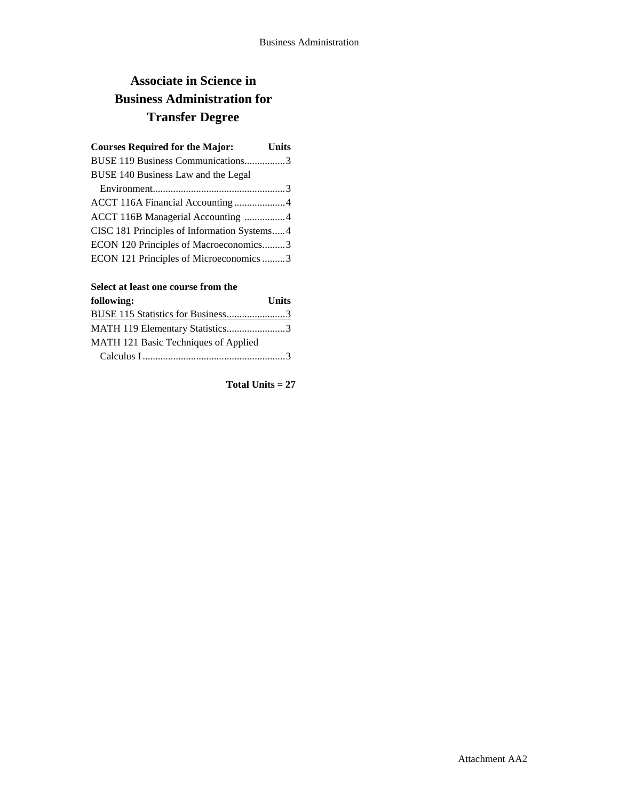# **Associate in Science in Business Administration for Transfer Degree**

| <b>Courses Required for the Major:</b><br><b>Units</b> |
|--------------------------------------------------------|
| BUSE 119 Business Communications3                      |
| BUSE 140 Business Law and the Legal                    |
|                                                        |
| ACCT 116A Financial Accounting 4                       |
| ACCT 116B Managerial Accounting 4                      |
| CISC 181 Principles of Information Systems4            |
| ECON 120 Principles of Macroeconomics3                 |
| ECON 121 Principles of Microeconomics 3                |

### **Select at least one course from the**

| following:                           | <b>Units</b> |
|--------------------------------------|--------------|
|                                      |              |
| MATH 119 Elementary Statistics3      |              |
| MATH 121 Basic Techniques of Applied |              |
|                                      |              |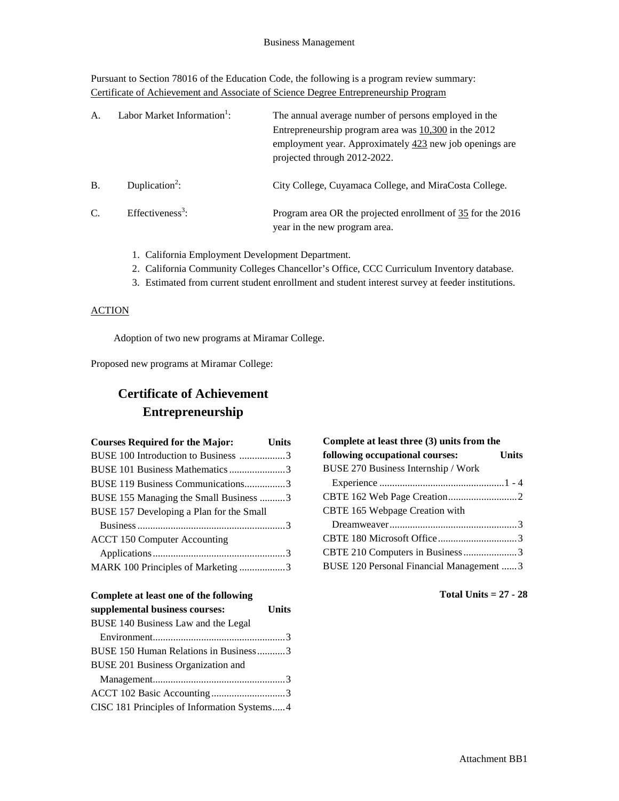Pursuant to Section 78016 of the Education Code, the following is a program review summary: Certificate of Achievement and Associate of Science Degree Entrepreneurship Program

| A <sub>1</sub> | Labor Market Information <sup>1</sup> : | The annual average number of persons employed in the<br>Entrepreneurship program area was $10,300$ in the 2012<br>employment year. Approximately $423$ new job openings are<br>projected through 2012-2022. |
|----------------|-----------------------------------------|-------------------------------------------------------------------------------------------------------------------------------------------------------------------------------------------------------------|
| <b>B.</b>      | Duplication <sup>2</sup> :              | City College, Cuyamaca College, and MiraCosta College.                                                                                                                                                      |
| C.             | Effectiveness <sup>3</sup> :            | Program area OR the projected enrollment of 35 for the 2016<br>year in the new program area.                                                                                                                |

- 1. California Employment Development Department.
- 2. California Community Colleges Chancellor's Office, CCC Curriculum Inventory database.
- 3. Estimated from current student enrollment and student interest survey at feeder institutions.

#### **ACTION**

Adoption of two new programs at Miramar College.

Proposed new programs at Miramar College:

# **Certificate of Achievement Entrepreneurship**

| <b>Courses Required for the Major:</b>   | <b>Units</b> |
|------------------------------------------|--------------|
| BUSE 100 Introduction to Business 3      |              |
| BUSE 101 Business Mathematics 3          |              |
| BUSE 119 Business Communications3        |              |
| BUSE 155 Managing the Small Business 3   |              |
| BUSE 157 Developing a Plan for the Small |              |
|                                          |              |
| <b>ACCT 150 Computer Accounting</b>      |              |
|                                          |              |
| MARK 100 Principles of Marketing 3       |              |

### **Complete at least one of the following**

| supplemental business courses:              | <b>Units</b> |
|---------------------------------------------|--------------|
| BUSE 140 Business Law and the Legal         |              |
|                                             |              |
| BUSE 150 Human Relations in Business3       |              |
| BUSE 201 Business Organization and          |              |
|                                             |              |
|                                             |              |
| CISC 181 Principles of Information Systems4 |              |

| Complete at least three (3) units from the |       |
|--------------------------------------------|-------|
| following occupational courses:            | Units |
| BUSE 270 Business Internship / Work        |       |
|                                            |       |
|                                            |       |
| CBTE 165 Webpage Creation with             |       |
|                                            |       |
|                                            |       |
|                                            |       |
| BUSE 120 Personal Financial Management  3  |       |
|                                            |       |

**Total Units = 27 - 28**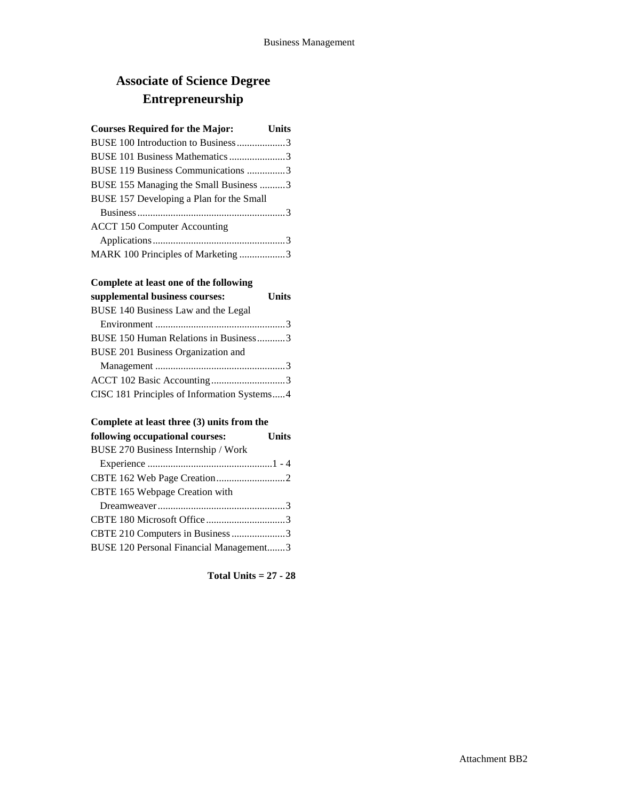# **Associate of Science Degree Entrepreneurship**

### **Courses Required for the Major: Units**

| BUSE 100 Introduction to Business3       |
|------------------------------------------|
| BUSE 101 Business Mathematics 3          |
| BUSE 119 Business Communications 3       |
| BUSE 155 Managing the Small Business 3   |
| BUSE 157 Developing a Plan for the Small |
|                                          |
| <b>ACCT 150 Computer Accounting</b>      |
|                                          |
| MARK 100 Principles of Marketing 3       |

### **Complete at least one of the following**

| supplemental business courses:              | <b>Units</b> |
|---------------------------------------------|--------------|
| BUSE 140 Business Law and the Legal         |              |
|                                             |              |
| BUSE 150 Human Relations in Business3       |              |
| <b>BUSE 201 Business Organization and</b>   |              |
|                                             |              |
|                                             |              |
| CISC 181 Principles of Information Systems4 |              |

### **Complete at least three (3) units from the**

| <b>Units</b><br>following occupational courses: |  |
|-------------------------------------------------|--|
| BUSE 270 Business Internship / Work             |  |
|                                                 |  |
|                                                 |  |
| CBTE 165 Webpage Creation with                  |  |
|                                                 |  |
|                                                 |  |
| CBTE 210 Computers in Business 3                |  |
| BUSE 120 Personal Financial Management3         |  |

**Total Units = 27 - 28**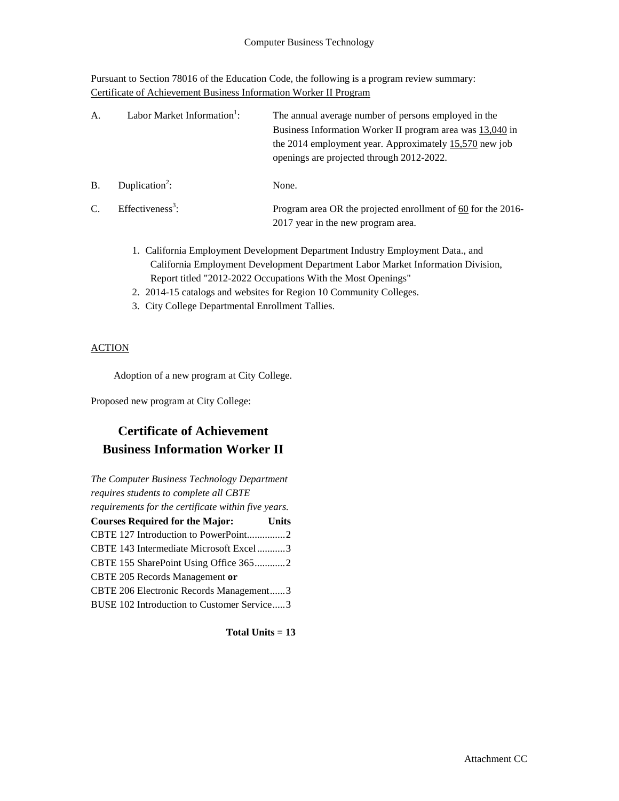Pursuant to Section 78016 of the Education Code, the following is a program review summary: Certificate of Achievement Business Information Worker II Program

| A.            | Labor Market Information <sup>1</sup> : | The annual average number of persons employed in the<br>Business Information Worker II program area was 13,040 in<br>the 2014 employment year. Approximately $15,570$ new job<br>openings are projected through 2012-2022. |
|---------------|-----------------------------------------|----------------------------------------------------------------------------------------------------------------------------------------------------------------------------------------------------------------------------|
| <b>B.</b>     | Duplication <sup>2</sup> :              | None.                                                                                                                                                                                                                      |
| $\mathcal{C}$ | Effectiveness <sup>3</sup> :            | Program area OR the projected enrollment of 60 for the 2016-<br>2017 year in the new program area.                                                                                                                         |

- 1. California Employment Development Department Industry Employment Data., and California Employment Development Department Labor Market Information Division, Report titled "2012-2022 Occupations With the Most Openings"
- 2. 2014-15 catalogs and websites for Region 10 Community Colleges.
- 3. City College Departmental Enrollment Tallies.

### **ACTION**

Adoption of a new program at City College.

Proposed new program at City College:

## **Certificate of Achievement Business Information Worker II**

| The Computer Business Technology Department         |              |
|-----------------------------------------------------|--------------|
| requires students to complete all CBTE              |              |
| requirements for the certificate within five years. |              |
| <b>Courses Required for the Major:</b>              | <b>Units</b> |
|                                                     |              |
| CBTE 143 Intermediate Microsoft Excel3              |              |
| CBTE 155 SharePoint Using Office 3652               |              |
| CBTE 205 Records Management or                      |              |
| CBTE 206 Electronic Records Management3             |              |
| BUSE 102 Introduction to Customer Service3          |              |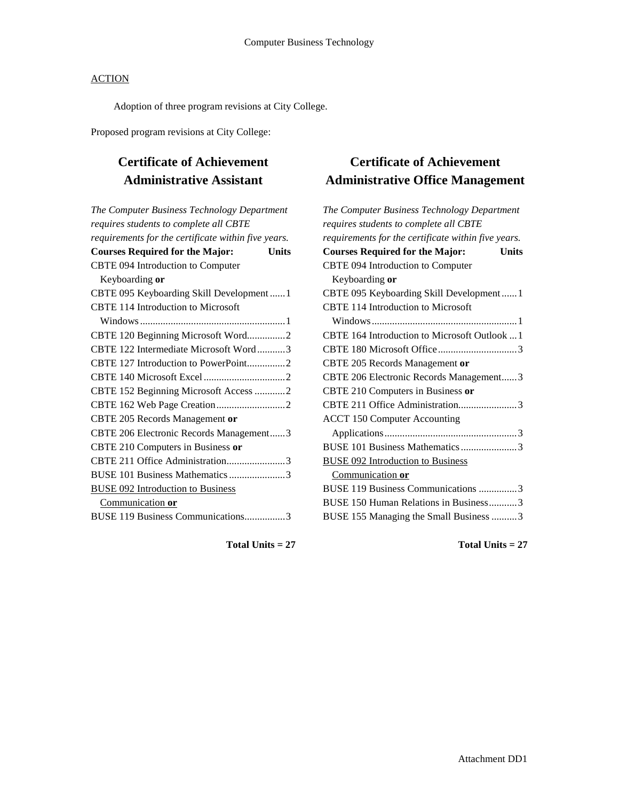Adoption of three program revisions at City College.

Proposed program revisions at City College:

## **Certificate of Achievement Administrative Assistant**

| The Computer Business Technology Department         |
|-----------------------------------------------------|
| requires students to complete all CBTE              |
| requirements for the certificate within five years. |
| <b>Courses Required for the Major:</b><br>Units     |
| CBTE 094 Introduction to Computer                   |
| Keyboarding or                                      |
| CBTE 095 Keyboarding Skill Development  1           |
| <b>CBTE 114 Introduction to Microsoft</b>           |
|                                                     |
| CBTE 120 Beginning Microsoft Word2                  |
| CBTE 122 Intermediate Microsoft Word3               |
| CBTE 127 Introduction to PowerPoint2                |
|                                                     |
| CBTE 152 Beginning Microsoft Access 2               |
|                                                     |
| CBTE 205 Records Management or                      |
| CBTE 206 Electronic Records Management3             |
| CBTE 210 Computers in Business or                   |
| CBTE 211 Office Administration3                     |
| BUSE 101 Business Mathematics 3                     |
| <b>BUSE 092 Introduction to Business</b>            |
| Communication or                                    |
| BUSE 119 Business Communications3                   |
|                                                     |

## **Certificate of Achievement Administrative Office Management**

| The Computer Business Technology Department            |
|--------------------------------------------------------|
| requires students to complete all CBTE                 |
| requirements for the certificate within five years.    |
| <b>Courses Required for the Major:</b><br><b>Units</b> |
| CBTE 094 Introduction to Computer                      |
| Keyboarding or                                         |
| CBTE 095 Keyboarding Skill Development  1              |
| CBTE 114 Introduction to Microsoft                     |
|                                                        |
| CBTE 164 Introduction to Microsoft Outlook  1          |
|                                                        |
| CBTE 205 Records Management or                         |
| CBTE 206 Electronic Records Management3                |
| CBTE 210 Computers in Business or                      |
| CBTE 211 Office Administration3                        |
| <b>ACCT 150 Computer Accounting</b>                    |
|                                                        |
| BUSE 101 Business Mathematics 3                        |
| <b>BUSE 092 Introduction to Business</b>               |
| Communication or                                       |
| BUSE 119 Business Communications 3                     |
| BUSE 150 Human Relations in Business3                  |
| BUSE 155 Managing the Small Business 3                 |
|                                                        |

**Total Units = 27**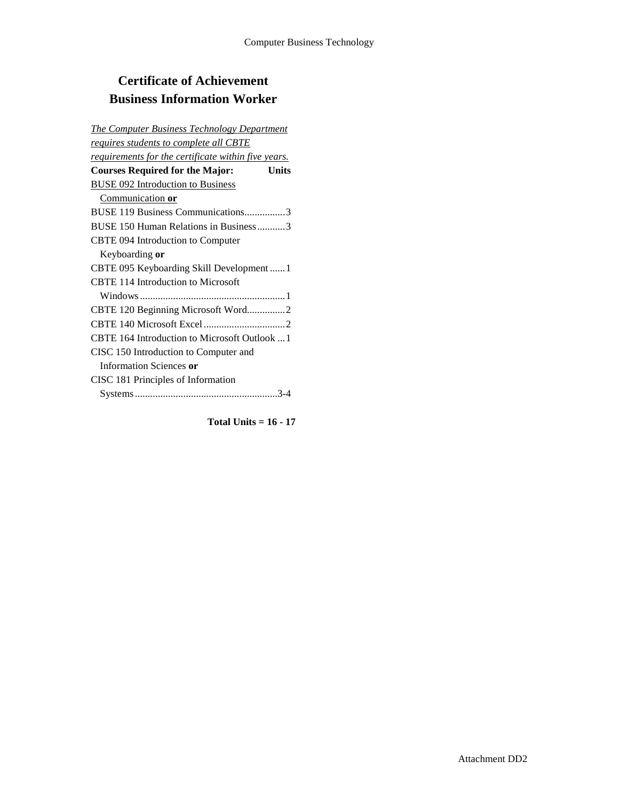# **Certificate of Achievement Business Information Worker**

| <b>The Computer Business Technology Department</b>         |
|------------------------------------------------------------|
| <u>requires students to complete all CBTE</u>              |
| <u>requirements for the certificate within five years.</u> |
| <b>Courses Required for the Major:</b><br><b>Units</b>     |
| <b>BUSE 092 Introduction to Business</b>                   |
| Communication or                                           |
| BUSE 119 Business Communications3                          |
| BUSE 150 Human Relations in Business3                      |
| CBTE 094 Introduction to Computer                          |
| Keyboarding or                                             |
| CBTE 095 Keyboarding Skill Development1                    |
| <b>CBTE 114 Introduction to Microsoft</b>                  |
|                                                            |
| CBTE 120 Beginning Microsoft Word2                         |
|                                                            |
| CBTE 164 Introduction to Microsoft Outlook 1               |
| CISC 150 Introduction to Computer and                      |
| Information Sciences or                                    |
| CISC 181 Principles of Information                         |
|                                                            |

**Total Units = 16 - 17**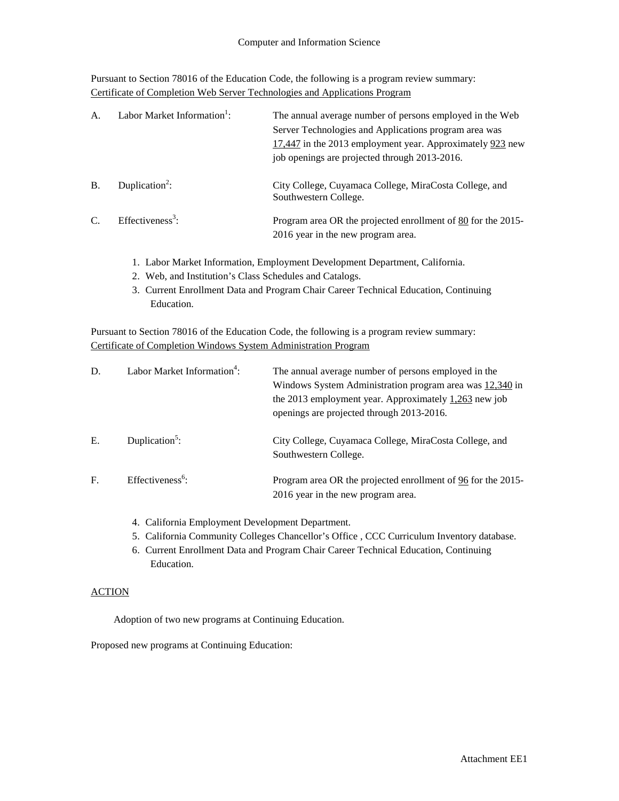Pursuant to Section 78016 of the Education Code, the following is a program review summary: Certificate of Completion Web Server Technologies and Applications Program

| $\mathsf{A}$  | Labor Market Information <sup>1</sup> : | The annual average number of persons employed in the Web<br>Server Technologies and Applications program area was<br>17,447 in the 2013 employment year. Approximately 923 new<br>job openings are projected through 2013-2016. |
|---------------|-----------------------------------------|---------------------------------------------------------------------------------------------------------------------------------------------------------------------------------------------------------------------------------|
| $\bf{B}$      | Duplication <sup>2</sup> :              | City College, Cuyamaca College, MiraCosta College, and<br>Southwestern College.                                                                                                                                                 |
| $\mathcal{C}$ | Effectiveness <sup>3</sup> :            | Program area OR the projected enrollment of 80 for the 2015-<br>2016 year in the new program area.                                                                                                                              |

- 1. Labor Market Information, Employment Development Department, California.
- 2. Web, and Institution's Class Schedules and Catalogs.
- 3. Current Enrollment Data and Program Chair Career Technical Education, Continuing Education.

Pursuant to Section 78016 of the Education Code, the following is a program review summary: Certificate of Completion Windows System Administration Program

| D. | Labor Market Information <sup>4</sup> : | The annual average number of persons employed in the<br>Windows System Administration program area was 12,340 in<br>the 2013 employment year. Approximately $1,263$ new job<br>openings are projected through 2013-2016. |
|----|-----------------------------------------|--------------------------------------------------------------------------------------------------------------------------------------------------------------------------------------------------------------------------|
| E. | Duplication <sup>5</sup> :              | City College, Cuyamaca College, MiraCosta College, and<br>Southwestern College.                                                                                                                                          |
| F. | Effectiveness <sup>6</sup> :            | Program area OR the projected enrollment of 96 for the 2015-<br>2016 year in the new program area.                                                                                                                       |

- 4. California Employment Development Department.
- 5. California Community Colleges Chancellor's Office , CCC Curriculum Inventory database.
- 6. Current Enrollment Data and Program Chair Career Technical Education, Continuing Education.

### **ACTION**

Adoption of two new programs at Continuing Education.

Proposed new programs at Continuing Education: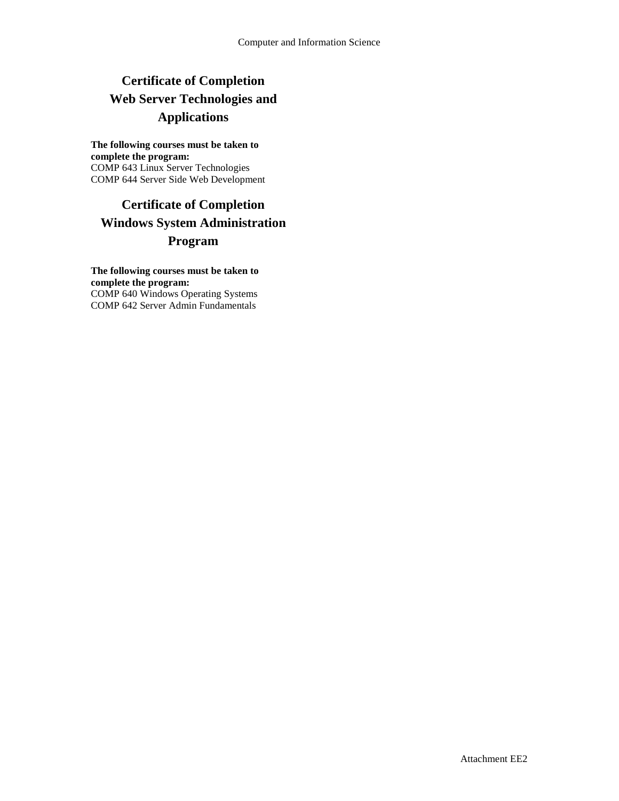# **Certificate of Completion Web Server Technologies and Applications**

#### **The following courses must be taken to complete the program:** COMP 643 Linux Server Technologies COMP 644 Server Side Web Development

## **Certificate of Completion Windows System Administration Program**

**The following courses must be taken to complete the program:** COMP 640 Windows Operating Systems COMP 642 Server Admin Fundamentals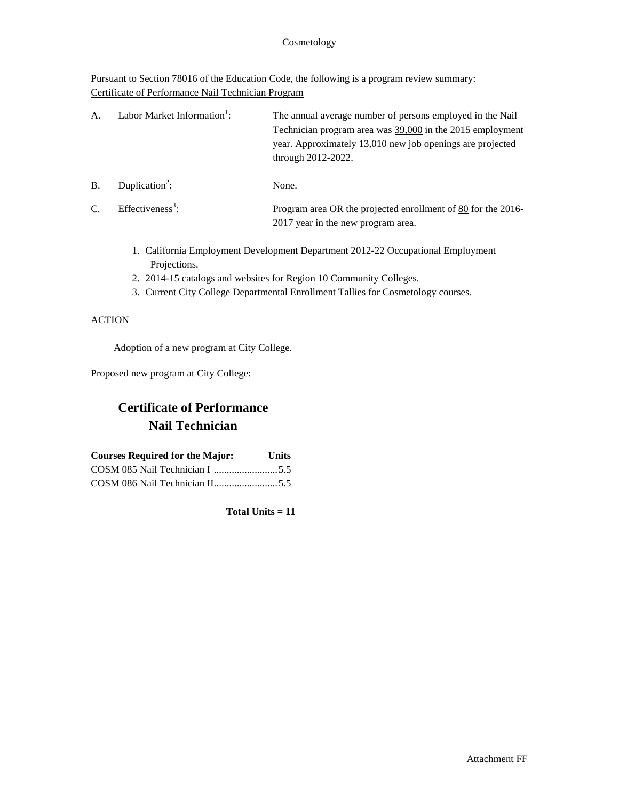#### Cosmetology

Pursuant to Section 78016 of the Education Code, the following is a program review summary: Certificate of Performance Nail Technician Program

| A.             | Labor Market Information <sup>1</sup> : | The annual average number of persons employed in the Nail<br>Technician program area was 39,000 in the 2015 employment<br>year. Approximately $13,010$ new job openings are projected<br>through 2012-2022. |
|----------------|-----------------------------------------|-------------------------------------------------------------------------------------------------------------------------------------------------------------------------------------------------------------|
| $B$ .          | Duplication <sup>2</sup> :              | None.                                                                                                                                                                                                       |
| $\overline{C}$ | Effectiveness <sup>3</sup> :            | Program area OR the projected enrollment of 80 for the 2016-<br>2017 year in the new program area.                                                                                                          |

- 1. California Employment Development Department 2012-22 Occupational Employment Projections.
- 2. 2014-15 catalogs and websites for Region 10 Community Colleges.
- 3. Current City College Departmental Enrollment Tallies for Cosmetology courses.

#### **ACTION**

Adoption of a new program at City College.

Proposed new program at City College:

# **Certificate of Performance Nail Technician**

| <b>Courses Required for the Major:</b> | <b>Units</b> |
|----------------------------------------|--------------|
|                                        |              |
|                                        |              |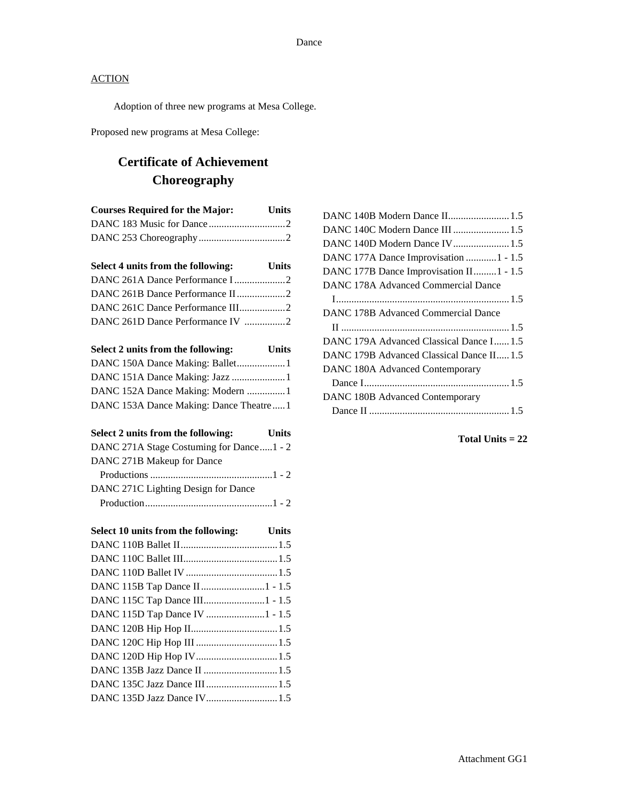Adoption of three new programs at Mesa College.

Proposed new programs at Mesa College:

# **Certificate of Achievement Choreography**

| <b>Courses Required for the Major:</b>                             | <b>Units</b> |
|--------------------------------------------------------------------|--------------|
|                                                                    |              |
|                                                                    |              |
| Select 4 units from the following: Units                           |              |
|                                                                    |              |
|                                                                    |              |
| DANC 261C Dance Performance III2                                   |              |
| DANC 261D Dance Performance IV 2                                   |              |
| Select 2 units from the following:                                 | <b>Units</b> |
|                                                                    |              |
| DANC 151A Dance Making: Jazz 1                                     |              |
| $\mathbf{DAN}$ $\mathbf{C.152A}$ Dengo Meking: Modern $\mathbf{A}$ |              |

| Select 2 units from the following:     | <b>Units</b> |
|----------------------------------------|--------------|
| DANC 153A Dance Making: Dance Theatre1 |              |
| DANC 152A Dance Making: Modern 1       |              |

| DANC 271A Stage Costuming for Dance1 - 2 |  |
|------------------------------------------|--|
| DANC 271B Makeup for Dance               |  |
|                                          |  |
| DANC 271C Lighting Design for Dance      |  |
|                                          |  |

| Select 10 units from the following: | <b>Units</b> |
|-------------------------------------|--------------|
|                                     |              |
|                                     |              |
|                                     |              |
| DANC 115B Tap Dance II 1 - 1.5      |              |
| DANC 115C Tap Dance III1 - 1.5      |              |
| DANC 115D Tap Dance IV 1 - 1.5      |              |
|                                     |              |
|                                     |              |
|                                     |              |
|                                     |              |
| DANC 135C Jazz Dance III  1.5       |              |
| DANC 135D Jazz Dance IV 1.5         |              |

| DANC 140C Modern Dance III  1.5           |
|-------------------------------------------|
| DANC 140D Modern Dance IV 1.5             |
| DANC 177A Dance Improvisation  1 - 1.5    |
| DANC 177B Dance Improvisation II 1 - 1.5  |
| DANC 178A Advanced Commercial Dance       |
|                                           |
| DANC 178B Advanced Commercial Dance       |
|                                           |
| DANC 179A Advanced Classical Dance I 1.5  |
| DANC 179B Advanced Classical Dance II 1.5 |
| DANC 180A Advanced Contemporary           |
|                                           |
| DANC 180B Advanced Contemporary           |
|                                           |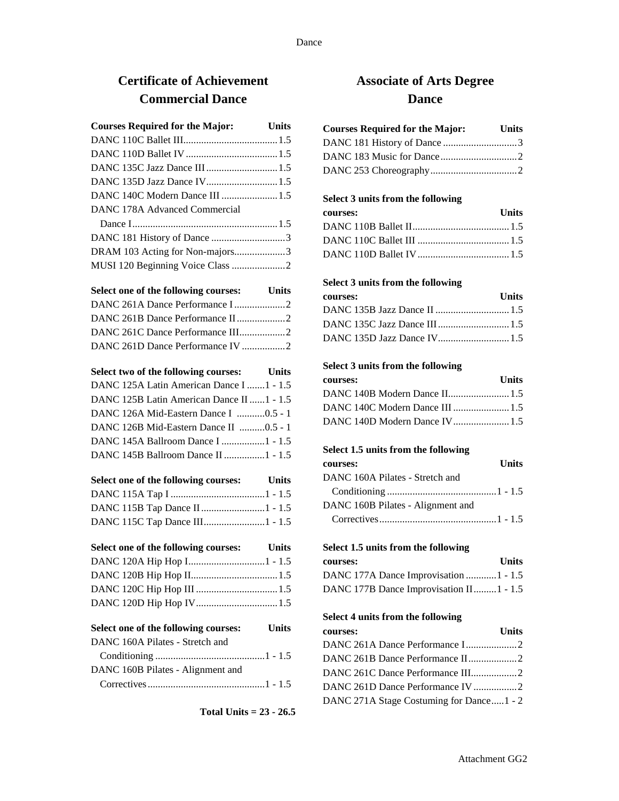## **Certificate of Achievement Commercial Dance**

| <b>Courses Required for the Major:</b> Units |  |
|----------------------------------------------|--|
|                                              |  |
|                                              |  |
|                                              |  |
|                                              |  |
| DANC 140C Modern Dance III  1.5              |  |
| DANC 178A Advanced Commercial                |  |
|                                              |  |
| DANC 181 History of Dance 3                  |  |
| DRAM 103 Acting for Non-majors3              |  |
| MUSI 120 Beginning Voice Class 2             |  |

| Select one of the following courses: Units |  |
|--------------------------------------------|--|
|                                            |  |
|                                            |  |
|                                            |  |
| DANC 261D Dance Performance IV 2           |  |

|  | Select two of the following courses: | Units |
|--|--------------------------------------|-------|
|--|--------------------------------------|-------|

| DANC 125A Latin American Dance I  1 - 1.5 |  |
|-------------------------------------------|--|
| DANC 125B Latin American Dance II 1 - 1.5 |  |
| DANC 126A Mid-Eastern Dance I 0.5 - 1     |  |
| DANC 126B Mid-Eastern Dance II 0.5 - 1    |  |
| DANC 145A Ballroom Dance I  1 - 1.5       |  |
| DANC 145B Ballroom Dance II  1 - 1.5      |  |
|                                           |  |

| Select one of the following courses: Units |  |
|--------------------------------------------|--|
|                                            |  |
|                                            |  |
|                                            |  |

```
Select one of the following courses: Units
DANC 120A Hip Hop I..............................1 - 1.5
DANC 120B Hip Hop II..................................1.5
```

```
DANC 120C Hip Hop III ................................1.5
DANC 120D Hip Hop IV................................1.5
```

```
Select one of the following courses: Units
DANC 160A Pilates - Stretch and
  Conditioning ...........................................1 - 1.5
DANC 160B Pilates - Alignment and
  Correctives..............................................1 - 1.5
```

```
Total Units = 23 - 26.5
```
## **Associate of Arts Degree Dance**

| <b>Courses Required for the Major:</b> | <b>Units</b> |
|----------------------------------------|--------------|
|                                        |              |
|                                        |              |
|                                        |              |

### **Select 3 units from the following**

| courses: | <b>Units</b> |
|----------|--------------|
|          |              |
|          |              |
|          |              |

### **Select 3 units from the following**

| courses: | <b>Units</b> |
|----------|--------------|
|          |              |
|          |              |
|          |              |

### **Select 3 units from the following**

| courses: | <b>Units</b> |
|----------|--------------|
|          |              |
|          |              |
|          |              |

### **Select 1.5 units from the following**

| courses:                          | <b>Units</b> |
|-----------------------------------|--------------|
| DANC 160A Pilates - Stretch and   |              |
|                                   |              |
| DANC 160B Pilates - Alignment and |              |
|                                   |              |

#### **Select 1.5 units from the following**

| <b>courses:</b>                         | <b>Units</b> |
|-----------------------------------------|--------------|
| DANC 177A Dance Improvisation  1 - 1.5  |              |
| DANC 177B Dance Improvisation II1 - 1.5 |              |

#### **Select 4 units from the following**

| courses:                                 | <b>Units</b> |
|------------------------------------------|--------------|
|                                          |              |
| DANC 261B Dance Performance II2          |              |
| DANC 261C Dance Performance III2         |              |
| DANC 261D Dance Performance IV 2         |              |
| DANC 271A Stage Costuming for Dance1 - 2 |              |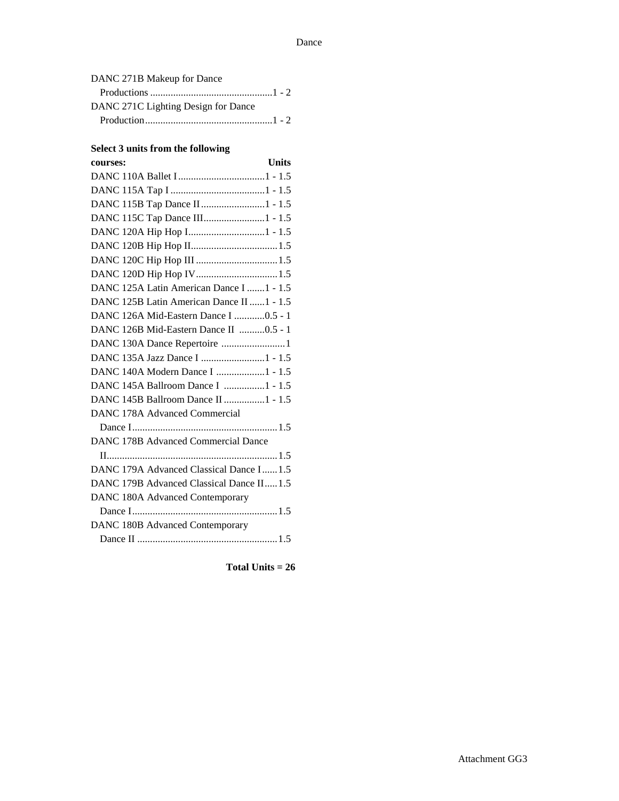| DANC 271B Makeup for Dance          |  |
|-------------------------------------|--|
|                                     |  |
| DANC 271C Lighting Design for Dance |  |
|                                     |  |
|                                     |  |

#### **Select 3 units from the following**

| <b>Units</b><br>courses:                   |
|--------------------------------------------|
|                                            |
|                                            |
| DANC 115B Tap Dance II 1 - 1.5             |
|                                            |
|                                            |
|                                            |
|                                            |
|                                            |
| DANC 125A Latin American Dance I  1 - 1.5  |
| DANC 125B Latin American Dance II  1 - 1.5 |
| DANC 126A Mid-Eastern Dance I 0.5 - 1      |
| DANC 126B Mid-Eastern Dance II 0.5 - 1     |
| DANC 130A Dance Repertoire 1               |
|                                            |
| DANC 140A Modern Dance I 1 - 1.5           |
| DANC 145A Ballroom Dance I 1 - 1.5         |
| DANC 145B Ballroom Dance II 1 - 1.5        |
| DANC 178A Advanced Commercial              |
|                                            |
| DANC 178B Advanced Commercial Dance        |
|                                            |
| DANC 179A Advanced Classical Dance I 1.5   |
| DANC 179B Advanced Classical Dance II1.5   |
| DANC 180A Advanced Contemporary            |
|                                            |
| DANC 180B Advanced Contemporary            |
|                                            |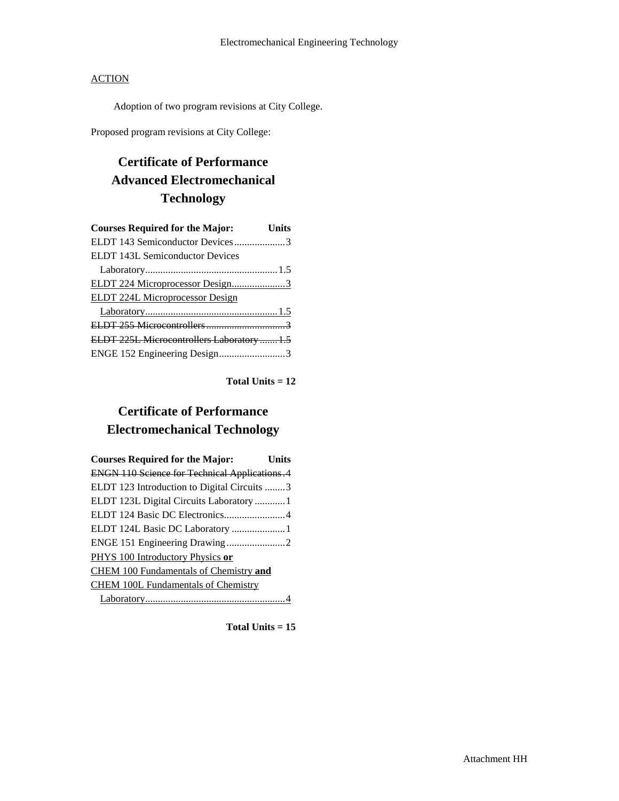Adoption of two program revisions at City College.

Proposed program revisions at City College:

# **Certificate of Performance Advanced Electromechanical Technology**

| <b>Courses Required for the Major:</b>     | Units |
|--------------------------------------------|-------|
| ELDT 143 Semiconductor Devices3            |       |
| <b>ELDT 143L Semiconductor Devices</b>     |       |
|                                            |       |
| ELDT 224 Microprocessor Design3            |       |
| <b>ELDT 224L Microprocessor Design</b>     |       |
|                                            |       |
|                                            |       |
| ELDT 225L Microcontrollers Laboratory  1.5 |       |
| ENGE 152 Engineering Design3               |       |

**Total Units = 12**

## **Certificate of Performance Electromechanical Technology**

| <b>Courses Required for the Major:</b>               | Units |
|------------------------------------------------------|-------|
| <b>ENGN 110 Science for Technical Applications.4</b> |       |
| ELDT 123 Introduction to Digital Circuits 3          |       |
| ELDT 123L Digital Circuits Laboratory  1             |       |
| ELDT 124 Basic DC Electronics4                       |       |
| ELDT 124L Basic DC Laboratory 1                      |       |
|                                                      |       |
| PHYS 100 Introductory Physics or                     |       |
| <b>CHEM 100 Fundamentals of Chemistry and</b>        |       |
| <b>CHEM 100L Fundamentals of Chemistry</b>           |       |
|                                                      |       |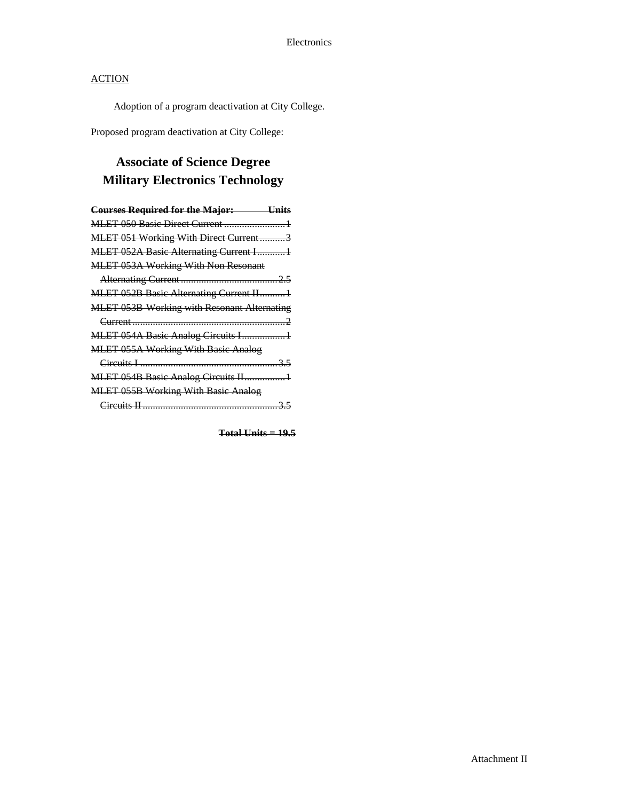Adoption of a program deactivation at City College.

Proposed program deactivation at City College:

# **Associate of Science Degree Military Electronics Technology**

| <b>Courses Required for the Major:</b> Units       |
|----------------------------------------------------|
|                                                    |
| MLET 051 Working With Direct Current3              |
| <b>MLET 052A Basic Alternating Current I1</b>      |
| <b>MLET 053A Working With Non Resonant</b>         |
|                                                    |
| MLET 052B Basic Alternating Current II1            |
| <b>MLET 053B Working with Resonant Alternating</b> |
|                                                    |
|                                                    |
| <b>MLET 055A Working With Basic Analog</b>         |
|                                                    |
| MLET 054B Basic Analog Circuits II1                |
| <b>MLET 055B Working With Basic Analog</b>         |
|                                                    |

**Total Units = 19.5**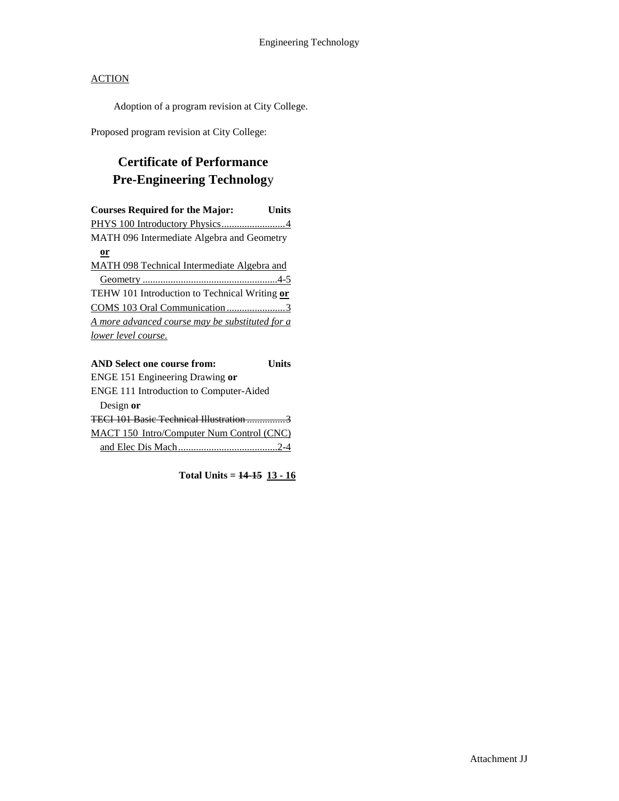Adoption of a program revision at City College.

Proposed program revision at City College:

# **Certificate of Performance Pre-Engineering Technolog**y

| <b>Courses Required for the Major:</b>          | Units |
|-------------------------------------------------|-------|
|                                                 |       |
| MATH 096 Intermediate Algebra and Geometry      |       |
| or                                              |       |
| MATH 098 Technical Intermediate Algebra and     |       |
|                                                 |       |
| TEHW 101 Introduction to Technical Writing or   |       |
|                                                 |       |
| A more advanced course may be substituted for a |       |
| lower level course.                             |       |
|                                                 |       |
|                                                 |       |

| <b>AND Select one course from:</b>               | <b>I</b> Inite |
|--------------------------------------------------|----------------|
| ENGE 151 Engineering Drawing or                  |                |
| ENGE 111 Introduction to Computer-Aided          |                |
| Design or                                        |                |
| TECI 101 Basic Technical Illustration            |                |
| <b>MACT 150 Intro/Computer Num Control (CNC)</b> |                |
|                                                  |                |

Total Units =  $14-15$   $13-16$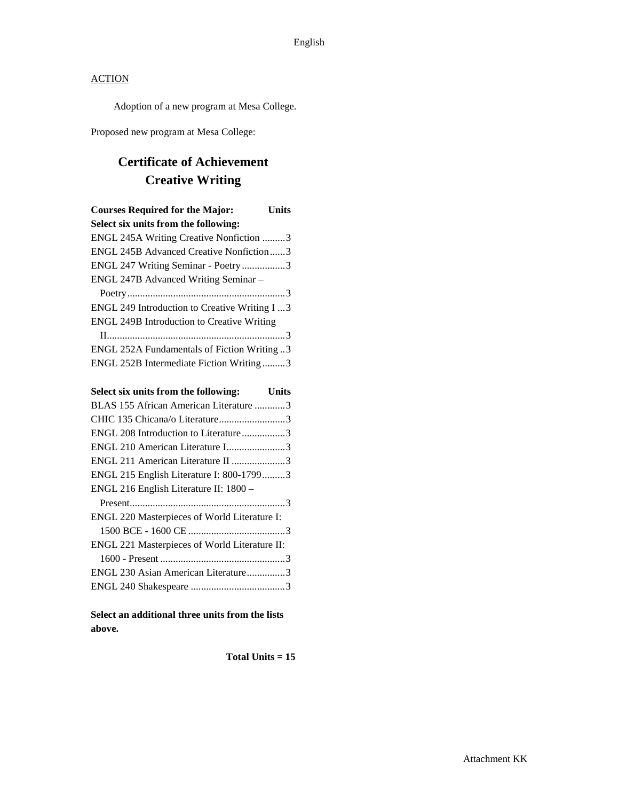Adoption of a new program at Mesa College.

Proposed new program at Mesa College:

# **Certificate of Achievement Creative Writing**

| <b>Courses Required for the Major:</b>               | Units |
|------------------------------------------------------|-------|
| Select six units from the following:                 |       |
| ENGL 245A Writing Creative Nonfiction 3              |       |
| <b>ENGL 245B Advanced Creative Nonfiction3</b>       |       |
| ENGL 247 Writing Seminar - Poetry 3                  |       |
| <b>ENGL 247B Advanced Writing Seminar -</b>          |       |
|                                                      |       |
| <b>ENGL 249 Introduction to Creative Writing I 3</b> |       |
| <b>ENGL 249B Introduction to Creative Writing</b>    |       |
|                                                      |       |
| 3 ENGL 252A Fundamentals of Fiction Writing          |       |
| ENGL 252B Intermediate Fiction Writing3              |       |

| Select six units from the following:<br><b>Example 1</b> Units |  |
|----------------------------------------------------------------|--|
| BLAS 155 African American Literature 3                         |  |
|                                                                |  |
| ENGL 208 Introduction to Literature3                           |  |
| ENGL 210 American Literature I3                                |  |
| ENGL 211 American Literature II 3                              |  |
| ENGL 215 English Literature I: 800-17993                       |  |
| ENGL 216 English Literature II: 1800 -                         |  |
|                                                                |  |
| ENGL 220 Masterpieces of World Literature I:                   |  |
|                                                                |  |
| ENGL 221 Masterpieces of World Literature II:                  |  |
|                                                                |  |
| ENGL 230 Asian American Literature3                            |  |
|                                                                |  |

**Select an additional three units from the lists above.**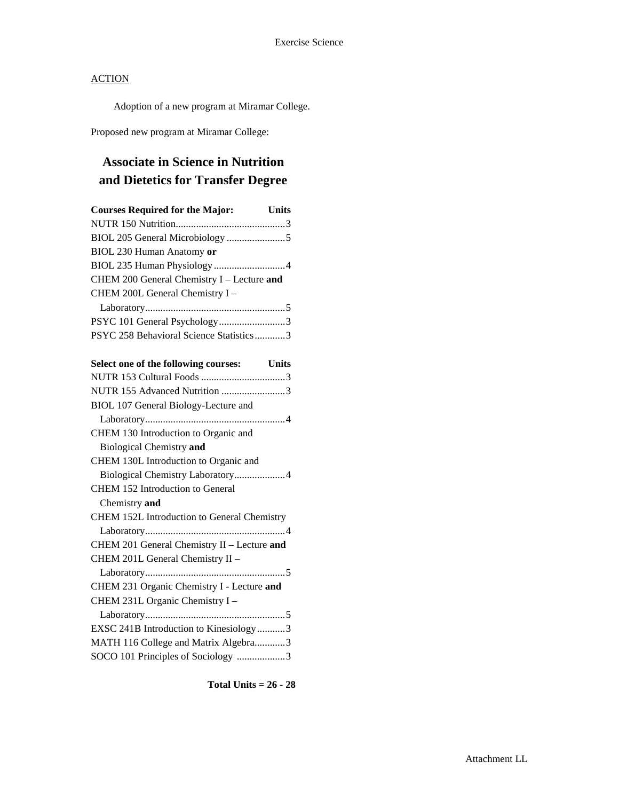Adoption of a new program at Miramar College.

Proposed new program at Miramar College:

# **Associate in Science in Nutrition and Dietetics for Transfer Degree**

| <b>Courses Required for the Major:</b>     | <b>Units</b> |
|--------------------------------------------|--------------|
|                                            |              |
|                                            |              |
| BIOL 230 Human Anatomy or                  |              |
|                                            |              |
| CHEM 200 General Chemistry I - Lecture and |              |
| CHEM 200L General Chemistry I -            |              |
|                                            |              |
| PSYC 101 General Psychology3               |              |
| PSYC 258 Behavioral Science Statistics3    |              |

| Select one of the following courses: Units  |
|---------------------------------------------|
|                                             |
| NUTR 155 Advanced Nutrition 3               |
| BIOL 107 General Biology-Lecture and        |
|                                             |
| CHEM 130 Introduction to Organic and        |
| <b>Biological Chemistry and</b>             |
| CHEM 130L Introduction to Organic and       |
| Biological Chemistry Laboratory4            |
| <b>CHEM 152 Introduction to General</b>     |
| Chemistry and                               |
| CHEM 152L Introduction to General Chemistry |
|                                             |
| CHEM 201 General Chemistry II - Lecture and |
| CHEM 201L General Chemistry II -            |
|                                             |
| CHEM 231 Organic Chemistry I - Lecture and  |
| CHEM 231L Organic Chemistry I -             |
|                                             |
| EXSC 241B Introduction to Kinesiology3      |
| MATH 116 College and Matrix Algebra3        |
| SOCO 101 Principles of Sociology 3          |
|                                             |

**Total Units = 26 - 28**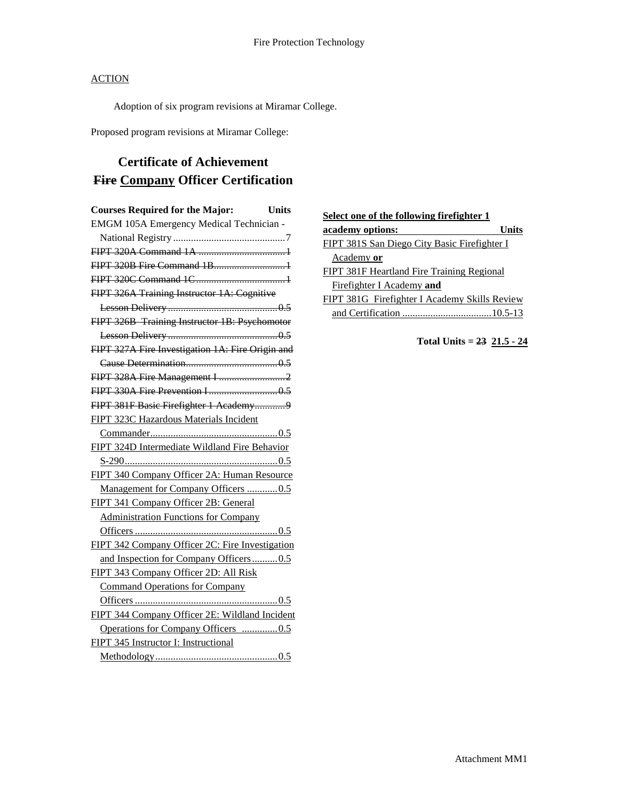Adoption of six program revisions at Miramar College.

Proposed program revisions at Miramar College:

# **Certificate of Achievement Fire Company Officer Certification**

| <b>Courses Required for the Major:</b>           | <b>Units</b> |
|--------------------------------------------------|--------------|
| EMGM 105A Emergency Medical Technician -         |              |
|                                                  |              |
|                                                  |              |
| FIPT 320B Fire Command 1B1                       |              |
|                                                  |              |
| FIPT 326A Training Instructor 1A: Cognitive      |              |
|                                                  |              |
| FIPT 326B Training Instructor 1B: Psychomotor    |              |
|                                                  |              |
| FIPT 327A Fire Investigation 1A: Fire Origin and |              |
|                                                  |              |
|                                                  |              |
|                                                  |              |
| FIPT 381F Basic Firefighter 1 Academy9           |              |
| FIPT 323C Hazardous Materials Incident           |              |
|                                                  |              |
| FIPT 324D Intermediate Wildland Fire Behavior    |              |
|                                                  |              |
| FIPT 340 Company Officer 2A: Human Resource      |              |
| Management for Company Officers 0.5              |              |
| FIPT 341 Company Officer 2B: General             |              |
| <b>Administration Functions for Company</b>      |              |
|                                                  |              |
| FIPT 342 Company Officer 2C: Fire Investigation  |              |
| and Inspection for Company Officers0.5           |              |
| FIPT 343 Company Officer 2D: All Risk            |              |
| <b>Command Operations for Company</b>            |              |
|                                                  |              |
| FIPT 344 Company Officer 2E: Wildland Incident   |              |
| Operations for Company Officers 0.5              |              |
| FIPT 345 Instructor I: Instructional             |              |
|                                                  |              |

| Select one of the following firefighter 1           |
|-----------------------------------------------------|
| academy options:<br><b>Units</b>                    |
| <b>FIPT 381S San Diego City Basic Firefighter I</b> |
| Academy or                                          |
| FIPT 381F Heartland Fire Training Regional          |
| Firefighter I Academy and                           |
| FIPT 381G Firefighter I Academy Skills Review       |
| and Certification                                   |

#### **Total Units = 23 21.5 - 24**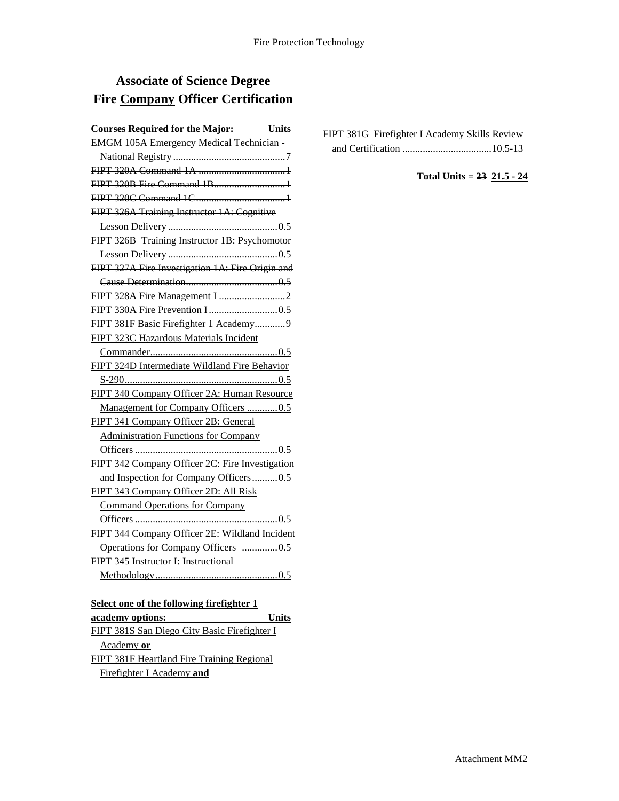## **Associate of Science Degree Fire Company Officer Certification**

| <b>Courses Required for the Major:</b><br>Units  |
|--------------------------------------------------|
| EMGM 105A Emergency Medical Technician -         |
|                                                  |
|                                                  |
| FIPT 320B Fire Command 1B1                       |
|                                                  |
| FIPT 326A Training Instructor 1A: Cognitive      |
|                                                  |
| FIPT 326B Training Instructor 1B: Psychomotor    |
|                                                  |
| FIPT 327A Fire Investigation 1A: Fire Origin and |
|                                                  |
| FIPT 328A Fire Management I 2                    |
|                                                  |
| FIPT 381F Basic Firefighter 1 Academy9           |
| FIPT 323C Hazardous Materials Incident           |
|                                                  |
| FIPT 324D Intermediate Wildland Fire Behavior    |
|                                                  |
| FIPT 340 Company Officer 2A: Human Resource      |
| Management for Company Officers 0.5              |
| FIPT 341 Company Officer 2B: General             |
| <b>Administration Functions for Company</b>      |
|                                                  |
| FIPT 342 Company Officer 2C: Fire Investigation  |
| and Inspection for Company Officers0.5           |
| FIPT 343 Company Officer 2D: All Risk            |
| <b>Command Operations for Company</b>            |
|                                                  |
| FIPT 344 Company Officer 2E: Wildland Incident   |
| Operations for Company Officers 0.5              |
| FIPT 345 Instructor I: Instructional             |
|                                                  |
|                                                  |

### **Select one of the following firefighter 1 academy options: Units** FIPT 381S San Diego City Basic Firefighter I Academy **or** FIPT 381F Heartland Fire Training Regional Firefighter I Academy **and**

| FIPT 381G Firefighter I Academy Skills Review |  |
|-----------------------------------------------|--|
|                                               |  |

**Total Units = 23 21.5 - 24**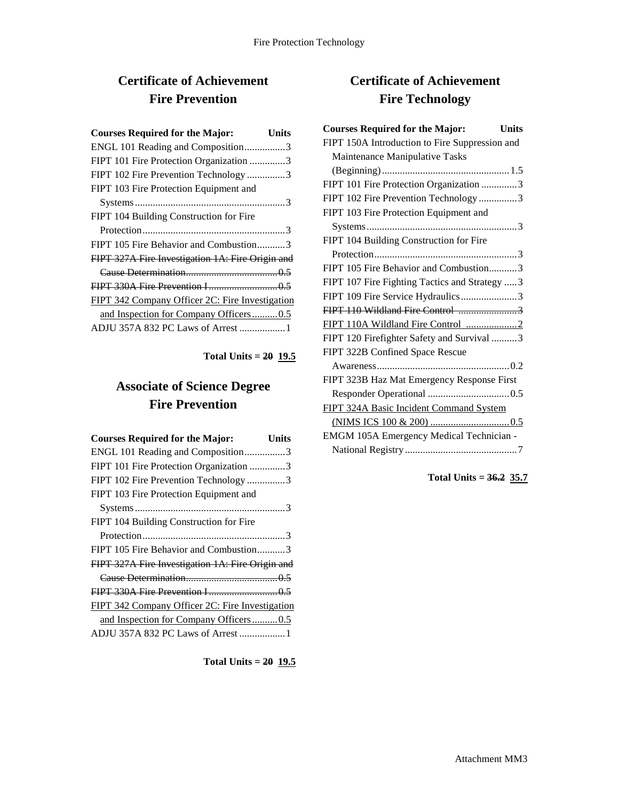# **Certificate of Achievement Fire Prevention**

| <b>Courses Required for the Major:</b>           | Units |
|--------------------------------------------------|-------|
| ENGL 101 Reading and Composition3                |       |
| FIPT 101 Fire Protection Organization 3          |       |
| FIPT 102 Fire Prevention Technology3             |       |
| FIPT 103 Fire Protection Equipment and           |       |
|                                                  |       |
| FIPT 104 Building Construction for Fire          |       |
|                                                  |       |
| FIPT 105 Fire Behavior and Combustion3           |       |
| FIPT 327A Fire Investigation 1A: Fire Origin and |       |
|                                                  |       |
|                                                  |       |
| FIPT 342 Company Officer 2C: Fire Investigation  |       |
| and Inspection for Company Officers0.5           |       |
| ADJU 357A 832 PC Laws of Arrest  1               |       |
|                                                  |       |

**Total Units = 20 19.5**

# **Associate of Science Degree Fire Prevention**

| <b>Courses Required for the Major:</b>           | Units |
|--------------------------------------------------|-------|
| ENGL 101 Reading and Composition3                |       |
| FIPT 101 Fire Protection Organization 3          |       |
| FIPT 102 Fire Prevention Technology 3            |       |
| FIPT 103 Fire Protection Equipment and           |       |
|                                                  |       |
| FIPT 104 Building Construction for Fire          |       |
|                                                  |       |
| FIPT 105 Fire Behavior and Combustion3           |       |
| FIPT 327A Fire Investigation 1A: Fire Origin and |       |
|                                                  |       |
|                                                  |       |
| FIPT 342 Company Officer 2C: Fire Investigation  |       |
| and Inspection for Company Officers0.5           |       |
| ADJU 357A 832 PC Laws of Arrest 1                |       |

**Total Units = 20 19.5**

## **Certificate of Achievement Fire Technology**

| <b>Courses Required for the Major:</b><br>Units |
|-------------------------------------------------|
| FIPT 150A Introduction to Fire Suppression and  |
| Maintenance Manipulative Tasks                  |
|                                                 |
| FIPT 101 Fire Protection Organization 3         |
| FIPT 102 Fire Prevention Technology 3           |
| FIPT 103 Fire Protection Equipment and          |
|                                                 |
| FIPT 104 Building Construction for Fire         |
|                                                 |
| FIPT 105 Fire Behavior and Combustion3          |
| FIPT 107 Fire Fighting Tactics and Strategy  3  |
| FIPT 109 Fire Service Hydraulics3               |
|                                                 |
|                                                 |
| FIPT 120 Firefighter Safety and Survival 3      |
| FIPT 322B Confined Space Rescue                 |
|                                                 |
| FIPT 323B Haz Mat Emergency Response First      |
|                                                 |
| FIPT 324A Basic Incident Command System         |
|                                                 |
| EMGM 105A Emergency Medical Technician -        |
|                                                 |

**Total Units = 36.2 35.7**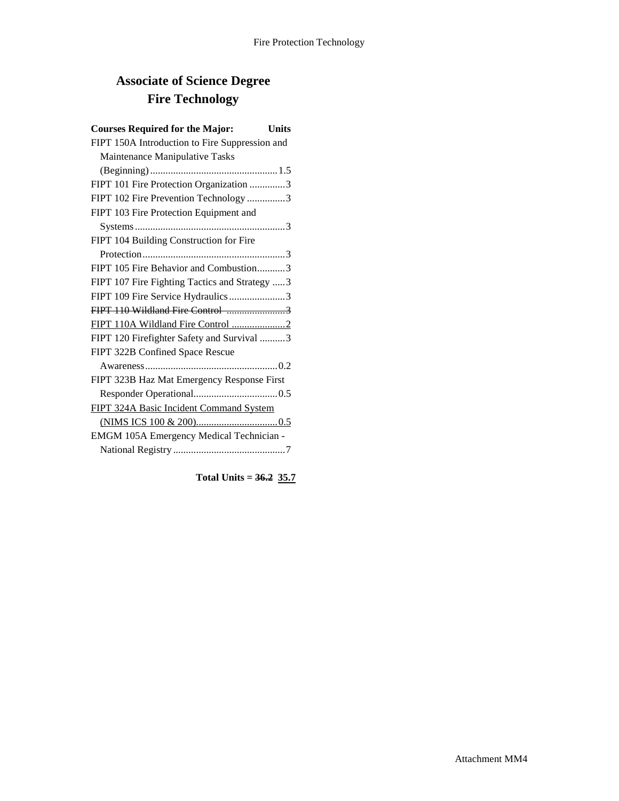# **Associate of Science Degree Fire Technology**

| <b>Courses Required for the Major:</b><br><b>Units</b> |
|--------------------------------------------------------|
| FIPT 150A Introduction to Fire Suppression and         |
| Maintenance Manipulative Tasks                         |
|                                                        |
| FIPT 101 Fire Protection Organization 3                |
| FIPT 102 Fire Prevention Technology 3                  |
| FIPT 103 Fire Protection Equipment and                 |
|                                                        |
| FIPT 104 Building Construction for Fire                |
|                                                        |
| FIPT 105 Fire Behavior and Combustion3                 |
| FIPT 107 Fire Fighting Tactics and Strategy 3          |
| FIPT 109 Fire Service Hydraulics 3                     |
|                                                        |
| FIPT 110A Wildland Fire Control 2                      |
| FIPT 120 Firefighter Safety and Survival 3             |
| FIPT 322B Confined Space Rescue                        |
|                                                        |
| FIPT 323B Haz Mat Emergency Response First             |
|                                                        |
| FIPT 324A Basic Incident Command System                |
|                                                        |
| EMGM 105A Emergency Medical Technician -               |
|                                                        |

**Total Units = 36.2 35.7**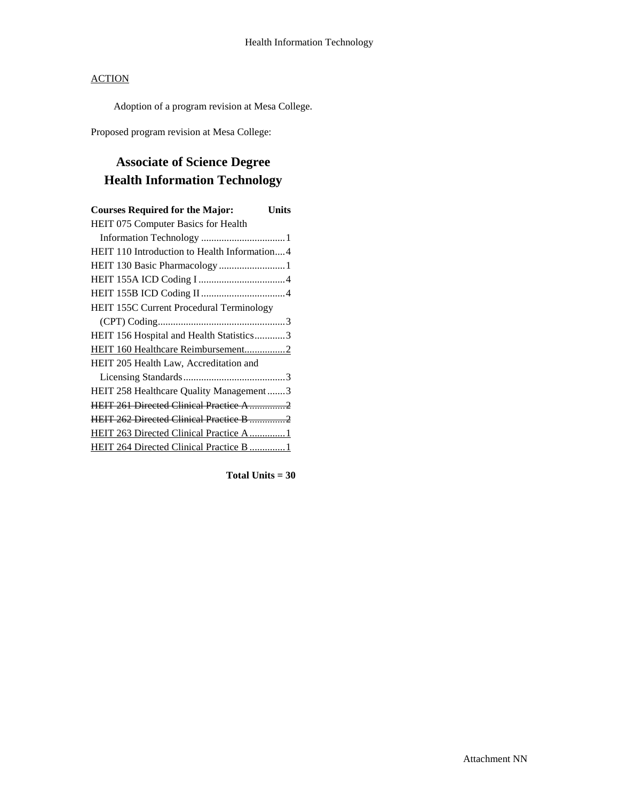Adoption of a program revision at Mesa College.

Proposed program revision at Mesa College:

# **Associate of Science Degree Health Information Technology**

| <b>Courses Required for the Major:</b><br>Units |
|-------------------------------------------------|
| HEIT 075 Computer Basics for Health             |
|                                                 |
| HEIT 110 Introduction to Health Information4    |
| HEIT 130 Basic Pharmacology  1                  |
|                                                 |
|                                                 |
| HEIT 155C Current Procedural Terminology        |
|                                                 |
| HEIT 156 Hospital and Health Statistics3        |
| HEIT 160 Healthcare Reimbursement2              |
| HEIT 205 Health Law, Accreditation and          |
|                                                 |
| HEIT 258 Healthcare Quality Management3         |
| <b>HEIT 261 Directed Clinical Practice A 2</b>  |
| <b>HEIT 262 Directed Clinical Practice B 2</b>  |
| HEIT 263 Directed Clinical Practice A1          |
| HEIT 264 Directed Clinical Practice B  1        |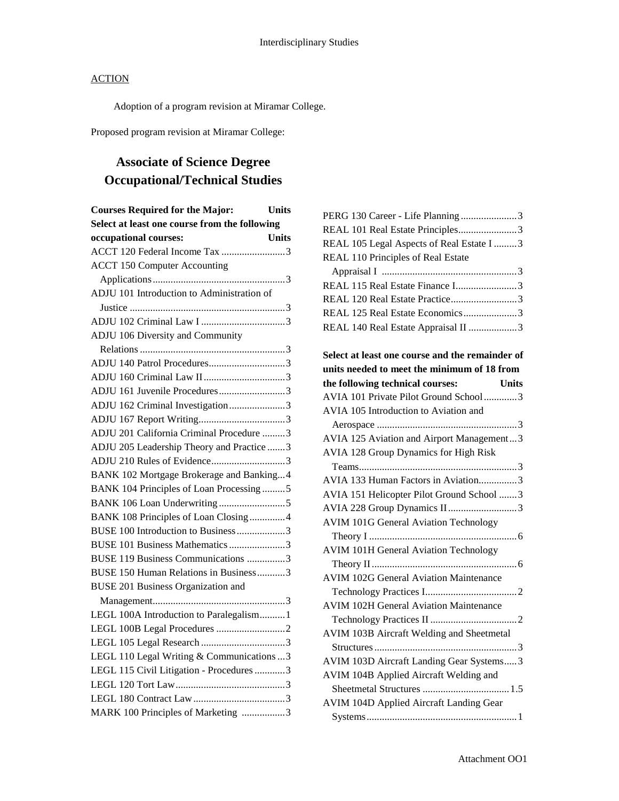Adoption of a program revision at Miramar College.

Proposed program revision at Miramar College:

# **Associate of Science Degree Occupational/Technical Studies**

| <b>Units</b><br><b>Courses Required for the Major:</b> |
|--------------------------------------------------------|
| Select at least one course from the following          |
| occupational courses:<br><b>Units</b>                  |
| ACCT 120 Federal Income Tax 3                          |
| <b>ACCT 150 Computer Accounting</b>                    |
|                                                        |
| ADJU 101 Introduction to Administration of             |
|                                                        |
|                                                        |
| ADJU 106 Diversity and Community                       |
|                                                        |
|                                                        |
|                                                        |
| ADJU 161 Juvenile Procedures3                          |
| ADJU 162 Criminal Investigation3                       |
|                                                        |
| ADJU 201 California Criminal Procedure 3               |
| ADJU 205 Leadership Theory and Practice 3              |
| ADJU 210 Rules of Evidence3                            |
| BANK 102 Mortgage Brokerage and Banking4               |
| BANK 104 Principles of Loan Processing5                |
|                                                        |
| BANK 108 Principles of Loan Closing4                   |
| BUSE 100 Introduction to Business 3                    |
| BUSE 101 Business Mathematics 3                        |
| BUSE 119 Business Communications 3                     |
| BUSE 150 Human Relations in Business3                  |
| <b>BUSE 201 Business Organization and</b>              |
|                                                        |
| LEGL 100A Introduction to Paralegalism 1               |
|                                                        |
|                                                        |
| LEGL 110 Legal Writing & Communications  3             |
| LEGL 115 Civil Litigation - Procedures 3               |
|                                                        |
|                                                        |
| MARK 100 Principles of Marketing 3                     |

| PERG 130 Career - Life Planning3                 |
|--------------------------------------------------|
| REAL 101 Real Estate Principles3                 |
| REAL 105 Legal Aspects of Real Estate I 3        |
| REAL 110 Principles of Real Estate               |
|                                                  |
| REAL 115 Real Estate Finance I3                  |
| REAL 120 Real Estate Practice3                   |
| REAL 125 Real Estate Economics3                  |
| REAL 140 Real Estate Appraisal II 3              |
| Select at least one course and the remainder of  |
| units needed to meet the minimum of 18 from      |
| the following technical courses:<br><b>Units</b> |
| AVIA 101 Private Pilot Ground School3            |
| AVIA 105 Introduction to Aviation and            |
|                                                  |
| AVIA 125 Aviation and Airport Management3        |
| AVIA 128 Group Dynamics for High Risk            |
|                                                  |
| AVIA 133 Human Factors in Aviation3              |
| AVIA 151 Helicopter Pilot Ground School 3        |
| AVIA 228 Group Dynamics II3                      |
| <b>AVIM 101G General Aviation Technology</b>     |
|                                                  |
| <b>AVIM 101H General Aviation Technology</b>     |
|                                                  |
| <b>AVIM 102G General Aviation Maintenance</b>    |
|                                                  |
| <b>AVIM 102H General Aviation Maintenance</b>    |
|                                                  |
| AVIM 103B Aircraft Welding and Sheetmetal        |
|                                                  |
| AVIM 103D Aircraft Landing Gear Systems3         |
| AVIM 104B Applied Aircraft Welding and           |
|                                                  |
| AVIM 104D Applied Aircraft Landing Gear          |
|                                                  |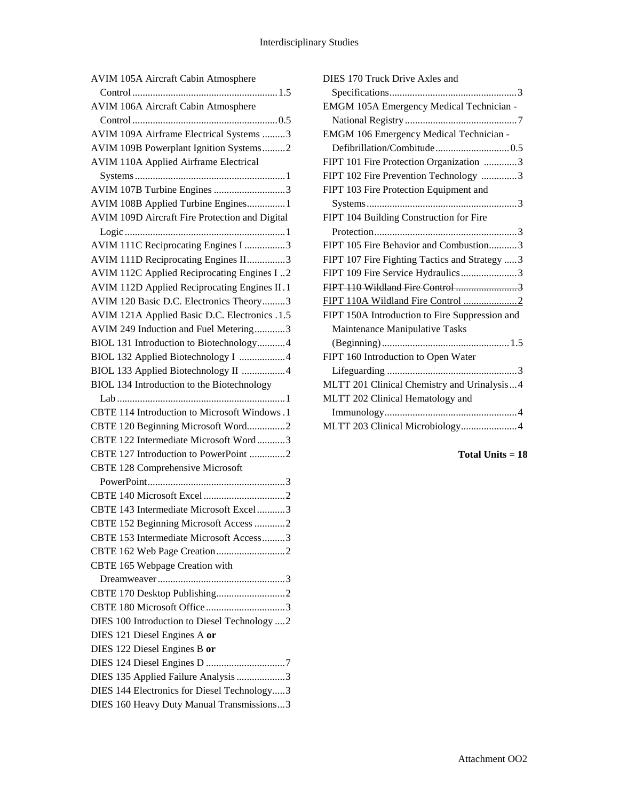| AVIM 105A Aircraft Cabin Atmosphere            |
|------------------------------------------------|
|                                                |
| AVIM 106A Aircraft Cabin Atmosphere            |
|                                                |
| AVIM 109A Airframe Electrical Systems 3        |
| AVIM 109B Powerplant Ignition Systems2         |
| <b>AVIM 110A Applied Airframe Electrical</b>   |
|                                                |
| AVIM 107B Turbine Engines 3                    |
| AVIM 108B Applied Turbine Engines1             |
| AVIM 109D Aircraft Fire Protection and Digital |
|                                                |
| AVIM 111C Reciprocating Engines I 3            |
| AVIM 111D Reciprocating Engines II3            |
| AVIM 112C Applied Reciprocating Engines I2     |
| AVIM 112D Applied Reciprocating Engines II.1   |
| AVIM 120 Basic D.C. Electronics Theory3        |
| AVIM 121A Applied Basic D.C. Electronics .1.5  |
| AVIM 249 Induction and Fuel Metering3          |
| BIOL 131 Introduction to Biotechnology4        |
| BIOL 132 Applied Biotechnology I 4             |
| BIOL 133 Applied Biotechnology II 4            |
| BIOL 134 Introduction to the Biotechnology     |
|                                                |
| CBTE 114 Introduction to Microsoft Windows.1   |
| CBTE 120 Beginning Microsoft Word2             |
| CBTE 122 Intermediate Microsoft Word3          |
| CBTE 127 Introduction to PowerPoint 2          |
| <b>CBTE 128 Comprehensive Microsoft</b>        |
|                                                |
|                                                |
| CBTE 143 Intermediate Microsoft Excel3         |
| CBTE 152 Beginning Microsoft Access 2          |
| CBTE 153 Intermediate Microsoft Access3        |
|                                                |
| CBTE 165 Webpage Creation with                 |
|                                                |
|                                                |
| CBTE 180 Microsoft Office3                     |
| DIES 100 Introduction to Diesel Technology  2  |
| DIES 121 Diesel Engines A or                   |
| DIES 122 Diesel Engines B or                   |
|                                                |
| DIES 135 Applied Failure Analysis 3            |
|                                                |
| DIES 144 Electronics for Diesel Technology3    |
| DIES 160 Heavy Duty Manual Transmissions3      |

| DIES 170 Truck Drive Axles and                 |
|------------------------------------------------|
|                                                |
| EMGM 105A Emergency Medical Technician -       |
|                                                |
| <b>EMGM 106 Emergency Medical Technician -</b> |
|                                                |
| FIPT 101 Fire Protection Organization 3        |
| FIPT 102 Fire Prevention Technology 3          |
| FIPT 103 Fire Protection Equipment and         |
|                                                |
| FIPT 104 Building Construction for Fire        |
|                                                |
| FIPT 105 Fire Behavior and Combustion3         |
| FIPT 107 Fire Fighting Tactics and Strategy  3 |
| FIPT 109 Fire Service Hydraulics3              |
| FIPT 110 Wildland Fire Control 3               |
|                                                |
| FIPT 150A Introduction to Fire Suppression and |
| Maintenance Manipulative Tasks                 |
|                                                |
| FIPT 160 Introduction to Open Water            |
|                                                |
| MLTT 201 Clinical Chemistry and Urinalysis4    |
| MLTT 202 Clinical Hematology and               |
|                                                |
| MLTT 203 Clinical Microbiology4                |
|                                                |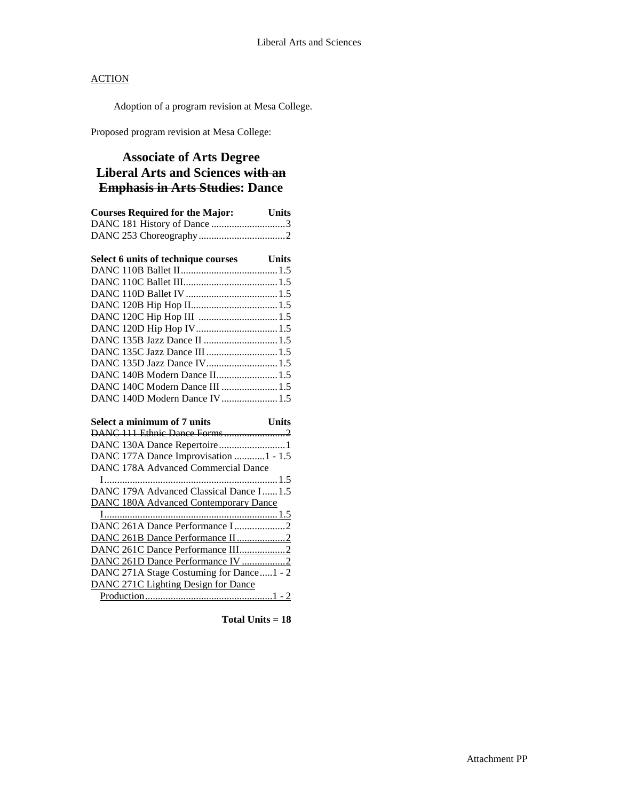Adoption of a program revision at Mesa College.

Proposed program revision at Mesa College:

## **Associate of Arts Degree Liberal Arts and Sciences with an Emphasis in Arts Studies: Dance**

| <b>Courses Required for the Major:</b> Units |              |
|----------------------------------------------|--------------|
| DANC 181 History of Dance 3                  |              |
|                                              |              |
|                                              |              |
| Select 6 units of technique courses Units    |              |
|                                              |              |
|                                              |              |
|                                              |              |
|                                              |              |
|                                              |              |
| DANC 120D Hip Hop IV 1.5                     |              |
| DANC 135B Jazz Dance II  1.5                 |              |
| DANC 135C Jazz Dance III  1.5                |              |
| DANC 135D Jazz Dance IV1.5                   |              |
| DANC 140B Modern Dance II1.5                 |              |
| DANC 140C Modern Dance III  1.5              |              |
| DANC 140D Modern Dance IV 1.5                |              |
|                                              |              |
| Select a minimum of 7 units                  | <b>Units</b> |
|                                              |              |
| DANC 130A Dance Repertoire 1                 |              |
| DANC 177A Dance Improvisation 1 - 1.5        |              |

| DANC 178A Advanced Commercial Dance          |  |
|----------------------------------------------|--|
|                                              |  |
| DANC 179A Advanced Classical Dance I1.5      |  |
| <b>DANC 180A Advanced Contemporary Dance</b> |  |
| 1.5                                          |  |
|                                              |  |
|                                              |  |

| DANC 261D Dance Performance IV 2         |  |
|------------------------------------------|--|
| DANC 271A Stage Costuming for Dance1 - 2 |  |
| DANC 271C Lighting Design for Dance      |  |
|                                          |  |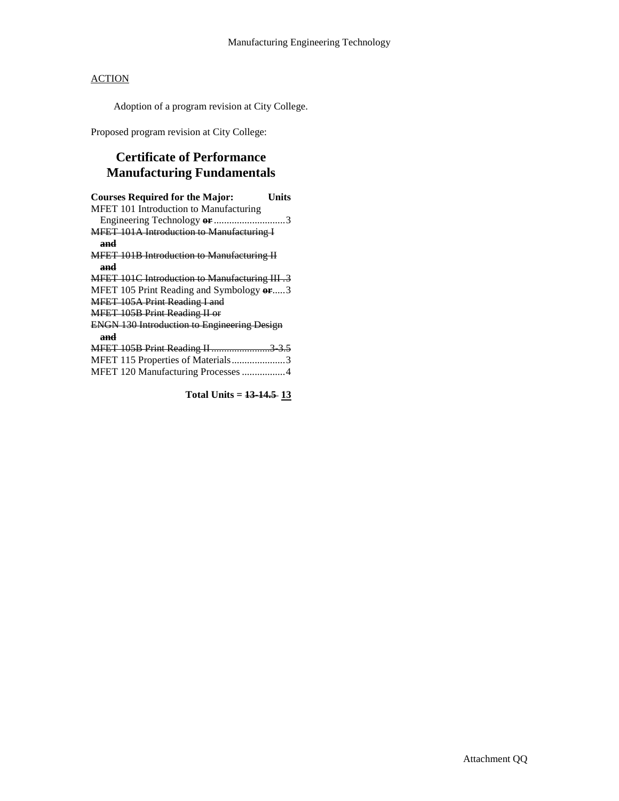Adoption of a program revision at City College.

Proposed program revision at City College:

## **Certificate of Performance Manufacturing Fundamentals**

| <b>Courses Required for the Major:</b>               | Units |
|------------------------------------------------------|-------|
| MFET 101 Introduction to Manufacturing               |       |
| Engineering Technology or 3                          |       |
| <b>MFET 101A Introduction to Manufacturing I</b>     |       |
| and                                                  |       |
| <b>MFET 101B Introduction to Manufacturing II</b>    |       |
| and                                                  |       |
| <b>MFET 101C Introduction to Manufacturing III.3</b> |       |
| MFET 105 Print Reading and Symbology or3             |       |
| MFET 105A Print Reading I and                        |       |
| MFET 105B Print Reading II or                        |       |
| <b>ENGN 130 Introduction to Engineering Design</b>   |       |
| and                                                  |       |
| <b>MFET 105B Print Reading II 3 3.5</b>              |       |
| MFET 115 Properties of Materials3                    |       |
| MFET 120 Manufacturing Processes 4                   |       |
|                                                      |       |

**Total Units = 13-14.5 13**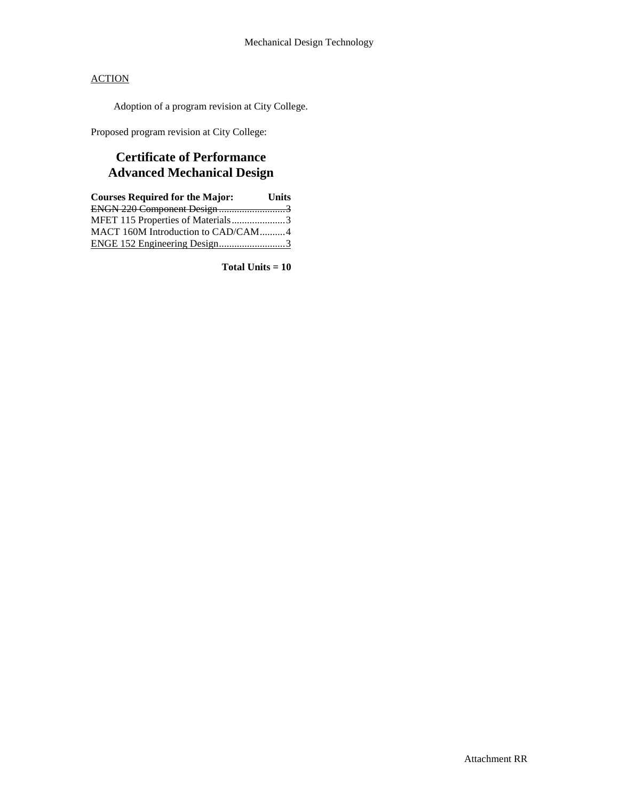Adoption of a program revision at City College.

Proposed program revision at City College:

## **Certificate of Performance Advanced Mechanical Design**

| <b>Courses Required for the Major:</b> | <b>Units</b> |
|----------------------------------------|--------------|
| ENGN 220 Component Design 3            |              |
| MFET 115 Properties of Materials3      |              |
| MACT 160M Introduction to CAD/CAM4     |              |
| ENGE 152 Engineering Design3           |              |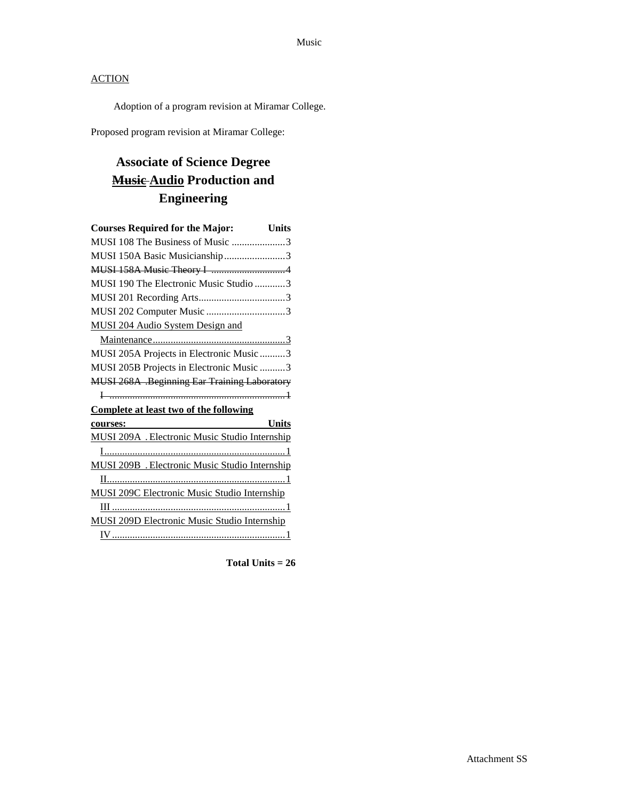Adoption of a program revision at Miramar College.

Proposed program revision at Miramar College:

# **Associate of Science Degree Music Audio Production and Engineering**

| <b>Courses Required for the Major:</b><br><b>Units</b> |
|--------------------------------------------------------|
| MUSI 108 The Business of Music 3                       |
| MUSI 150A Basic Musicianship3                          |
|                                                        |
| MUSI 190 The Electronic Music Studio 3                 |
|                                                        |
| MUSI 202 Computer Music 3                              |
| MUSI 204 Audio System Design and                       |
|                                                        |
| MUSI 205A Projects in Electronic Music 3               |
| MUSI 205B Projects in Electronic Music 3               |
| <b>MUSI 268A .Beginning Ear Training Laboratory</b>    |
|                                                        |
| <b>Complete at least two of the following</b>          |
| Units<br>courses:                                      |
| MUSI 209A . Electronic Music Studio Internship         |
|                                                        |
| MUSI 209B . Electronic Music Studio Internship         |
|                                                        |
| <b>MUSI 209C Electronic Music Studio Internship</b>    |
|                                                        |
| <b>MUSI 209D Electronic Music Studio Internship</b>    |
|                                                        |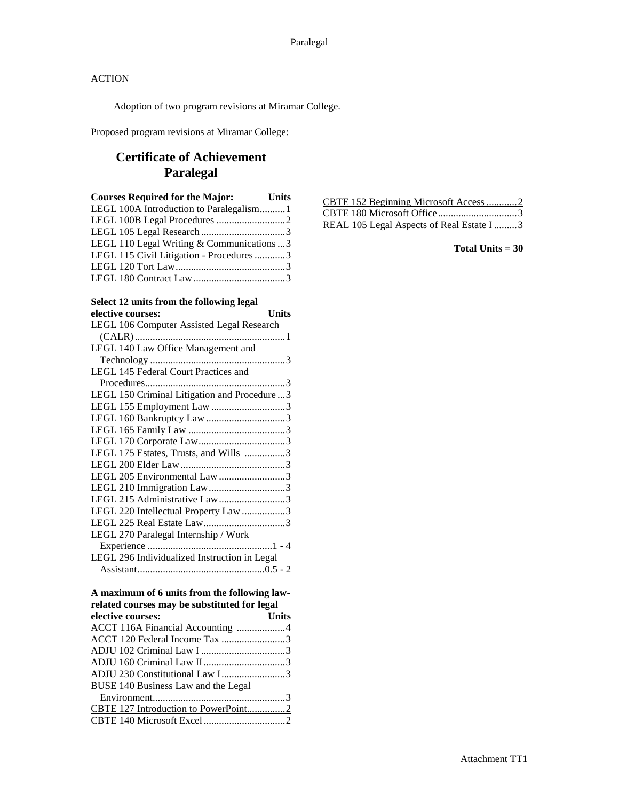Adoption of two program revisions at Miramar College.

Proposed program revisions at Miramar College:

### **Certificate of Achievement Paralegal**

| <b>Courses Required for the Major:</b> Units |  |
|----------------------------------------------|--|
| LEGL 100A Introduction to Paralegalism1      |  |
|                                              |  |
|                                              |  |
| LEGL 110 Legal Writing & Communications  3   |  |
| LEGL 115 Civil Litigation - Procedures 3     |  |
|                                              |  |
|                                              |  |

# **Select 12 units from the following legal**

| elective courses:<br><b>Units</b>            |  |
|----------------------------------------------|--|
| LEGL 106 Computer Assisted Legal Research    |  |
|                                              |  |
| LEGL 140 Law Office Management and           |  |
|                                              |  |
| LEGL 145 Federal Court Practices and         |  |
|                                              |  |
| LEGL 150 Criminal Litigation and Procedure3  |  |
| LEGL 155 Employment Law 3                    |  |
|                                              |  |
|                                              |  |
|                                              |  |
| LEGL 175 Estates, Trusts, and Wills 3        |  |
|                                              |  |
| LEGL 205 Environmental Law 3                 |  |
| LEGL 210 Immigration Law3                    |  |
| LEGL 215 Administrative Law3                 |  |
| LEGL 220 Intellectual Property Law 3         |  |
|                                              |  |
| LEGL 270 Paralegal Internship / Work         |  |
|                                              |  |
| LEGL 296 Individualized Instruction in Legal |  |
|                                              |  |
|                                              |  |

#### **A maximum of 6 units from the following lawrelated courses may be substituted for legal**

| elective courses:                   | <b>Units</b> |
|-------------------------------------|--------------|
| ACCT 116A Financial Accounting 4    |              |
| ACCT 120 Federal Income Tax 3       |              |
|                                     |              |
|                                     |              |
|                                     |              |
| BUSE 140 Business Law and the Legal |              |
|                                     |              |
|                                     |              |
|                                     |              |

| CBTE 152 Beginning Microsoft Access2      |  |
|-------------------------------------------|--|
|                                           |  |
| REAL 105 Legal Aspects of Real Estate I 3 |  |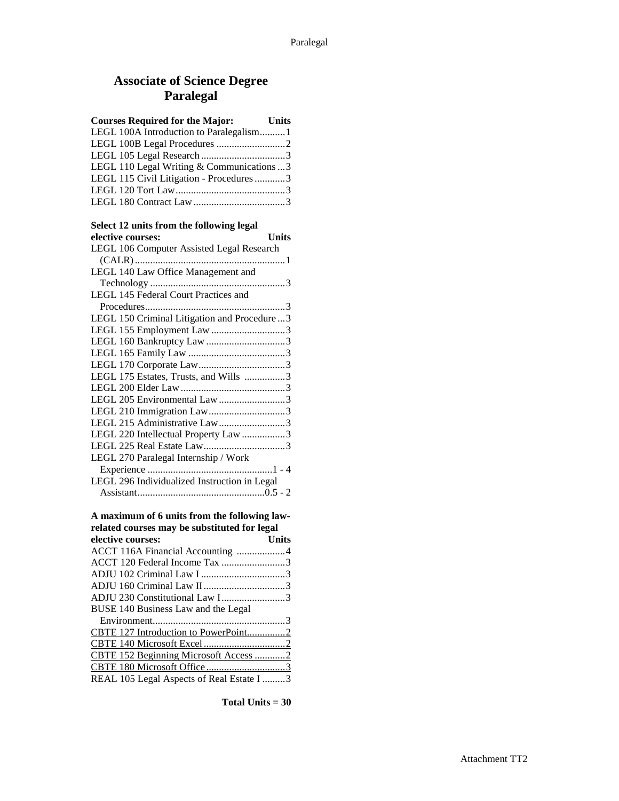## **Associate of Science Degree Paralegal**

| <b>Courses Required for the Major:</b> Units |  |
|----------------------------------------------|--|
| LEGL 100A Introduction to Paralegalism1      |  |
|                                              |  |
|                                              |  |
| LEGL 110 Legal Writing & Communications  3   |  |
| LEGL 115 Civil Litigation - Procedures 3     |  |
|                                              |  |
|                                              |  |

#### **Select 12 units from the following legal**

| <b>Units</b><br>elective courses:            |
|----------------------------------------------|
| LEGL 106 Computer Assisted Legal Research    |
|                                              |
| LEGL 140 Law Office Management and           |
|                                              |
| LEGL 145 Federal Court Practices and         |
|                                              |
| LEGL 150 Criminal Litigation and Procedure 3 |
| LEGL 155 Employment Law 3                    |
|                                              |
|                                              |
|                                              |
| LEGL 175 Estates, Trusts, and Wills 3        |
|                                              |
| LEGL 205 Environmental Law 3                 |
| LEGL 210 Immigration Law3                    |
| LEGL 215 Administrative Law3                 |
| LEGL 220 Intellectual Property Law 3         |
|                                              |
| LEGL 270 Paralegal Internship / Work         |
|                                              |
| LEGL 296 Individualized Instruction in Legal |
|                                              |
|                                              |
| A maximum of 6 units from the following law- |
| related courses may be substituted for legal |
| elective courses:<br><b>Units</b>            |
| ACCT 116A Financial Accounting 4             |
| ACCT 120 Federal Income Tax 3                |
|                                              |
|                                              |
| ADJU 230 Constitutional Law I3               |
| BUSE 140 Business Law and the Legal          |
|                                              |
| CBTE 127 Introduction to PowerPoint2         |
|                                              |
| CBTE 152 Beginning Microsoft Access 2        |

CBTE 180 Microsoft Office ...............................3 REAL 105 Legal Aspects of Real Estate I .........3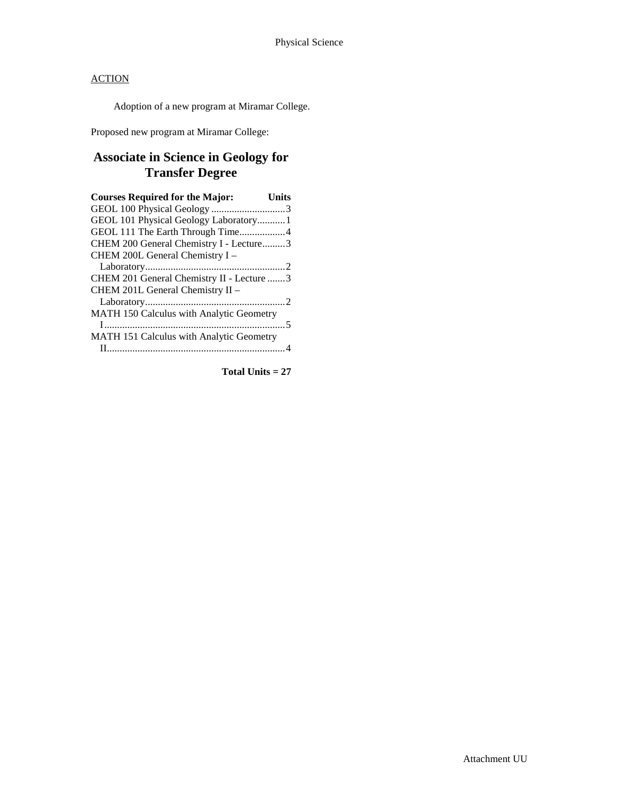Adoption of a new program at Miramar College.

Proposed new program at Miramar College:

### **Associate in Science in Geology for Transfer Degree**

| <b>Courses Required for the Major:</b>    | Units |
|-------------------------------------------|-------|
|                                           |       |
| GEOL 101 Physical Geology Laboratory 1    |       |
| GEOL 111 The Earth Through Time4          |       |
| CHEM 200 General Chemistry I - Lecture3   |       |
| CHEM 200L General Chemistry I -           |       |
|                                           |       |
| CHEM 201 General Chemistry II - Lecture 3 |       |
| CHEM 201L General Chemistry II -          |       |
|                                           |       |
| MATH 150 Calculus with Analytic Geometry  |       |
|                                           |       |
| MATH 151 Calculus with Analytic Geometry  |       |
|                                           |       |
|                                           |       |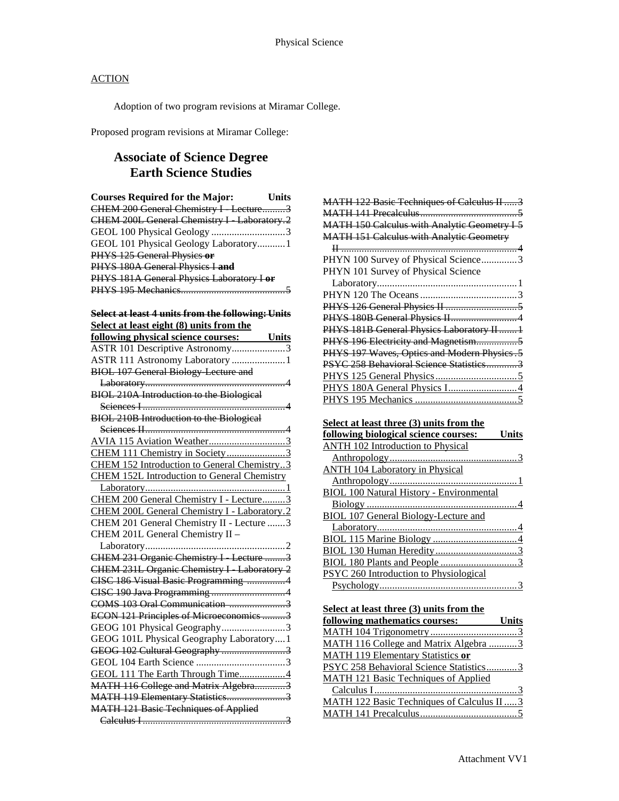Adoption of two program revisions at Miramar College.

Proposed program revisions at Miramar College:

### **Associate of Science Degree Earth Science Studies**

| <b>Courses Required for the Major:</b>     | Units |
|--------------------------------------------|-------|
| CHEM 200 General Chemistry I Lecture3      |       |
| CHEM 200L General Chemistry I Laboratory.2 |       |
| GEOL 100 Physical Geology 3                |       |
| GEOL 101 Physical Geology Laboratory1      |       |
| PHYS 125 General Physics or                |       |
| PHYS 180A General Physics I and            |       |
| PHYS 181A General Physics Laboratory I or  |       |
|                                            |       |
|                                            |       |

#### **Select at least 4 units from the following: Units Select at least eight (8) units from the**

| following physical science courses: Units          |
|----------------------------------------------------|
| ASTR 101 Descriptive Astronomy3                    |
| ASTR 111 Astronomy Laboratory 1                    |
| <b>BIOL 107 General Biology Lecture and</b>        |
|                                                    |
| BIOL 210A Introduction to the Biological           |
|                                                    |
| <b>BIOL 210B Introduction to the Biological</b>    |
|                                                    |
| AVIA 115 Aviation Weather3                         |
| CHEM 111 Chemistry in Society3                     |
| CHEM 152 Introduction to General Chemistry3        |
| <b>CHEM 152L Introduction to General Chemistry</b> |
|                                                    |
| CHEM 200 General Chemistry I - Lecture3            |
| CHEM 200L General Chemistry I - Laboratory.2       |
| CHEM 201 General Chemistry II - Lecture 3          |
| CHEM 201L General Chemistry II -                   |
|                                                    |
| CHEM 231 Organic Chemistry I Lecture 3             |
| CHEM 231L Organic Chemistry I Laboratory 2         |
| CISC 186 Visual Basic Programming 4                |
|                                                    |
| COMS 103 Oral Communication 3                      |
| ECON 121 Principles of Microeconomics 3            |
| GEOG 101 Physical Geography3                       |
| GEOG 101L Physical Geography Laboratory1           |
| GEOG 102 Cultural Geography 3                      |
|                                                    |
| GEOL 111 The Earth Through Time4                   |
| MATH 116 College and Matrix Algebra3               |
| MATH 119 Elementary Statistics3                    |
| <b>MATH 121 Basic Techniques of Applied</b>        |
|                                                    |

| MATH 122 Basic Techniques of Calculus II  3         |
|-----------------------------------------------------|
|                                                     |
| <b>MATH 150 Calculus with Analytic Geometry I 5</b> |
| <b>MATH 151 Calculus with Analytic Geometry</b>     |
|                                                     |
| PHYN 100 Survey of Physical Science3                |
| PHYN 101 Survey of Physical Science                 |
|                                                     |
|                                                     |
|                                                     |
| PHYS 180B General Physics II 4                      |
| PHYS 181B General Physics Laboratory II  1          |
| PHYS 196 Electricity and Magnetism5                 |
| PHYS 197 Waves, Optics and Modern Physics.5         |
| PSYC 258 Behavioral Science Statistics3             |
|                                                     |
|                                                     |
|                                                     |

#### **Select at least three (3) units from the**

| following biological science courses:           | <b>Units</b> |
|-------------------------------------------------|--------------|
| ANTH 102 Introduction to Physical               |              |
|                                                 |              |
| <b>ANTH 104 Laboratory in Physical</b>          |              |
|                                                 |              |
| <b>BIOL 100 Natural History - Environmental</b> |              |
|                                                 |              |
| <b>BIOL 107 General Biology-Lecture and</b>     |              |
|                                                 |              |
|                                                 |              |
|                                                 |              |
|                                                 |              |
| PSYC 260 Introduction to Physiological          |              |
|                                                 |              |

**Select at least three (3) units from the** 

| following mathematics courses:              | <b>Units</b> |
|---------------------------------------------|--------------|
|                                             |              |
| MATH 116 College and Matrix Algebra 3       |              |
| <b>MATH 119 Elementary Statistics or</b>    |              |
| PSYC 258 Behavioral Science Statistics3     |              |
| <b>MATH 121 Basic Techniques of Applied</b> |              |
|                                             |              |
| MATH 122 Basic Techniques of Calculus II  3 |              |
|                                             |              |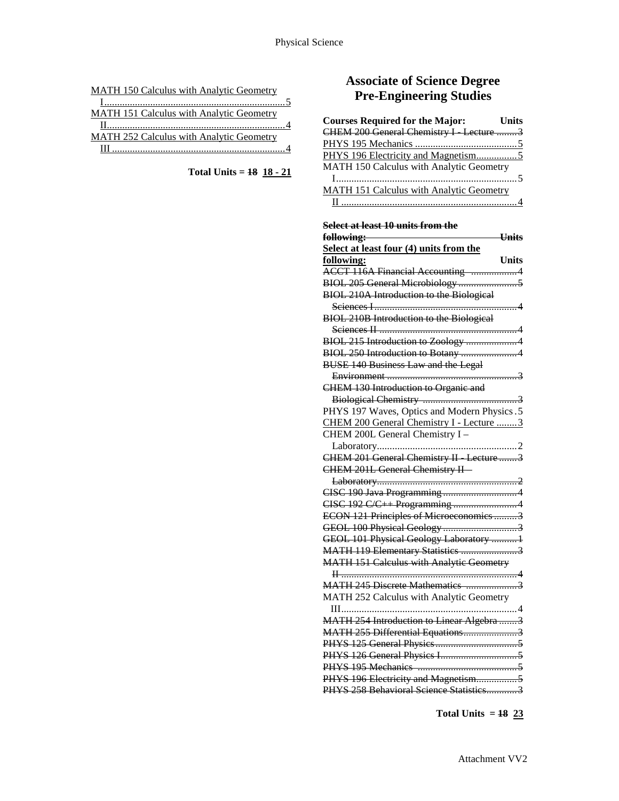|  |  |  | <b>MATH 150 Calculus with Analytic Geometry</b> |
|--|--|--|-------------------------------------------------|
|  |  |  |                                                 |

| MATH 151 Calculus with Analytic Geometry |  |
|------------------------------------------|--|
|                                          |  |
| MATH 252 Calculus with Analytic Geometry |  |
|                                          |  |

**Total Units = 18 18 - 21**

## **Associate of Science Degree Pre-Engineering Studies**

| <b>Courses Required for the Major:</b>   | <b>Units</b> |
|------------------------------------------|--------------|
| CHEM 200 General Chemistry I Lecture  3  |              |
|                                          |              |
|                                          |              |
| MATH 150 Calculus with Analytic Geometry |              |
|                                          |              |
| MATH 151 Calculus with Analytic Geometry |              |
|                                          |              |

**Select at least 10 units from the**

| following:                                      | <b>Units</b> |
|-------------------------------------------------|--------------|
| Select at least four (4) units from the         |              |
| following:                                      | <b>Units</b> |
| ACCT 116A Financial Accounting 4                |              |
|                                                 |              |
| BIOL 210A Introduction to the Biological        |              |
|                                                 |              |
| BIOL 210B Introduction to the Biological        |              |
|                                                 |              |
| BIOL 215 Introduction to Zoology 4              |              |
| BIOL 250 Introduction to Botany 4               |              |
| <b>BUSE 140 Business Law and the Legal</b>      |              |
|                                                 |              |
| CHEM 130 Introduction to Organic and            |              |
|                                                 |              |
| PHYS 197 Waves, Optics and Modern Physics.5     |              |
| CHEM 200 General Chemistry I - Lecture 3        |              |
| CHEM 200L General Chemistry I -                 |              |
|                                                 |              |
| CHEM 201 General Chemistry II Lecture 3         |              |
| CHEM 201L General Chemistry II-                 |              |
|                                                 |              |
|                                                 |              |
| CISC 192 C/C++ Programming 4                    |              |
| ECON 121 Principles of Microeconomics 3         |              |
| GEOL 100 Physical Geology 3                     |              |
| GEOL 101 Physical Geology Laboratory  1         |              |
| MATH 119 Elementary Statistics 3                |              |
| <b>MATH 151 Calculus with Analytic Geometry</b> |              |
|                                                 |              |
| MATH 245 Discrete Mathematics 3                 |              |
| MATH 252 Calculus with Analytic Geometry        |              |
| $III$<br>. 4                                    |              |
| MATH 254 Introduction to Linear Algebra  3      |              |
| MATH 255 Differential Equations3                |              |
|                                                 |              |
|                                                 |              |
|                                                 |              |
| PHYS 196 Electricity and Magnetism5             |              |
| PHYS 258 Behavioral Science Statistics3         |              |

**Total Units = 18 23**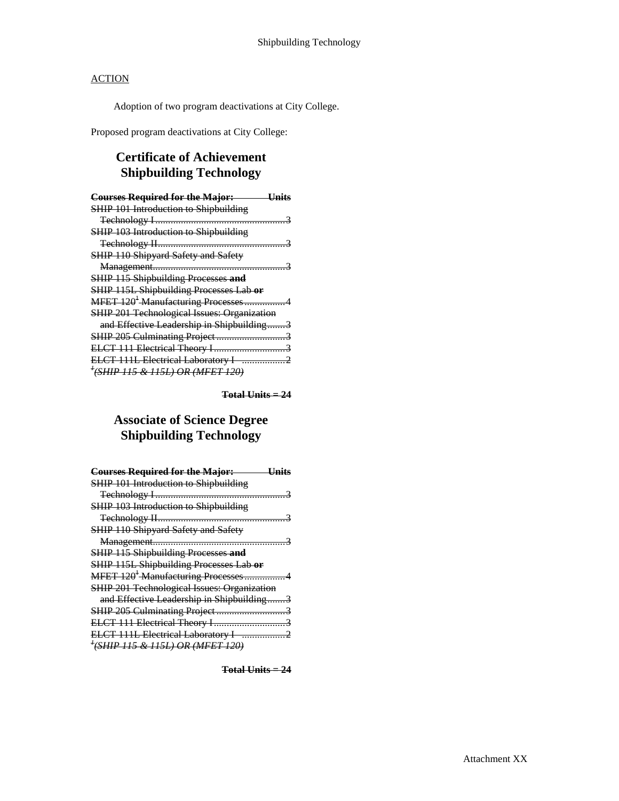Adoption of two program deactivations at City College.

Proposed program deactivations at City College:

### **Certificate of Achievement Shipbuilding Technology**

| <b>Courses Required for the Major:</b><br><del>Units</del> |
|------------------------------------------------------------|
| SHIP 101 Introduction to Shipbuilding                      |
|                                                            |
| SHIP 103 Introduction to Shipbuilding                      |
|                                                            |
| SHIP 110 Shipyard Safety and Safety                        |
|                                                            |
| <b>SHIP 115 Shipbuilding Processes and</b>                 |
| SHIP 115L Shipbuilding Processes Lab or                    |
| MFET 120 <sup>1</sup> Manufacturing Processes4             |
| <b>SHIP 201 Technological Issues: Organization</b>         |
| and Effective Leadership in Shipbuilding3                  |
|                                                            |
| ELCT 111 Electrical Theory I3                              |
| ELCT 111L Electrical Laboratory I 2                        |
| <sup>1</sup> (SHIP 115 & 115L) OR (MFET 120)               |

**Total Units = 24**

## **Associate of Science Degree Shipbuilding Technology**

| <b>Courses Required for the Major:</b><br>—Units   |
|----------------------------------------------------|
| SHIP 101 Introduction to Shipbuilding              |
|                                                    |
| SHIP 103 Introduction to Shipbuilding              |
|                                                    |
| SHIP 110 Shipyard Safety and Safety                |
|                                                    |
| <b>SHIP 115 Shipbuilding Processes and</b>         |
| SHIP 115L Shipbuilding Processes Lab or            |
| MFET 120 <sup>+</sup> Manufacturing Processes4     |
| <b>SHIP 201 Technological Issues: Organization</b> |
| and Effective Leadership in Shipbuilding3          |
|                                                    |
|                                                    |
| ELCT 111L Electrical Laboratory I 2                |
| <sup>+</sup> (SHIP 115 & 115L) OR (MFET 120)       |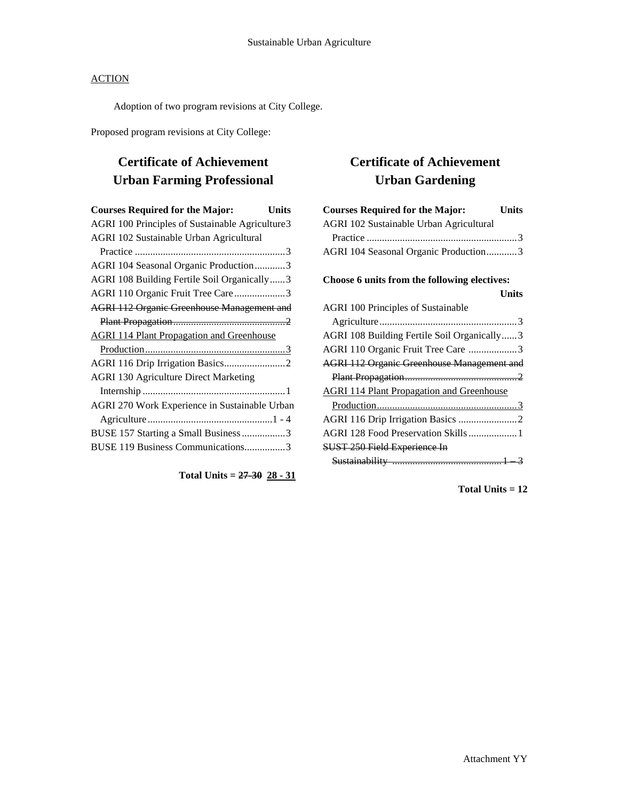#### **ACTION**

Adoption of two program revisions at City College.

Proposed program revisions at City College:

## **Certificate of Achievement Urban Farming Professional**

| <b>Courses Required for the Major:</b><br>Units   |  |
|---------------------------------------------------|--|
| AGRI 100 Principles of Sustainable Agriculture3   |  |
| <b>AGRI 102 Sustainable Urban Agricultural</b>    |  |
|                                                   |  |
| AGRI 104 Seasonal Organic Production3             |  |
| AGRI 108 Building Fertile Soil Organically3       |  |
| AGRI 110 Organic Fruit Tree Care3                 |  |
| <b>AGRI 112 Organic Greenhouse Management and</b> |  |
|                                                   |  |
| <b>AGRI 114 Plant Propagation and Greenhouse</b>  |  |
|                                                   |  |
|                                                   |  |
| <b>AGRI 130 Agriculture Direct Marketing</b>      |  |
|                                                   |  |
| AGRI 270 Work Experience in Sustainable Urban     |  |
|                                                   |  |
| BUSE 157 Starting a Small Business 3              |  |
| BUSE 119 Business Communications3                 |  |
|                                                   |  |

**Total Units = 27-30 28 - 31**

# **Certificate of Achievement Urban Gardening**

**Total Units = 12**